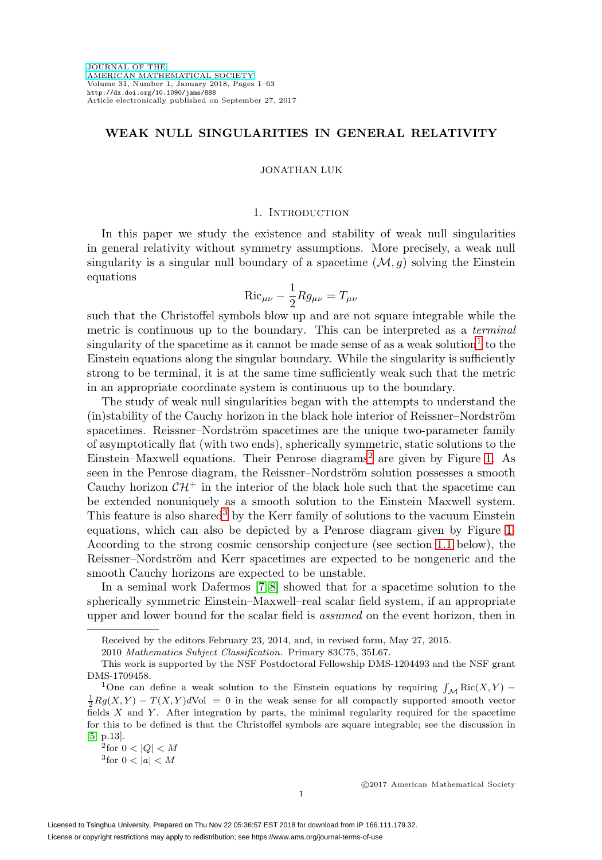# **WEAK NULL SINGULARITIES IN GENERAL RELATIVITY**

### JONATHAN LUK

## 1. INTRODUCTION

<span id="page-0-3"></span>In this paper we study the existence and stability of weak null singularities in general relativity without symmetry assumptions. More precisely, a weak null singularity is a singular null boundary of a spacetime  $(\mathcal{M}, g)$  solving the Einstein equations

$$
\text{Ric}_{\mu\nu} - \frac{1}{2} R g_{\mu\nu} = T_{\mu\nu}
$$

such that the Christoffel symbols blow up and are not square integrable while the metric is continuous up to the boundary. This can be interpreted as a terminal singularity of the spacetime as it cannot be made sense of as a weak solution<sup>[1](#page-0-0)</sup> to the Einstein equations along the singular boundary. While the singularity is sufficiently strong to be terminal, it is at the same time sufficiently weak such that the metric in an appropriate coordinate system is continuous up to the boundary.

The study of weak null singularities began with the attempts to understand the (in)stability of the Cauchy horizon in the black hole interior of Reissner–Nordström spacetimes. Reissner–Nordström spacetimes are the unique two-parameter family of asymptotically flat (with two ends), spherically symmetric, static solutions to the Einstein–Maxwell equations. Their Penrose diagrams[2](#page-0-1) are given by Figure [1.](#page-1-0) As seen in the Penrose diagram, the Reissner–Nordström solution possesses a smooth Cauchy horizon  $\mathcal{CH}^+$  in the interior of the black hole such that the spacetime can be extended nonuniquely as a smooth solution to the Einstein–Maxwell system. This feature is also shared[3](#page-0-2) by the Kerr family of solutions to the vacuum Einstein equations, which can also be depicted by a Penrose diagram given by Figure [1.](#page-1-0) According to the strong cosmic censorship conjecture (see section [1.1](#page-5-0) below), the Reissner–Nordström and Kerr spacetimes are expected to be nongeneric and the smooth Cauchy horizons are expected to be unstable.

In a seminal work Dafermos [\[7,](#page-61-0) [8\]](#page-61-1) showed that for a spacetime solution to the spherically symmetric Einstein–Maxwell–real scalar field system, if an appropriate upper and lower bound for the scalar field is assumed on the event horizon, then in

Received by the editors February 23, 2014, and, in revised form, May 27, 2015.

<sup>2010</sup> Mathematics Subject Classification. Primary 83C75, 35L67.

This work is supported by the NSF Postdoctoral Fellowship DMS-1204493 and the NSF grant DMS-1709458.

<span id="page-0-0"></span><sup>&</sup>lt;sup>1</sup>One can define a weak solution to the Einstein equations by requiring  $\int_{\mathcal{A}} \text{Ric}(X, Y) -$ <br> $\frac{1}{R}Rc(X, Y) - T(X, Y)dVol = 0$  in the weak sense for all compactly supported smooth vector  $\frac{1}{2}Rg(X, Y) - T(X, Y)d$ Vol = 0 in the weak sense for all compactly supported smooth vector fields  $X$  and  $Y$ . After integration by parts, the minimal regularity required for the spacetime for this to be defined is that the Christoffel symbols are square integrable; see the discussion in [\[5,](#page-61-2) p.13].

<span id="page-0-2"></span><span id="page-0-1"></span><sup>&</sup>lt;sup>2</sup>for  $0 < |Q| < M$ <sup>3</sup>for  $0 < |a| < M$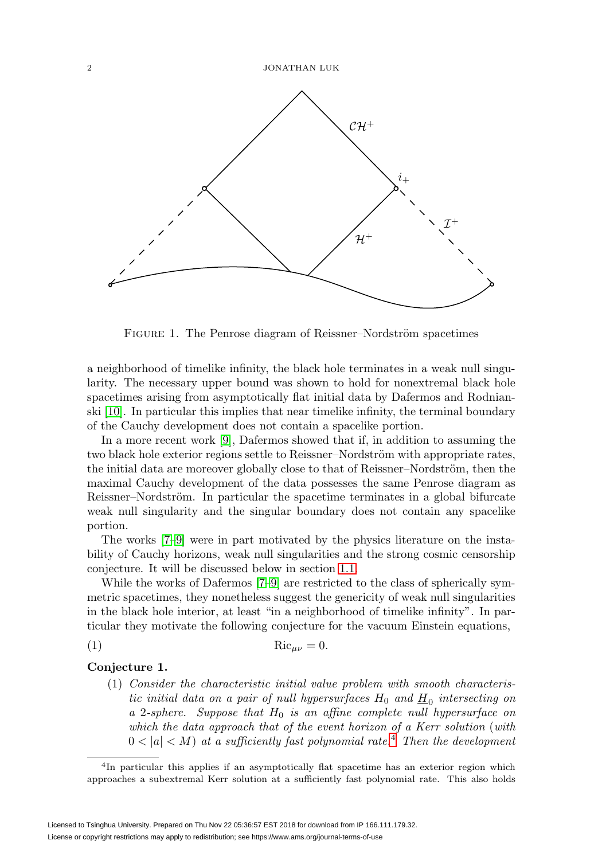

<span id="page-1-0"></span>FIGURE 1. The Penrose diagram of Reissner–Nordström spacetimes

a neighborhood of timelike infinity, the black hole terminates in a weak null singularity. The necessary upper bound was shown to hold for nonextremal black hole spacetimes arising from asymptotically flat initial data by Dafermos and Rodnianski [\[10\]](#page-61-3). In particular this implies that near timelike infinity, the terminal boundary of the Cauchy development does not contain a spacelike portion.

In a more recent work [\[9\]](#page-61-4), Dafermos showed that if, in addition to assuming the two black hole exterior regions settle to Reissner–Nordström with appropriate rates, the initial data are moreover globally close to that of Reissner–Nordström, then the maximal Cauchy development of the data possesses the same Penrose diagram as Reissner–Nordström. In particular the spacetime terminates in a global bifurcate weak null singularity and the singular boundary does not contain any spacelike portion.

The works [\[7](#page-61-0)[–9\]](#page-61-4) were in part motivated by the physics literature on the instability of Cauchy horizons, weak null singularities and the strong cosmic censorship conjecture. It will be discussed below in section [1.1.](#page-5-0)

While the works of Dafermos  $[7-9]$  $[7-9]$  are restricted to the class of spherically symmetric spacetimes, they nonetheless suggest the genericity of weak null singularities in the black hole interior, at least "in a neighborhood of timelike infinity". In particular they motivate the following conjecture for the vacuum Einstein equations,

<span id="page-1-3"></span>
$$
Ric_{\mu\nu} = 0.
$$

## <span id="page-1-2"></span>**Conjecture 1.**

(1) Consider the characteristic initial value problem with smooth characteristic initial data on a pair of null hypersurfaces  $H_0$  and  $H_0$  intersecting on a 2-sphere. Suppose that  $H_0$  is an affine complete null hypersurface on which the data approach that of the event horizon of a Kerr solution (with  $0 < |a| < M$ ) at a sufficiently fast polynomial rate.<sup>[4](#page-1-1)</sup> Then the development

<span id="page-1-1"></span><sup>4</sup>In particular this applies if an asymptotically flat spacetime has an exterior region which approaches a subextremal Kerr solution at a sufficiently fast polynomial rate. This also holds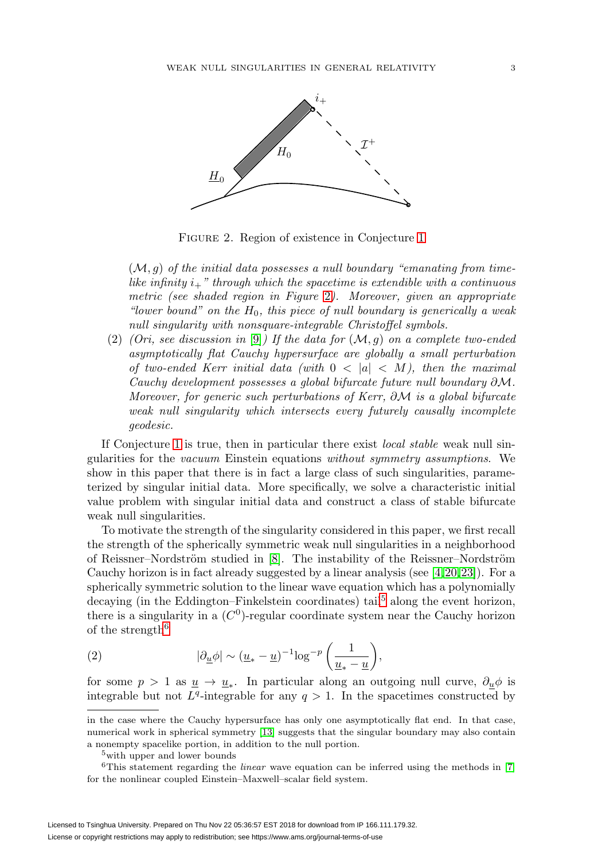

<span id="page-2-0"></span>Figure 2. Region of existence in Conjecture [1](#page-1-2)

 $(M, q)$  of the initial data possesses a null boundary "emanating from timelike infinity  $i_{+}$ " through which the spacetime is extendible with a continuous metric (see shaded region in Figure [2](#page-2-0)). Moreover, given an appropriate "lower bound" on the  $H_0$ , this piece of null boundary is generically a weak null singularity with nonsquare-integrable Christoffel symbols.

(2) (Ori, see discussion in [\[9\]](#page-61-4)) If the data for  $(M, g)$  on a complete two-ended asymptotically flat Cauchy hypersurface are globally a small perturbation of two-ended Kerr initial data (with  $0 < |a| < M$ ), then the maximal Cauchy development possesses a global bifurcate future null boundary ∂M. Moreover, for generic such perturbations of Kerr,  $\partial \mathcal{M}$  is a global bifurcate weak null singularity which intersects every futurely causally incomplete geodesic.

If Conjecture [1](#page-1-2) is true, then in particular there exist local stable weak null singularities for the vacuum Einstein equations without symmetry assumptions. We show in this paper that there is in fact a large class of such singularities, parameterized by singular initial data. More specifically, we solve a characteristic initial value problem with singular initial data and construct a class of stable bifurcate weak null singularities.

To motivate the strength of the singularity considered in this paper, we first recall the strength of the spherically symmetric weak null singularities in a neighborhood of Reissner–Nordström studied in  $[8]$ . The instability of the Reissner–Nordström Cauchy horizon is in fact already suggested by a linear analysis (see [\[4,](#page-61-5)[20,](#page-62-0)[23\]](#page-62-1)). For a spherically symmetric solution to the linear wave equation which has a polynomially decaying (in the Eddington–Finkelstein coordinates) tail<sup>[5](#page-2-1)</sup> along the event horizon, there is a singularity in a  $(C<sup>0</sup>)$ -regular coordinate system near the Cauchy horizon of the strength<sup>[6](#page-2-2)</sup>

<span id="page-2-3"></span>(2) 
$$
|\partial_{\underline{u}} \phi| \sim (\underline{u}_* - \underline{u})^{-1} \log^{-p} \left( \frac{1}{\underline{u}_* - \underline{u}} \right),
$$

for some  $p > 1$  as  $\underline{u} \to \underline{u}_*$ . In particular along an outgoing null curve,  $\partial_{\underline{u}} \phi$  is integrable but not  $L^q$ -integrable for any  $q > 1$ . In the spacetimes constructed by

in the case where the Cauchy hypersurface has only one asymptotically flat end. In that case, numerical work in spherical symmetry [\[13\]](#page-61-6) suggests that the singular boundary may also contain a nonempty spacelike portion, in addition to the null portion.

<span id="page-2-1"></span><sup>5</sup>with upper and lower bounds

<span id="page-2-2"></span> $6$ This statement regarding the *linear* wave equation can be inferred using the methods in [\[7\]](#page-61-0) for the nonlinear coupled Einstein–Maxwell–scalar field system.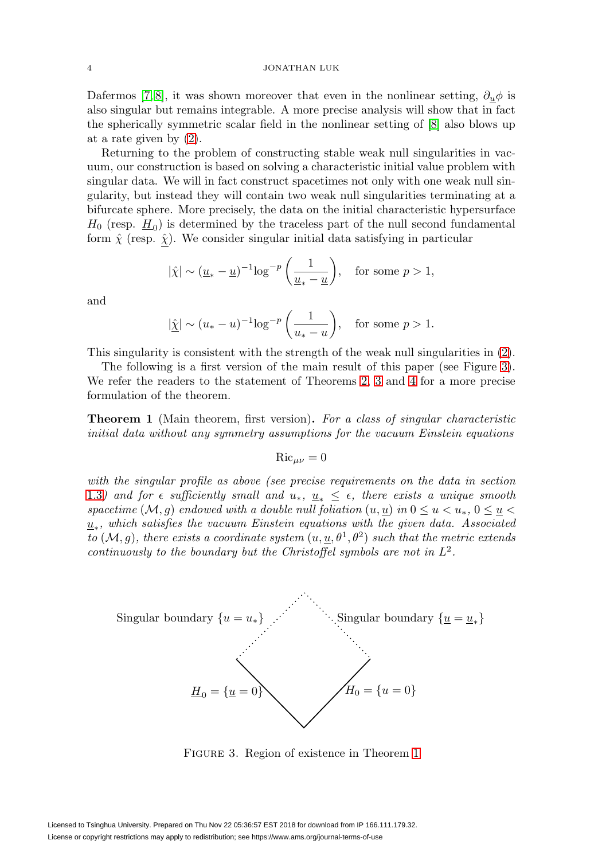Dafermos [\[7,](#page-61-0)8], it was shown moreover that even in the nonlinear setting,  $\partial_u \phi$  is also singular but remains integrable. A more precise analysis will show that in fact the spherically symmetric scalar field in the nonlinear setting of [\[8\]](#page-61-1) also blows up at a rate given by [\(2\)](#page-2-3).

Returning to the problem of constructing stable weak null singularities in vacuum, our construction is based on solving a characteristic initial value problem with singular data. We will in fact construct spacetimes not only with one weak null singularity, but instead they will contain two weak null singularities terminating at a bifurcate sphere. More precisely, the data on the initial characteristic hypersurface  $H_0$  (resp.  $H_0$ ) is determined by the traceless part of the null second fundamental form  $\hat{\chi}$  (resp.  $\hat{\chi}$ ). We consider singular initial data satisfying in particular

$$
|\hat{\chi}| \sim (\underline{u}_* - \underline{u})^{-1} \log^{-p} \left(\frac{1}{\underline{u}_* - \underline{u}}\right)
$$
, for some  $p > 1$ ,

and

$$
|\underline{\hat{\chi}}| \sim (u_* - u)^{-1} \log^{-p} \left( \frac{1}{u_* - u} \right), \quad \text{for some } p > 1.
$$

This singularity is consistent with the strength of the weak null singularities in [\(2\)](#page-2-3).

The following is a first version of the main result of this paper (see Figure [3\)](#page-3-0). We refer the readers to the statement of Theorems [2,](#page-9-0) [3](#page-10-0) and [4](#page-11-0) for a more precise formulation of the theorem.

<span id="page-3-1"></span>**Theorem 1** (Main theorem, first version). For a class of singular characteristic initial data without any symmetry assumptions for the vacuum Einstein equations

$$
\text{Ric}_{\mu\nu} = 0
$$

with the singular profile as above (see precise requirements on the data in section [1.3](#page-8-0)) and for  $\epsilon$  sufficiently small and  $u_*, u_* \leq \epsilon$ , there exists a unique smooth spacetime  $(M, g)$  endowed with a double null foliation  $(u, \underline{u})$  in  $0 \le u < u_*, 0 \le \underline{u}$  $u_*$ , which satisfies the vacuum Einstein equations with the given data. Associated to  $(\mathcal{M}, g)$ , there exists a coordinate system  $(u, \underline{u}, \theta^1, \theta^2)$  such that the metric extends continuously to the boundary but the Christoffel symbols are not in  $L^2$ .



<span id="page-3-0"></span>Figure 3. Region of existence in Theorem [1](#page-3-1)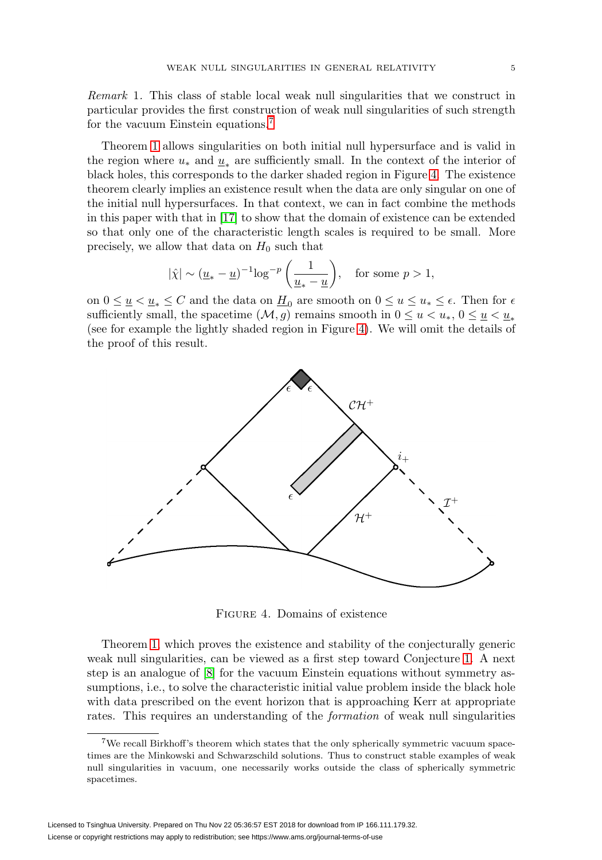Remark 1. This class of stable local weak null singularities that we construct in particular provides the first construction of weak null singularities of such strength for the vacuum Einstein equations.[7](#page-4-0)

Theorem [1](#page-3-1) allows singularities on both initial null hypersurface and is valid in the region where  $u_*$  and  $\underline{u}_*$  are sufficiently small. In the context of the interior of black holes, this corresponds to the darker shaded region in Figure [4.](#page-4-1) The existence theorem clearly implies an existence result when the data are only singular on one of the initial null hypersurfaces. In that context, we can in fact combine the methods in this paper with that in [\[17\]](#page-62-2) to show that the domain of existence can be extended so that only one of the characteristic length scales is required to be small. More precisely, we allow that data on  $H_0$  such that

$$
|\hat{\chi}| \sim (\underline{u}_* - \underline{u})^{-1} \log^{-p} \left(\frac{1}{\underline{u}_* - \underline{u}}\right)
$$
, for some  $p > 1$ ,

on  $0 \le u \le u_* \le C$  and the data on  $\underline{H}_0$  are smooth on  $0 \le u \le u_* \le \epsilon$ . Then for  $\epsilon$ sufficiently small, the spacetime  $(M, g)$  remains smooth in  $0 \le u < u_*$ ,  $0 \le u \le u_*$ (see for example the lightly shaded region in Figure [4\)](#page-4-1). We will omit the details of the proof of this result.



<span id="page-4-1"></span>Figure 4. Domains of existence

Theorem [1,](#page-3-1) which proves the existence and stability of the conjecturally generic weak null singularities, can be viewed as a first step toward Conjecture [1.](#page-1-2) A next step is an analogue of [\[8\]](#page-61-1) for the vacuum Einstein equations without symmetry assumptions, i.e., to solve the characteristic initial value problem inside the black hole with data prescribed on the event horizon that is approaching Kerr at appropriate rates. This requires an understanding of the formation of weak null singularities

<span id="page-4-0"></span><sup>7</sup>We recall Birkhoff's theorem which states that the only spherically symmetric vacuum spacetimes are the Minkowski and Schwarzschild solutions. Thus to construct stable examples of weak null singularities in vacuum, one necessarily works outside the class of spherically symmetric spacetimes.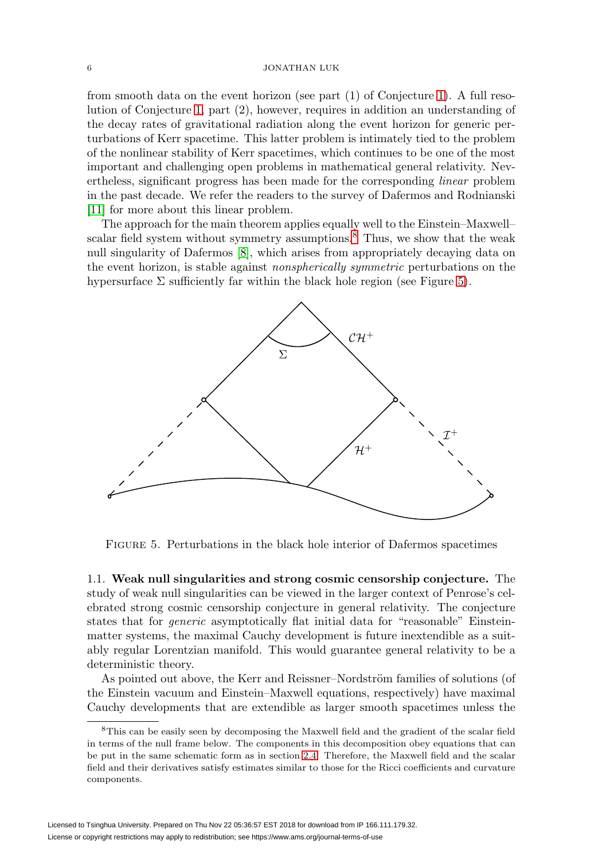#### 6 JONATHAN LUK

from smooth data on the event horizon (see part (1) of Conjecture [1\)](#page-1-2). A full resolution of Conjecture [1,](#page-1-2) part (2), however, requires in addition an understanding of the decay rates of gravitational radiation along the event horizon for generic perturbations of Kerr spacetime. This latter problem is intimately tied to the problem of the nonlinear stability of Kerr spacetimes, which continues to be one of the most important and challenging open problems in mathematical general relativity. Nevertheless, significant progress has been made for the corresponding linear problem in the past decade. We refer the readers to the survey of Dafermos and Rodnianski [\[11\]](#page-61-7) for more about this linear problem.

The approach for the main theorem applies equally well to the Einstein–Maxwell– scalar field system without symmetry assumptions.[8](#page-5-1) Thus, we show that the weak null singularity of Dafermos [\[8\]](#page-61-1), which arises from appropriately decaying data on the event horizon, is stable against nonspherically symmetric perturbations on the hypersurface  $\Sigma$  sufficiently far within the black hole region (see Figure [5\)](#page-5-2).



<span id="page-5-2"></span>Figure 5. Perturbations in the black hole interior of Dafermos spacetimes

<span id="page-5-0"></span>1.1. **Weak null singularities and strong cosmic censorship conjecture.** The study of weak null singularities can be viewed in the larger context of Penrose's celebrated strong cosmic censorship conjecture in general relativity. The conjecture states that for generic asymptotically flat initial data for "reasonable" Einsteinmatter systems, the maximal Cauchy development is future inextendible as a suitably regular Lorentzian manifold. This would guarantee general relativity to be a deterministic theory.

As pointed out above, the Kerr and Reissner–Nordström families of solutions (of the Einstein vacuum and Einstein–Maxwell equations, respectively) have maximal Cauchy developments that are extendible as larger smooth spacetimes unless the

<span id="page-5-1"></span><sup>8</sup>This can be easily seen by decomposing the Maxwell field and the gradient of the scalar field in terms of the null frame below. The components in this decomposition obey equations that can be put in the same schematic form as in section [2.4.](#page-20-0) Therefore, the Maxwell field and the scalar field and their derivatives satisfy estimates similar to those for the Ricci coefficients and curvature components.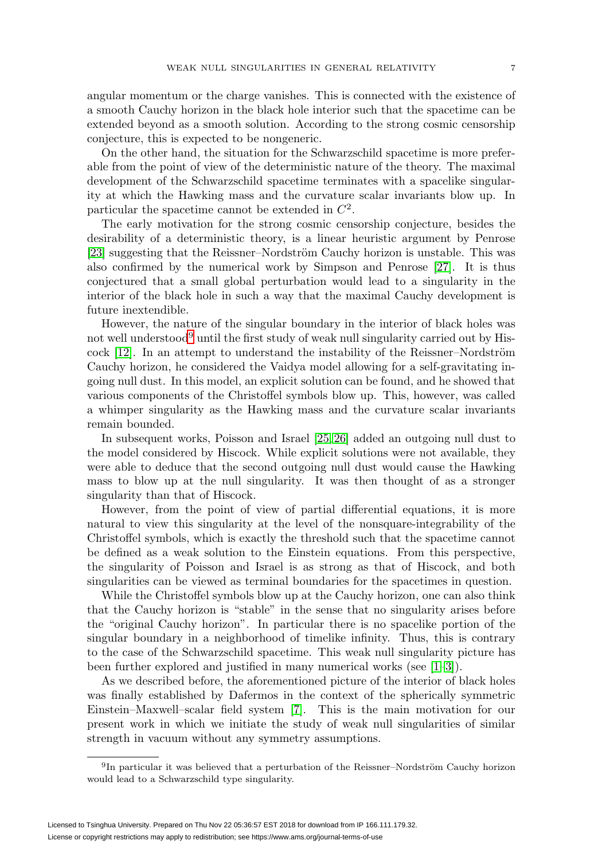angular momentum or the charge vanishes. This is connected with the existence of a smooth Cauchy horizon in the black hole interior such that the spacetime can be extended beyond as a smooth solution. According to the strong cosmic censorship conjecture, this is expected to be nongeneric.

On the other hand, the situation for the Schwarzschild spacetime is more preferable from the point of view of the deterministic nature of the theory. The maximal development of the Schwarzschild spacetime terminates with a spacelike singularity at which the Hawking mass and the curvature scalar invariants blow up. In particular the spacetime cannot be extended in  $C^2$ .

The early motivation for the strong cosmic censorship conjecture, besides the desirability of a deterministic theory, is a linear heuristic argument by Penrose [\[23\]](#page-62-1) suggesting that the Reissner–Nordström Cauchy horizon is unstable. This was also confirmed by the numerical work by Simpson and Penrose [\[27\]](#page-62-3). It is thus conjectured that a small global perturbation would lead to a singularity in the interior of the black hole in such a way that the maximal Cauchy development is future inextendible.

However, the nature of the singular boundary in the interior of black holes was not well understood<sup>[9](#page-6-0)</sup> until the first study of weak null singularity carried out by Hiscock  $[12]$ . In an attempt to understand the instability of the Reissner–Nordström Cauchy horizon, he considered the Vaidya model allowing for a self-gravitating ingoing null dust. In this model, an explicit solution can be found, and he showed that various components of the Christoffel symbols blow up. This, however, was called a whimper singularity as the Hawking mass and the curvature scalar invariants remain bounded.

In subsequent works, Poisson and Israel [\[25,](#page-62-4) [26\]](#page-62-5) added an outgoing null dust to the model considered by Hiscock. While explicit solutions were not available, they were able to deduce that the second outgoing null dust would cause the Hawking mass to blow up at the null singularity. It was then thought of as a stronger singularity than that of Hiscock.

However, from the point of view of partial differential equations, it is more natural to view this singularity at the level of the nonsquare-integrability of the Christoffel symbols, which is exactly the threshold such that the spacetime cannot be defined as a weak solution to the Einstein equations. From this perspective, the singularity of Poisson and Israel is as strong as that of Hiscock, and both singularities can be viewed as terminal boundaries for the spacetimes in question.

While the Christoffel symbols blow up at the Cauchy horizon, one can also think that the Cauchy horizon is "stable" in the sense that no singularity arises before the "original Cauchy horizon". In particular there is no spacelike portion of the singular boundary in a neighborhood of timelike infinity. Thus, this is contrary to the case of the Schwarzschild spacetime. This weak null singularity picture has been further explored and justified in many numerical works (see [\[1–](#page-61-9)[3\]](#page-61-10)).

As we described before, the aforementioned picture of the interior of black holes was finally established by Dafermos in the context of the spherically symmetric Einstein–Maxwell–scalar field system [\[7\]](#page-61-0). This is the main motivation for our present work in which we initiate the study of weak null singularities of similar strength in vacuum without any symmetry assumptions.

<span id="page-6-0"></span> $9$ In particular it was believed that a perturbation of the Reissner–Nordström Cauchy horizon would lead to a Schwarzschild type singularity.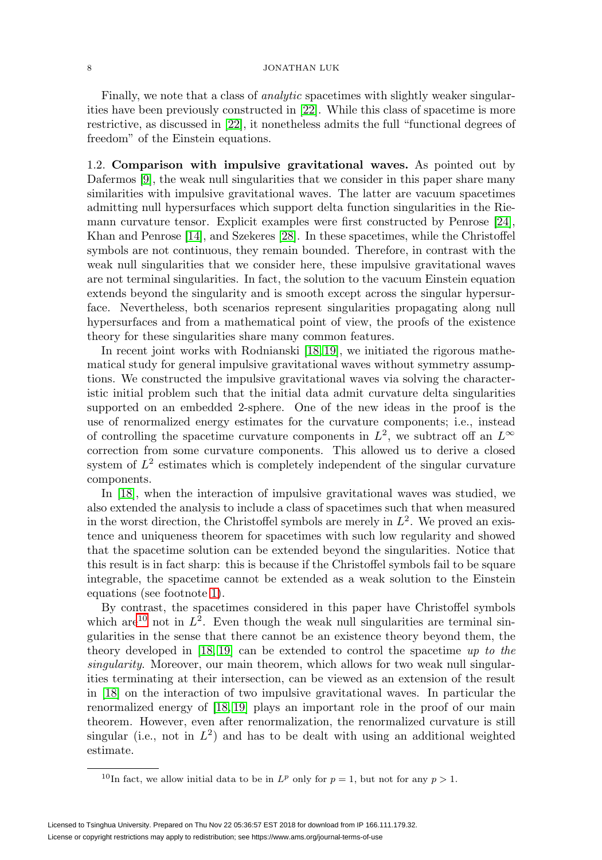#### 8 JONATHAN LUK

Finally, we note that a class of *analytic* spacetimes with slightly weaker singularities have been previously constructed in [\[22\]](#page-62-6). While this class of spacetime is more restrictive, as discussed in [\[22\]](#page-62-6), it nonetheless admits the full "functional degrees of freedom" of the Einstein equations.

1.2. **Comparison with impulsive gravitational waves.** As pointed out by Dafermos [\[9\]](#page-61-4), the weak null singularities that we consider in this paper share many similarities with impulsive gravitational waves. The latter are vacuum spacetimes admitting null hypersurfaces which support delta function singularities in the Riemann curvature tensor. Explicit examples were first constructed by Penrose [\[24\]](#page-62-7), Khan and Penrose [\[14\]](#page-61-11), and Szekeres [\[28\]](#page-62-8). In these spacetimes, while the Christoffel symbols are not continuous, they remain bounded. Therefore, in contrast with the weak null singularities that we consider here, these impulsive gravitational waves are not terminal singularities. In fact, the solution to the vacuum Einstein equation extends beyond the singularity and is smooth except across the singular hypersurface. Nevertheless, both scenarios represent singularities propagating along null hypersurfaces and from a mathematical point of view, the proofs of the existence theory for these singularities share many common features.

In recent joint works with Rodnianski [\[18,](#page-62-9) [19\]](#page-62-10), we initiated the rigorous mathematical study for general impulsive gravitational waves without symmetry assumptions. We constructed the impulsive gravitational waves via solving the characteristic initial problem such that the initial data admit curvature delta singularities supported on an embedded 2-sphere. One of the new ideas in the proof is the use of renormalized energy estimates for the curvature components; i.e., instead of controlling the spacetime curvature components in  $L^2$ , we subtract off an  $L^{\infty}$ correction from some curvature components. This allowed us to derive a closed system of  $L^2$  estimates which is completely independent of the singular curvature components.

In [\[18\]](#page-62-9), when the interaction of impulsive gravitational waves was studied, we also extended the analysis to include a class of spacetimes such that when measured in the worst direction, the Christoffel symbols are merely in  $L^2$ . We proved an existence and uniqueness theorem for spacetimes with such low regularity and showed that the spacetime solution can be extended beyond the singularities. Notice that this result is in fact sharp: this is because if the Christoffel symbols fail to be square integrable, the spacetime cannot be extended as a weak solution to the Einstein equations (see footnote [1\)](#page-0-3).

By contrast, the spacetimes considered in this paper have Christoffel symbols which are <sup>[10](#page-7-0)</sup> not in  $L^2$ . Even though the weak null singularities are terminal singularities in the sense that there cannot be an existence theory beyond them, the theory developed in [\[18,](#page-62-9) [19\]](#page-62-10) can be extended to control the spacetime up to the singularity. Moreover, our main theorem, which allows for two weak null singularities terminating at their intersection, can be viewed as an extension of the result in [\[18\]](#page-62-9) on the interaction of two impulsive gravitational waves. In particular the renormalized energy of [\[18,](#page-62-9) [19\]](#page-62-10) plays an important role in the proof of our main theorem. However, even after renormalization, the renormalized curvature is still singular (i.e., not in  $L^2$ ) and has to be dealt with using an additional weighted estimate.

<span id="page-7-0"></span><sup>&</sup>lt;sup>10</sup>In fact, we allow initial data to be in  $L^p$  only for  $p = 1$ , but not for any  $p > 1$ .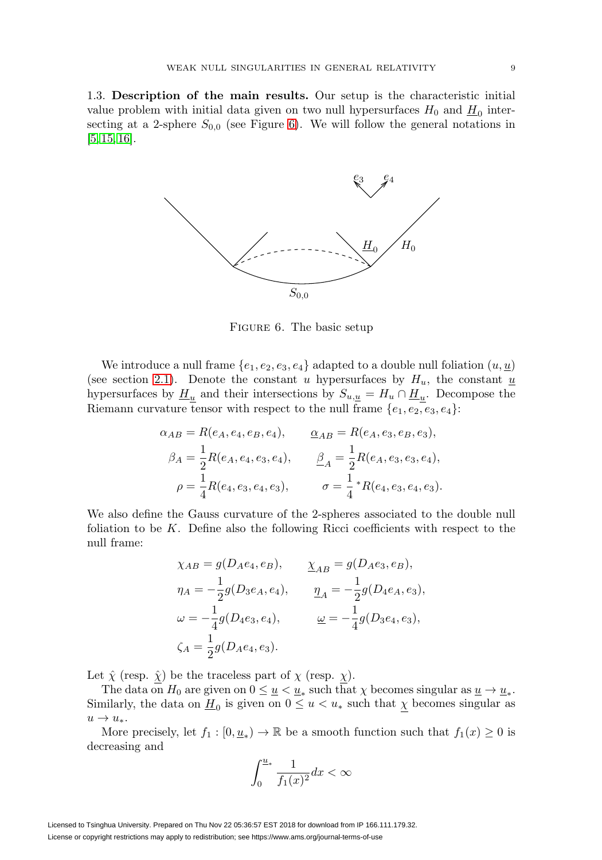<span id="page-8-0"></span>1.3. **Description of the main results.** Our setup is the characteristic initial value problem with initial data given on two null hypersurfaces  $H_0$  and  $H_0$  intersecting at a 2-sphere  $S_{0,0}$  (see Figure [6\)](#page-8-1). We will follow the general notations in  $[5, 15, 16].$  $[5, 15, 16].$  $[5, 15, 16].$  $[5, 15, 16].$ 



<span id="page-8-1"></span>FIGURE 6. The basic setup

We introduce a null frame  $\{e_1, e_2, e_3, e_4\}$  adapted to a double null foliation  $(u, \underline{u})$ (see section [2.1\)](#page-15-0). Denote the constant u hypersurfaces by  $H_u$ , the constant  $u$ hypersurfaces by  $\underline{H}_u$  and their intersections by  $S_{u,\underline{u}} = H_u \cap \underline{H}_u$ . Decompose the Riemann curvature tensor with respect to the null frame  $\{e_1, e_2, e_3, e_4\}$ :

$$
\alpha_{AB} = R(e_A, e_4, e_B, e_4), \qquad \underline{\alpha}_{AB} = R(e_A, e_3, e_B, e_3),
$$
  
\n
$$
\beta_A = \frac{1}{2}R(e_A, e_4, e_3, e_4), \qquad \underline{\beta}_A = \frac{1}{2}R(e_A, e_3, e_3, e_4),
$$
  
\n
$$
\rho = \frac{1}{4}R(e_4, e_3, e_4, e_3), \qquad \sigma = \frac{1}{4} * R(e_4, e_3, e_4, e_3).
$$

We also define the Gauss curvature of the 2-spheres associated to the double null foliation to be  $K$ . Define also the following Ricci coefficients with respect to the null frame:

$$
\chi_{AB} = g(D_A e_4, e_B), \qquad \chi_{AB} = g(D_A e_3, e_B),
$$
  
\n
$$
\eta_A = -\frac{1}{2}g(D_3 e_A, e_4), \qquad \underline{\eta}_A = -\frac{1}{2}g(D_4 e_A, e_3),
$$
  
\n
$$
\omega = -\frac{1}{4}g(D_4 e_3, e_4), \qquad \underline{\omega} = -\frac{1}{4}g(D_3 e_4, e_3),
$$
  
\n
$$
\zeta_A = \frac{1}{2}g(D_A e_4, e_3).
$$

Let  $\hat{\chi}$  (resp.  $\hat{\chi}$ ) be the traceless part of  $\chi$  (resp.  $\chi$ ).

The data on  $H_0$  are given on  $0 \leq \underline{u} \leq \underline{u}_*$  such that  $\chi$  becomes singular as  $\underline{u} \to \underline{u}_*$ . Similarly, the data on  $\underline{H}_0$  is given on  $0 \le u < u_*$  such that  $\chi$  becomes singular as  $u \rightarrow u_*$ .

More precisely, let  $f_1 : [0, \underline{u}_*) \to \mathbb{R}$  be a smooth function such that  $f_1(x) \geq 0$  is decreasing and

$$
\int_0^{\underline{u}_*}\frac{1}{f_1(x)^2}dx < \infty
$$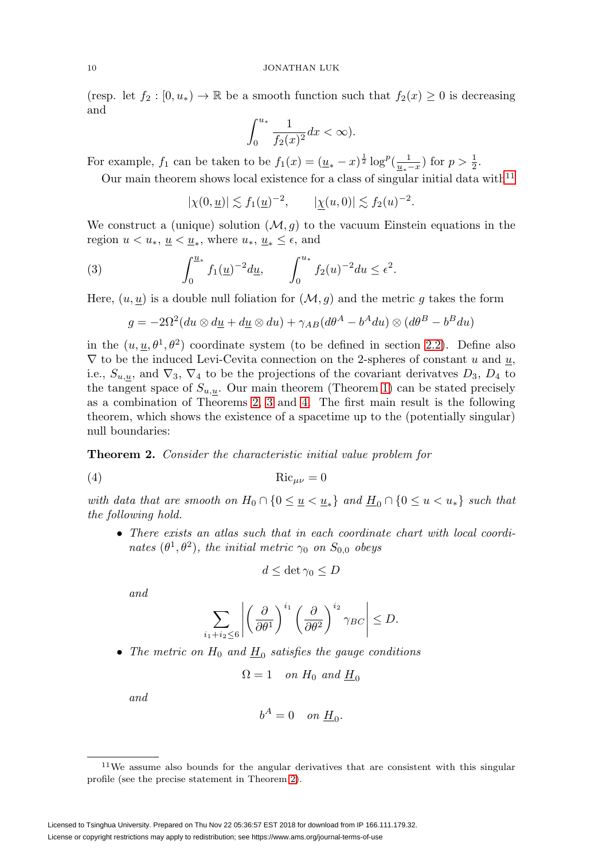(resp. let  $f_2 : [0, u_*) \to \mathbb{R}$  be a smooth function such that  $f_2(x) \geq 0$  is decreasing and

$$
\int_0^{u_*} \frac{1}{f_2(x)^2} dx < \infty).
$$

For example,  $f_1$  can be taken to be  $f_1(x) = (\underline{u}_* - x)^{\frac{1}{2}} \log^p(\frac{1}{\underline{u}_* - x})$  for  $p > \frac{1}{2}$ .

Our main theorem shows local existence for a class of singular initial data with<sup>[11](#page-9-1)</sup>

 $|\chi(0, \underline{u})| \lesssim f_1(\underline{u})^{-2}, \qquad |\chi(u, 0)| \lesssim f_2(u)^{-2}.$ 

We construct a (unique) solution  $(M, g)$  to the vacuum Einstein equations in the region  $u < u_*, \underline{u} < \underline{u}_*,$  where  $u_*, \underline{u}_* \leq \epsilon$ , and

(3) 
$$
\int_0^{\underline{u}_*} f_1(\underline{u})^{-2} d\underline{u}, \qquad \int_0^{u_*} f_2(u)^{-2} du \le \epsilon^2.
$$

Here,  $(u, \underline{u})$  is a double null foliation for  $(\mathcal{M}, g)$  and the metric g takes the form

$$
g = -2\Omega^2 (du \otimes d\underline{u} + d\underline{u} \otimes du) + \gamma_{AB} (d\theta^A - b^A du) \otimes (d\theta^B - b^B du)
$$

in the  $(u, \underline{u}, \theta^1, \theta^2)$  coordinate system (to be defined in section [2.2\)](#page-16-0). Define also  $\nabla$  to be the induced Levi-Cevita connection on the 2-spheres of constant u and  $\underline{u}$ , i.e.,  $S_{u,u}$ , and  $\nabla_3$ ,  $\nabla_4$  to be the projections of the covariant derivatves  $D_3$ ,  $D_4$  to the tangent space of  $S_{u,u}$ . Our main theorem (Theorem [1\)](#page-3-1) can be stated precisely as a combination of Theorems [2,](#page-9-0) [3](#page-10-0) and [4.](#page-11-0) The first main result is the following theorem, which shows the existence of a spacetime up to the (potentially singular) null boundaries:

<span id="page-9-0"></span>**Theorem 2.** Consider the characteristic initial value problem for

<span id="page-9-2"></span>
$$
\text{(4)} \quad \text{Ric}_{\mu\nu} = 0
$$

with data that are smooth on  $H_0 \cap \{0 \le u \le u_*\}$  and  $H_0 \cap \{0 \le u \le u_*\}$  such that the following hold.

• There exists an atlas such that in each coordinate chart with local coordinates  $(\theta^1, \theta^2)$ , the initial metric  $\gamma_0$  on  $S_{0,0}$  obeys

$$
d \leq \det \gamma_0 \leq D
$$

and

$$
\sum_{i_1+i_2\leq 6}\left|\left(\frac{\partial}{\partial\theta^1}\right)^{i_1}\left(\frac{\partial}{\partial\theta^2}\right)^{i_2}\gamma_{BC}\right|\leq D.
$$

• The metric on  $H_0$  and  $H_0$  satisfies the gauge conditions

 $\Omega=1$  on  $H_0$  and  $H_0$ 

and

$$
b^A = 0 \quad on \underline{H}_0.
$$

<span id="page-9-1"></span><sup>11</sup>We assume also bounds for the angular derivatives that are consistent with this singular profile (see the precise statement in Theorem [2\)](#page-9-0).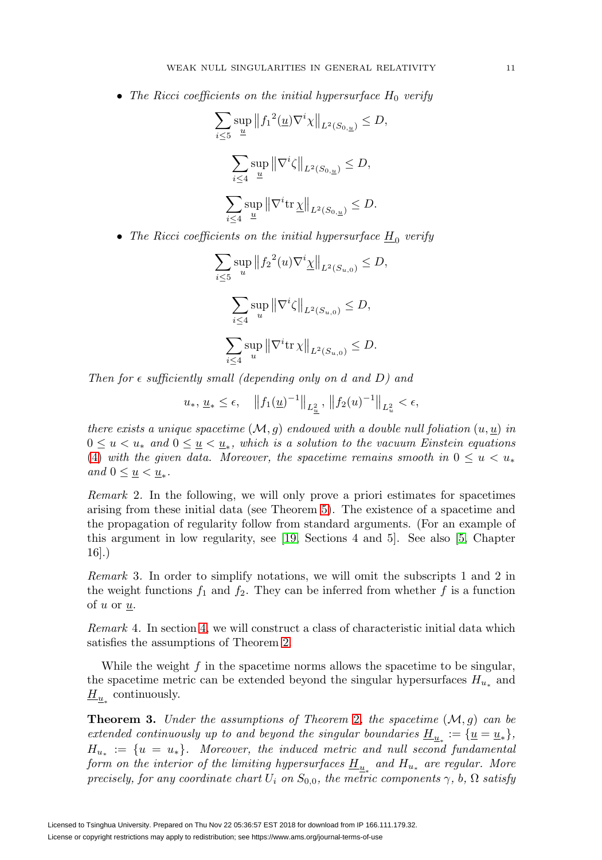• The Ricci coefficients on the initial hypersurface  $H_0$  verify

$$
\begin{aligned} \sum_{i\leq 5}\sup_{\underline{u}}\left\|f_1{}^2(\underline{u})\nabla^i\chi\right\|_{L^2(S_{0,\underline{u}})}\leq D,\\ \sum_{i\leq 4}\sup_{\underline{u}}\left\|\nabla^i\zeta\right\|_{L^2(S_{0,\underline{u}})}\leq D,\\ \sum_{i\leq 4}\sup_{\underline{u}}\left\|\nabla^i\mathrm{tr}\,\underline{\chi}\right\|_{L^2(S_{0,\underline{u}})}\leq D. \end{aligned}
$$

• The Ricci coefficients on the initial hypersurface  $H_0$  verify

$$
\sum_{i \leq 5} \sup_{u} \|f_2^2(u)\nabla^i \underline{\chi}\|_{L^2(S_{u,0})} \leq D,
$$
  

$$
\sum_{i \leq 4} \sup_{u} \|\nabla^i \zeta\|_{L^2(S_{u,0})} \leq D,
$$
  

$$
\sum_{i \leq 4} \sup_{u} \|\nabla^i \text{tr}\,\chi\|_{L^2(S_{u,0})} \leq D.
$$

Then for  $\epsilon$  sufficiently small (depending only on d and D) and

$$
u_*, \underline{u}_* \leq \epsilon, \quad ||f_1(\underline{u})^{-1}||_{L^2_{\underline{u}}}, ||f_2(u)^{-1}||_{L^2_{u}} < \epsilon,
$$

there exists a unique spacetime  $(M, g)$  endowed with a double null foliation  $(u, \underline{u})$  in  $0 \leq u \leq u_*$  and  $0 \leq \underline{u} \leq \underline{u}_*$ , which is a solution to the vacuum Einstein equations [\(4\)](#page-9-2) with the given data. Moreover, the spacetime remains smooth in  $0 \le u < u_*$ and  $0 \leq \underline{u} < \underline{u}_*.$ 

Remark 2. In the following, we will only prove a priori estimates for spacetimes arising from these initial data (see Theorem [5\)](#page-23-0). The existence of a spacetime and the propagation of regularity follow from standard arguments. (For an example of this argument in low regularity, see [\[19,](#page-62-10) Sections 4 and 5]. See also [\[5,](#page-61-2) Chapter 16].)

Remark 3. In order to simplify notations, we will omit the subscripts 1 and 2 in the weight functions  $f_1$  and  $f_2$ . They can be inferred from whether f is a function of u or u.

Remark 4. In section [4,](#page-23-1) we will construct a class of characteristic initial data which satisfies the assumptions of Theorem [2.](#page-9-0)

While the weight  $f$  in the spacetime norms allows the spacetime to be singular, the spacetime metric can be extended beyond the singular hypersurfaces  $H_{u_*}$  and  $H_u$  continuously.

<span id="page-10-0"></span>**Theorem 3.** Under the assumptions of Theorem [2](#page-9-0), the spacetime  $(M, g)$  can be extended continuously up to and beyond the singular boundaries  $\underline{H}_u$  := { $\underline{u} = \underline{u}_*$ },  $H_{u_*} := \{u = u_*\}.$  Moreover, the induced metric and null second fundamental form on the interior of the limiting hypersurfaces  $\underline{H}_{u_{\ast}}$  and  $H_{u_{\ast}}$  are regular. More precisely, for any coordinate chart  $U_i$  on  $S_{0,0}$ , the metric components  $\gamma$ , b,  $\Omega$  satisfy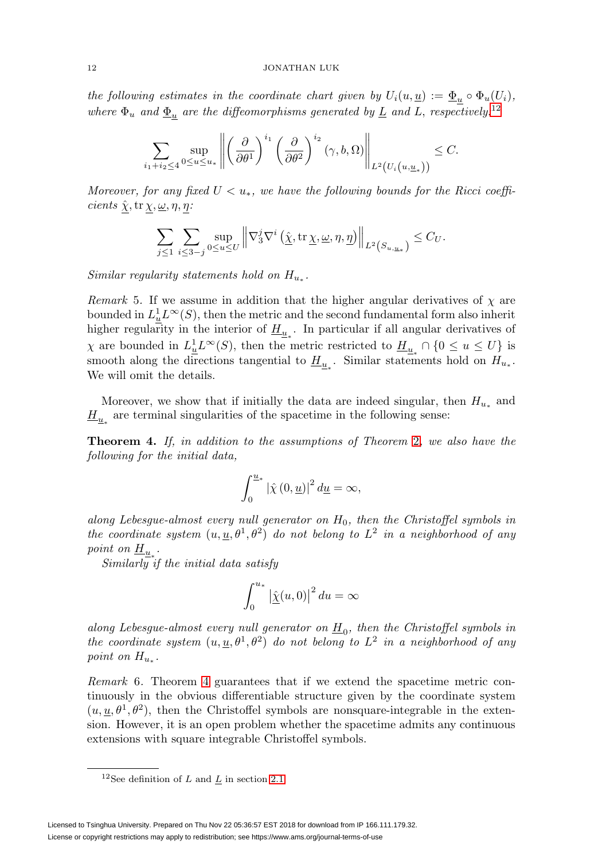the following estimates in the coordinate chart given by  $U_i(u, \underline{u}) := \underline{\Phi}_u \circ \Phi_u(U_i)$ , where  $\Phi_u$  and  $\underline{\Phi}_u$  are the diffeomorphisms generated by  $\underline{L}$  and L, respectively:<sup>[12](#page-11-1)</sup>

$$
\sum_{i_1+i_2\leq 4}\sup_{0\leq u\leq u_*}\left\|\left(\frac{\partial}{\partial\theta^1}\right)^{i_1}\left(\frac{\partial}{\partial\theta^2}\right)^{i_2}(\gamma,b,\Omega)\right\|_{L^2\left(U_i\left(u,\underline{u}_*\right)\right)}\leq C.
$$

Moreover, for any fixed  $U < u_*$ , we have the following bounds for the Ricci coefficients  $\hat{\chi}$ , tr  $\chi$ ,  $\underline{\omega}$ ,  $\eta$ ,  $\eta$ :

$$
\sum_{j\leq 1}\sum_{i\leq 3-j}\sup_{0\leq u\leq U}\left\|\nabla_3^j\nabla^i\left(\underline{\hat{\chi}}, \operatorname{tr}\underline{\chi}, \underline{\omega}, \eta, \underline{\eta}\right)\right\|_{L^2\left(S_{u,u_*}\right)}\leq C_U.
$$

Similar regularity statements hold on  $H_{u_*}$ .

*Remark* 5. If we assume in addition that the higher angular derivatives of  $\chi$  are bounded in  $L^1_{\underline{u}} L^{\infty}(S)$ , then the metric and the second fundamental form also inherit higher regularity in the interior of  $\underline{H}_{u_*}$ . In particular if all angular derivatives of  $\chi$  are bounded in  $L^1_{\underline{u}} L^{\infty}(S)$ , then the metric restricted to  $\underline{H}_{\underline{u}_*} \cap \{0 \leq u \leq U\}$  is smooth along the directions tangential to  $\underline{H}_{\underline{u}_*}$ . Similar statements hold on  $H_{u_*}$ . We will omit the details.

Moreover, we show that if initially the data are indeed singular, then  $H_{u_*}$  and  $\underline{H}_{u_{\mu}}$  are terminal singularities of the spacetime in the following sense:

<span id="page-11-0"></span>**Theorem 4.** If, in addition to the assumptions of Theorem [2](#page-9-0), we also have the following for the initial data,

$$
\int_0^{\underline{u}_*} \left| \hat{\chi}(0, \underline{u}) \right|^2 d\underline{u} = \infty,
$$

along Lebesgue-almost every null generator on  $H_0$ , then the Christoffel symbols in the coordinate system  $(u, \underline{u}, \theta^1, \theta^2)$  do not belong to  $L^2$  in a neighborhood of any point on  $\underline{H}_u$ .

Similarly if the initial data satisfy

$$
\int_0^{u_*}\left|\hat{\underline{\chi}}(u,0)\right|^2du=\infty
$$

along Lebesgue-almost every null generator on  $\underline{H}_0$ , then the Christoffel symbols in the coordinate system  $(u, \underline{u}, \theta^1, \theta^2)$  do not belong to  $L^2$  in a neighborhood of any point on  $H_{u_*}$ .

Remark 6. Theorem [4](#page-11-0) guarantees that if we extend the spacetime metric continuously in the obvious differentiable structure given by the coordinate system  $(u, \underline{u}, \theta^1, \theta^2)$ , then the Christoffel symbols are nonsquare-integrable in the extension. However, it is an open problem whether the spacetime admits any continuous extensions with square integrable Christoffel symbols.

<span id="page-11-1"></span><sup>&</sup>lt;sup>12</sup>See definition of L and <u>L</u> in section [2.1.](#page-15-0)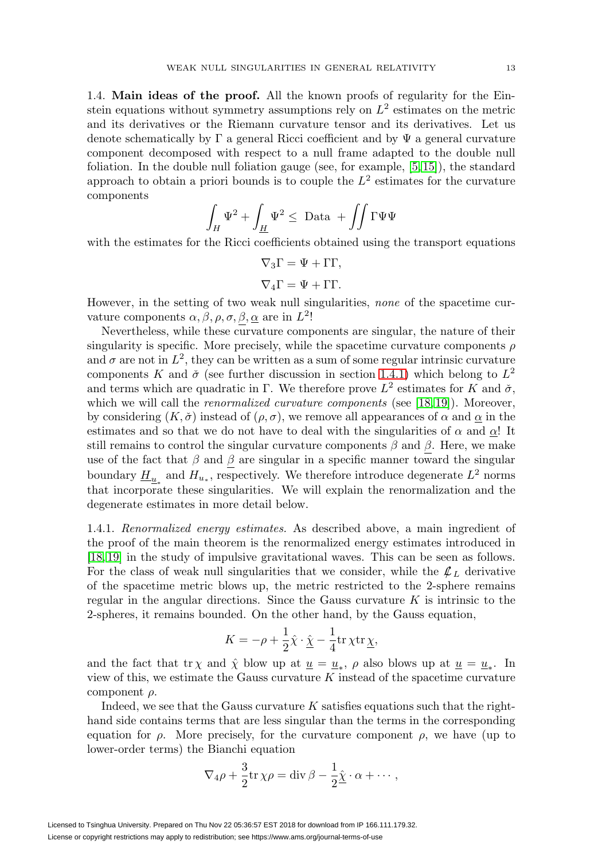1.4. **Main ideas of the proof.** All the known proofs of regularity for the Einstein equations without symmetry assumptions rely on  $L^2$  estimates on the metric and its derivatives or the Riemann curvature tensor and its derivatives. Let us denote schematically by  $\Gamma$  a general Ricci coefficient and by  $\Psi$  a general curvature component decomposed with respect to a null frame adapted to the double null foliation. In the double null foliation gauge (see, for example, [\[5,](#page-61-2) [15\]](#page-62-11)), the standard approach to obtain a priori bounds is to couple the  $L<sup>2</sup>$  estimates for the curvature components

$$
\int_H \Psi^2 + \int_{\underline{H}} \Psi^2 \leq \text{ Data } + \iint \Gamma \Psi \Psi
$$

with the estimates for the Ricci coefficients obtained using the transport equations

$$
\nabla_3 \Gamma = \Psi + \Gamma \Gamma,
$$
  

$$
\nabla_4 \Gamma = \Psi + \Gamma \Gamma.
$$

However, in the setting of two weak null singularities, none of the spacetime curvature components  $\alpha, \beta, \rho, \sigma, \beta, \underline{\alpha}$  are in  $L^2!$ 

Nevertheless, while these curvature components are singular, the nature of their singularity is specific. More precisely, while the spacetime curvature components  $\rho$ and  $\sigma$  are not in  $L^2$ , they can be written as a sum of some regular intrinsic curvature components K and  $\check{\sigma}$  (see further discussion in section [1.4.1\)](#page-12-0) which belong to  $L^2$ and terms which are quadratic in Γ. We therefore prove  $L^2$  estimates for K and  $\check{\sigma}$ , which we will call the *renormalized curvature components* (see [\[18,](#page-62-9) [19\]](#page-62-10)). Moreover, by considering  $(K, \check{\sigma})$  instead of  $(\rho, \sigma)$ , we remove all appearances of  $\alpha$  and  $\alpha$  in the estimates and so that we do not have to deal with the singularities of  $\alpha$  and  $\underline{\alpha}!$  It still remains to control the singular curvature components  $\beta$  and  $\beta$ . Here, we make use of the fact that  $\beta$  and  $\beta$  are singular in a specific manner toward the singular boundary  $\underline{H}_{u_*}$  and  $H_{u_*}$ , respectively. We therefore introduce degenerate  $L^2$  norms that incorporate these singularities. We will explain the renormalization and the degenerate estimates in more detail below.

<span id="page-12-0"></span>1.4.1. Renormalized energy estimates. As described above, a main ingredient of the proof of the main theorem is the renormalized energy estimates introduced in [\[18,](#page-62-9) [19\]](#page-62-10) in the study of impulsive gravitational waves. This can be seen as follows. For the class of weak null singularities that we consider, while the  $\mathcal{L}_L$  derivative of the spacetime metric blows up, the metric restricted to the 2-sphere remains regular in the angular directions. Since the Gauss curvature  $K$  is intrinsic to the 2-spheres, it remains bounded. On the other hand, by the Gauss equation,

$$
K = -\rho + \frac{1}{2}\hat{\chi} \cdot \hat{\underline{\chi}} - \frac{1}{4} \text{tr} \,\chi \text{tr} \,\underline{\chi},
$$

and the fact that tr  $\chi$  and  $\hat{\chi}$  blow up at  $\underline{u} = \underline{u}_*, \rho$  also blows up at  $\underline{u} = \underline{u}_*.$  In view of this, we estimate the Gauss curvature  $K$  instead of the spacetime curvature component  $\rho$ .

Indeed, we see that the Gauss curvature  $K$  satisfies equations such that the righthand side contains terms that are less singular than the terms in the corresponding equation for  $\rho$ . More precisely, for the curvature component  $\rho$ , we have (up to lower-order terms) the Bianchi equation

$$
\nabla_4 \rho + \frac{3}{2} \text{tr} \,\chi \rho = \text{div} \,\beta - \frac{1}{2} \hat{\underline{\chi}} \cdot \alpha + \cdots,
$$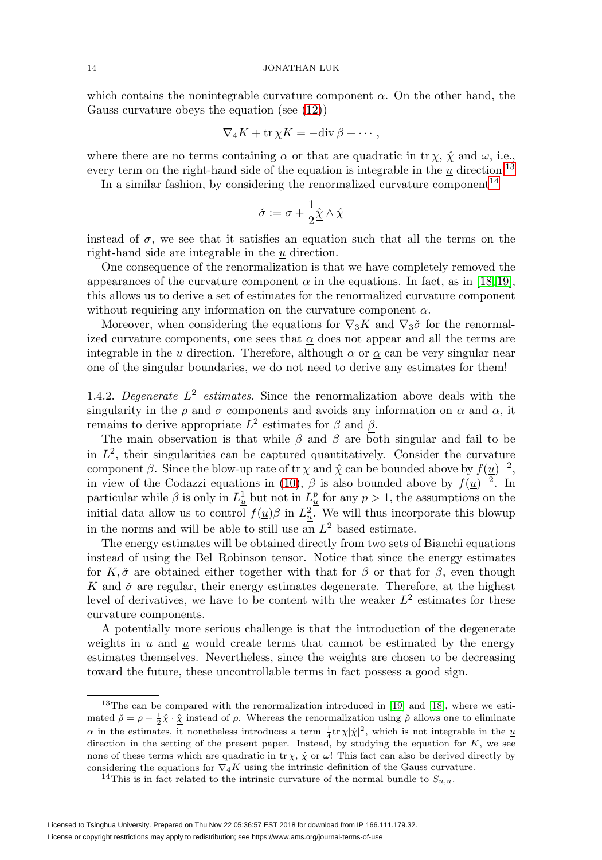which contains the nonintegrable curvature component  $\alpha$ . On the other hand, the Gauss curvature obeys the equation (see [\(12\)](#page-19-0))

$$
\nabla_4 K + \operatorname{tr} \chi K = -\operatorname{div} \beta + \cdots,
$$

where there are no terms containing  $\alpha$  or that are quadratic in tr  $\chi$ ,  $\hat{\chi}$  and  $\omega$ , i.e., every term on the right-hand side of the equation is integrable in the  $\underline{u}$  direction.<sup>[13](#page-13-0)</sup>

In a similar fashion, by considering the renormalized curvature component<sup>[14](#page-13-1)</sup>

$$
\check{\sigma} := \sigma + \frac{1}{2}\hat{\underline{\chi}} \wedge \hat{\chi}
$$

instead of  $\sigma$ , we see that it satisfies an equation such that all the terms on the right-hand side are integrable in the u direction.

One consequence of the renormalization is that we have completely removed the appearances of the curvature component  $\alpha$  in the equations. In fact, as in [\[18,](#page-62-9) [19\]](#page-62-10), this allows us to derive a set of estimates for the renormalized curvature component without requiring any information on the curvature component  $\alpha$ .

Moreover, when considering the equations for  $\nabla_3 K$  and  $\nabla_3 \check{\sigma}$  for the renormalized curvature components, one sees that  $\alpha$  does not appear and all the terms are integrable in the u direction. Therefore, although  $\alpha$  or  $\alpha$  can be very singular near one of the singular boundaries, we do not need to derive any estimates for them!

1.4.2. Degenerate  $L^2$  estimates. Since the renormalization above deals with the singularity in the  $\rho$  and  $\sigma$  components and avoids any information on  $\alpha$  and  $\alpha$ , it remains to derive appropriate  $\overline{L}^2$  estimates for  $\beta$  and  $\beta$ .

The main observation is that while  $\beta$  and  $\beta$  are both singular and fail to be in  $L^2$ , their singularities can be captured quantitatively. Consider the curvature component  $\beta$ . Since the blow-up rate of tr  $\chi$  and  $\hat{\chi}$  can be bounded above by  $f(\underline{u})^{-2}$ , in view of the Codazzi equations in [\(10\)](#page-18-0),  $\beta$  is also bounded above by  $f(\underline{u})^{-2}$ . In particular while  $\beta$  is only in  $L^1_{\underline{u}}$  but not in  $L^p_{\underline{u}}$  for any  $p > 1$ , the assumptions on the initial data allow us to control  $f(\underline{u})\beta$  in  $L^2_{\underline{u}}$ . We will thus incorporate this blowup in the norms and will be able to still use an  $L^2$  based estimate.

The energy estimates will be obtained directly from two sets of Bianchi equations instead of using the Bel–Robinson tensor. Notice that since the energy estimates for K,  $\check{\sigma}$  are obtained either together with that for  $\beta$  or that for  $\beta$ , even though K and  $\check{\sigma}$  are regular, their energy estimates degenerate. Therefore, at the highest level of derivatives, we have to be content with the weaker  $L^2$  estimates for these curvature components.

A potentially more serious challenge is that the introduction of the degenerate weights in u and  $\underline{u}$  would create terms that cannot be estimated by the energy estimates themselves. Nevertheless, since the weights are chosen to be decreasing toward the future, these uncontrollable terms in fact possess a good sign.

<span id="page-13-0"></span><sup>&</sup>lt;sup>13</sup>The can be compared with the renormalization introduced in [\[19\]](#page-62-10) and [\[18\]](#page-62-9), where we estimated  $\tilde{\rho} = \rho - \frac{1}{2}\hat{\chi} \cdot \hat{\chi}$  instead of  $\rho$ . Whereas the renormalization using  $\tilde{\rho}$  allows one to eliminate  $\alpha$  in the estimates, it nonetheless introduces a term  $\frac{1}{4} \text{tr} \underline{\chi} |\hat{\chi}|^2$ , which is not integrable in the  $\underline{u}$ direction in the setting of the present paper. Instead, by studying the equation for  $K$ , we see none of these terms which are quadratic in tr  $\chi$ ,  $\hat{\chi}$  or  $\omega$ ! This fact can also be derived directly by considering the equations for  $\nabla_4 K$  using the intrinsic definition of the Gauss curvature.

<span id="page-13-1"></span><sup>&</sup>lt;sup>14</sup>This is in fact related to the intrinsic curvature of the normal bundle to  $S_{u,u}$ .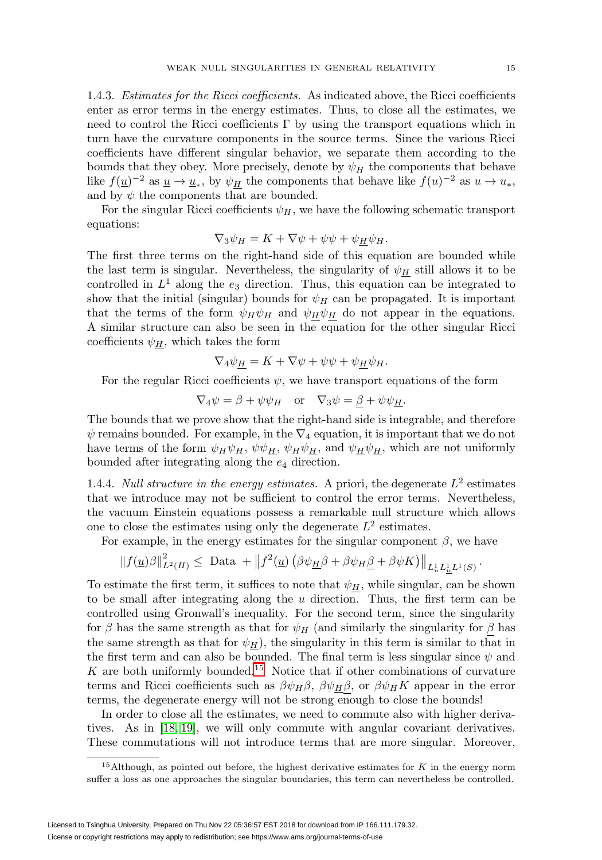1.4.3. Estimates for the Ricci coefficients. As indicated above, the Ricci coefficients enter as error terms in the energy estimates. Thus, to close all the estimates, we need to control the Ricci coefficients  $\Gamma$  by using the transport equations which in turn have the curvature components in the source terms. Since the various Ricci coefficients have different singular behavior, we separate them according to the bounds that they obey. More precisely, denote by  $\psi_H$  the components that behave like  $f(\underline{u})^{-2}$  as  $\underline{u} \to \underline{u}_*$ , by  $\psi_H$  the components that behave like  $f(u)^{-2}$  as  $u \to u_*$ , and by  $\psi$  the components that are bounded.

For the singular Ricci coefficients  $\psi_H$ , we have the following schematic transport equations:

$$
\nabla_3 \psi_H = K + \nabla \psi + \psi \psi + \psi_H \psi_H.
$$

The first three terms on the right-hand side of this equation are bounded while the last term is singular. Nevertheless, the singularity of  $\psi_H$  still allows it to be controlled in  $L^1$  along the  $e_3$  direction. Thus, this equation can be integrated to show that the initial (singular) bounds for  $\psi_H$  can be propagated. It is important that the terms of the form  $\psi_H \psi_H$  and  $\psi_H \psi_H$  do not appear in the equations. A similar structure can also be seen in the equation for the other singular Ricci coefficients  $\psi_H$ , which takes the form

$$
\nabla_4 \psi_{\underline{H}} = K + \nabla \psi + \psi \psi + \psi_{\underline{H}} \psi_H.
$$

For the regular Ricci coefficients  $\psi$ , we have transport equations of the form

$$
\nabla_4 \psi = \beta + \psi \psi_H \quad \text{or} \quad \nabla_3 \psi = \beta + \psi \psi_H.
$$

The bounds that we prove show that the right-hand side is integrable, and therefore  $\psi$  remains bounded. For example, in the  $\nabla_4$  equation, it is important that we do not have terms of the form  $\psi_H \psi_H$ ,  $\psi_{H} \psi_H$ ,  $\psi_H \psi_H$ , and  $\psi_H \psi_H$ , which are not uniformly bounded after integrating along the  $e_4$  direction.

1.4.4. Null structure in the energy estimates. A priori, the degenerate  $L^2$  estimates that we introduce may not be sufficient to control the error terms. Nevertheless, the vacuum Einstein equations possess a remarkable null structure which allows one to close the estimates using only the degenerate  $L^2$  estimates.

For example, in the energy estimates for the singular component  $\beta$ , we have

$$
\left\|f(\underline{u})\beta\right\|_{L^2(H)}^2 \leq \text{ Data } + \left\|f^2(\underline{u})\left(\beta\psi_{\underline{H}}\beta + \beta\psi_{H}\underline{\beta} + \beta\psi K\right)\right\|_{L^1_u L^1_{\underline{u}} L^1(S)}.
$$

To estimate the first term, it suffices to note that  $\psi_H$ , while singular, can be shown to be small after integrating along the u direction. Thus, the first term can be controlled using Gronwall's inequality. For the second term, since the singularity for  $\beta$  has the same strength as that for  $\psi_H$  (and similarly the singularity for  $\beta$  has the same strength as that for  $\psi_H$ ), the singularity in this term is similar to that in the first term and can also be bounded. The final term is less singular since  $\psi$  and K are both uniformly bounded.<sup>[15](#page-14-0)</sup> Notice that if other combinations of curvature terms and Ricci coefficients such as  $\beta \psi_H \beta$ ,  $\beta \psi_H \beta$ , or  $\beta \psi_H K$  appear in the error terms, the degenerate energy will not be strong enough to close the bounds!

In order to close all the estimates, we need to commute also with higher derivatives. As in [\[18,](#page-62-9) [19\]](#page-62-10), we will only commute with angular covariant derivatives. These commutations will not introduce terms that are more singular. Moreover,

<span id="page-14-0"></span><sup>&</sup>lt;sup>15</sup>Although, as pointed out before, the highest derivative estimates for K in the energy norm suffer a loss as one approaches the singular boundaries, this term can nevertheless be controlled.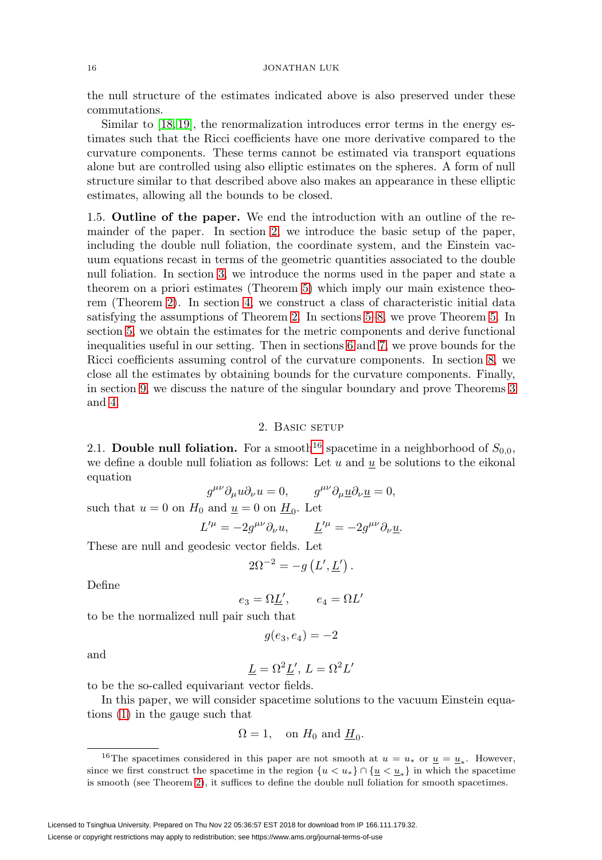the null structure of the estimates indicated above is also preserved under these commutations.

Similar to [\[18,](#page-62-9) [19\]](#page-62-10), the renormalization introduces error terms in the energy estimates such that the Ricci coefficients have one more derivative compared to the curvature components. These terms cannot be estimated via transport equations alone but are controlled using also elliptic estimates on the spheres. A form of null structure similar to that described above also makes an appearance in these elliptic estimates, allowing all the bounds to be closed.

1.5. **Outline of the paper.** We end the introduction with an outline of the remainder of the paper. In section [2,](#page-15-1) we introduce the basic setup of the paper, including the double null foliation, the coordinate system, and the Einstein vacuum equations recast in terms of the geometric quantities associated to the double null foliation. In section [3,](#page-21-0) we introduce the norms used in the paper and state a theorem on a priori estimates (Theorem [5\)](#page-23-0) which imply our main existence theorem (Theorem [2\)](#page-9-0). In section [4,](#page-23-1) we construct a class of characteristic initial data satisfying the assumptions of Theorem [2.](#page-9-0) In sections [5–](#page-27-0)[8,](#page-47-0) we prove Theorem [5.](#page-23-0) In section [5,](#page-27-0) we obtain the estimates for the metric components and derive functional inequalities useful in our setting. Then in sections [6](#page-33-0) and [7,](#page-38-0) we prove bounds for the Ricci coefficients assuming control of the curvature components. In section [8,](#page-47-0) we close all the estimates by obtaining bounds for the curvature components. Finally, in section [9,](#page-55-0) we discuss the nature of the singular boundary and prove Theorems [3](#page-10-0) and [4.](#page-11-0)

### 2. BASIC SETUP

<span id="page-15-1"></span><span id="page-15-0"></span>2.1. **Double null foliation.** For a smooth<sup>[16](#page-15-2)</sup> spacetime in a neighborhood of  $S_{0,0}$ , we define a double null foliation as follows: Let  $u$  and  $\underline{u}$  be solutions to the eikonal equation

$$
g^{\mu\nu}\partial_{\mu}u\partial_{\nu}u = 0, \qquad g^{\mu\nu}\partial_{\mu}\underline{u}\partial_{\nu}\underline{u} = 0,
$$
  
such that  $u = 0$  on  $H_0$  and  $\underline{u} = 0$  on  $\underline{H}_0$ . Let  

$$
L^{\prime \mu} = -2g^{\mu\nu}\partial_{\nu}u, \qquad \underline{L}^{\prime \mu} = -2g^{\mu\nu}\partial_{\nu}\underline{u}.
$$

These are null and geodesic vector fields. Let

$$
2\Omega^{-2} = -g\left(L', \underline{L'}\right)
$$

.

Define

$$
e_3 = \Omega \underline{L}', \qquad e_4 = \Omega L'
$$

to be the normalized null pair such that

$$
g(e_3, e_4) = -2
$$

and

$$
\underline{L} = \Omega^2 \underline{L}', L = \Omega^2 L'
$$

to be the so-called equivariant vector fields.

In this paper, we will consider spacetime solutions to the vacuum Einstein equations [\(1\)](#page-1-3) in the gauge such that

$$
\Omega = 1, \quad \text{on } H_0 \text{ and } \underline{H}_0.
$$

<span id="page-15-2"></span><sup>&</sup>lt;sup>16</sup>The spacetimes considered in this paper are not smooth at  $u = u_*$  or  $u = u_*$ . However, since we first construct the spacetime in the region  $\{u \lt u_*\} \cap \{u \lt u_*\}$  in which the spacetime is smooth (see Theorem [2\)](#page-9-0), it suffices to define the double null foliation for smooth spacetimes.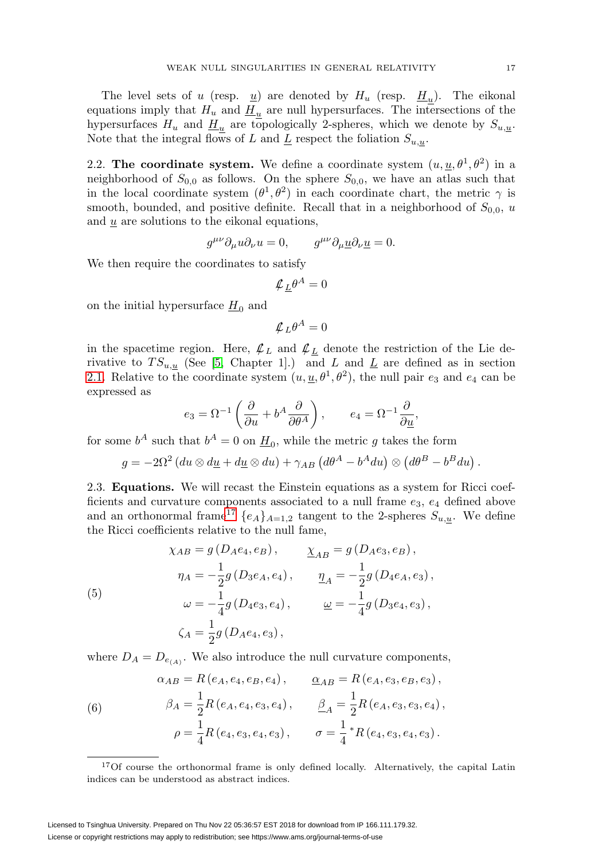The level sets of u (resp.  $\underline{u}$ ) are denoted by  $H_u$  (resp.  $\underline{H}_u$ ). The eikonal equations imply that  $H_u$  and  $\underline{H}_u$  are null hypersurfaces. The intersections of the hypersurfaces  $H_u$  and  $\underline{H}_u$  are topologically 2-spheres, which we denote by  $S_{u,\underline{u}}$ . Note that the integral flows of L and  $\underline{L}$  respect the foliation  $S_{u,u}$ .

<span id="page-16-0"></span>2.2. **The coordinate system.** We define a coordinate system  $(u, \underline{u}, \theta^1, \theta^2)$  in a neighborhood of  $S_{0,0}$  as follows. On the sphere  $S_{0,0}$ , we have an atlas such that in the local coordinate system  $(\theta^1, \theta^2)$  in each coordinate chart, the metric  $\gamma$  is smooth, bounded, and positive definite. Recall that in a neighborhood of  $S_{0,0}$ , u and  $u$  are solutions to the eikonal equations,

$$
g^{\mu\nu}\partial_{\mu}u\partial_{\nu}u = 0, \qquad g^{\mu\nu}\partial_{\mu}\underline{u}\partial_{\nu}\underline{u} = 0.
$$

We then require the coordinates to satisfy

$$
\mathcal{L}_{\underline{L}}\theta^A=0
$$

on the initial hypersurface  $H_0$  and

$$
\mathcal{L}_L \theta^A = 0
$$

in the spacetime region. Here,  $\mathcal{L}_L$  and  $\mathcal{L}_{\underline{L}}$  denote the restriction of the Lie derivative to  $TS_{u,\underline{u}}$  (See [\[5,](#page-61-2) Chapter 1].) and L and <u>L</u> are defined as in section [2.1.](#page-15-0) Relative to the coordinate system  $(u, \underline{u}, \theta^1, \theta^2)$ , the null pair  $e_3$  and  $e_4$  can be expressed as

$$
e_3 = \Omega^{-1} \left( \frac{\partial}{\partial u} + b^A \frac{\partial}{\partial \theta^A} \right), \qquad e_4 = \Omega^{-1} \frac{\partial}{\partial \underline{u}},
$$

for some  $b^A$  such that  $b^A = 0$  on  $\underline{H}_0$ , while the metric g takes the form

$$
g = -2\Omega^2 (du \otimes d\underline{u} + d\underline{u} \otimes du) + \gamma_{AB} (d\theta^A - b^A du) \otimes (d\theta^B - b^B du).
$$

2.3. **Equations.** We will recast the Einstein equations as a system for Ricci coefficients and curvature components associated to a null frame  $e_3$ ,  $e_4$  defined above and an orthonormal frame<sup>[17](#page-16-1)</sup>  $\{e_A\}_{A=1,2}$  tangent to the 2-spheres  $S_{u,u}$ . We define the Ricci coefficients relative to the null fame,

(5)  
\n
$$
\chi_{AB} = g(D_A e_4, e_B), \qquad \underline{\chi}_{AB} = g(D_A e_3, e_B),
$$
\n
$$
\eta_A = -\frac{1}{2}g(D_3 e_A, e_4), \qquad \underline{\eta}_A = -\frac{1}{2}g(D_4 e_A, e_3),
$$
\n
$$
\omega = -\frac{1}{4}g(D_4 e_3, e_4), \qquad \underline{\omega} = -\frac{1}{4}g(D_3 e_4, e_3),
$$
\n
$$
\zeta_A = \frac{1}{2}g(D_A e_4, e_3),
$$

where  $D_A = D_{e_{(A)}}$ . We also introduce the null curvature components,

(6) 
$$
\alpha_{AB} = R(e_A, e_4, e_B, e_4), \qquad \underline{\alpha}_{AB} = R(e_A, e_3, e_B, e_3),
$$

$$
\beta_A = \frac{1}{2}R(e_A, e_4, e_3, e_4), \qquad \underline{\beta}_A = \frac{1}{2}R(e_A, e_3, e_3, e_4),
$$

$$
\rho = \frac{1}{4}R(e_4, e_3, e_4, e_3), \qquad \sigma = \frac{1}{4} * R(e_4, e_3, e_4, e_3).
$$

<span id="page-16-1"></span><sup>&</sup>lt;sup>17</sup>Of course the orthonormal frame is only defined locally. Alternatively, the capital Latin indices can be understood as abstract indices.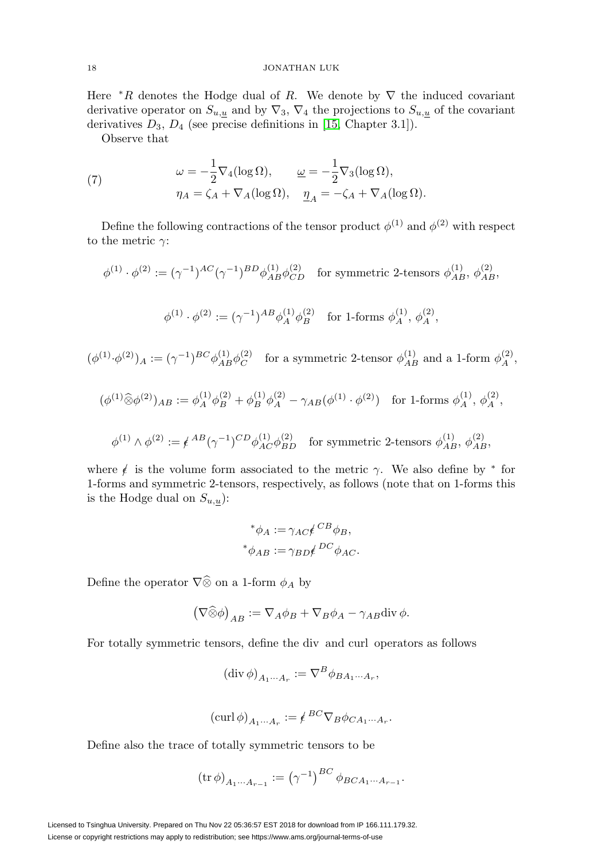### 18 JONATHAN LUK

Here  $*R$  denotes the Hodge dual of R. We denote by  $\nabla$  the induced covariant derivative operator on  $S_{u,u}$  and by  $\nabla_3$ ,  $\nabla_4$  the projections to  $S_{u,u}$  of the covariant derivatives  $D_3$ ,  $D_4$  (see precise definitions in [\[15,](#page-62-11) Chapter 3.1]).

Observe that

<span id="page-17-0"></span>(7) 
$$
\omega = -\frac{1}{2} \nabla_4 (\log \Omega), \qquad \underline{\omega} = -\frac{1}{2} \nabla_3 (\log \Omega), \eta_A = \zeta_A + \nabla_A (\log \Omega), \quad \underline{\eta}_A = -\zeta_A + \nabla_A (\log \Omega).
$$

Define the following contractions of the tensor product  $\phi^{(1)}$  and  $\phi^{(2)}$  with respect to the metric  $\gamma$ :

$$
\phi^{(1)} \cdot \phi^{(2)} := (\gamma^{-1})^{AC} (\gamma^{-1})^{BD} \phi_{AB}^{(1)} \phi_{CD}^{(2)}
$$
 for symmetric 2-tensors  $\phi_{AB}^{(1)}$ ,  $\phi_{AB}^{(2)}$ ,  

$$
\phi^{(1)} \cdot \phi^{(2)} := (\gamma^{-1})^{AB} \phi_A^{(1)} \phi_B^{(2)}
$$
 for 1-forms  $\phi_A^{(1)}$ ,  $\phi_A^{(2)}$ ,

 $(\phi^{(1)} \cdot \phi^{(2)})_A := (\gamma^{-1})^{BC} \phi^{(1)}_{AB} \phi^{(2)}_C$  for a symmetric 2-tensor  $\phi^{(1)}_{AB}$  and a 1-form  $\phi^{(2)}_A$ ,

$$
(\phi^{(1)}\widehat{\otimes}\phi^{(2)})_{AB} := \phi^{(1)}_A \phi^{(2)}_B + \phi^{(1)}_B \phi^{(2)}_A - \gamma_{AB}(\phi^{(1)} \cdot \phi^{(2)}) \text{ for 1-forms } \phi^{(1)}_A, \phi^{(2)}_A,
$$

$$
\phi^{(1)} \wedge \phi^{(2)} := \phi^{AB} (\gamma^{-1})^{CD} \phi^{(1)}_{AC} \phi^{(2)}_{BD} \text{ for symmetric 2-tensors } \phi^{(1)}_{AB}, \phi^{(2)}_{AB},
$$

where  $\rlap{/}$  is the volume form associated to the metric  $\gamma$ . We also define by  $*$  for 1-forms and symmetric 2-tensors, respectively, as follows (note that on 1-forms this is the Hodge dual on  $S_{u,u}$ ):

$$
^*\phi_A := \gamma_{AC} \not\in {}^{CB} \phi_B,
$$
  

$$
^*\phi_{AB} := \gamma_{BD} \not\in {}^{DC} \phi_{AC}.
$$

Define the operator  $\nabla \hat{\otimes}$  on a 1-form  $\phi_A$  by

$$
(\nabla \widehat{\otimes} \phi)_{AB} := \nabla_A \phi_B + \nabla_B \phi_A - \gamma_{AB} \text{div} \, \phi.
$$

For totally symmetric tensors, define the div and curl operators as follows

$$
(\operatorname{div}\phi)_{A_1\cdots A_r} := \nabla^B \phi_{BA_1\cdots A_r},
$$

$$
(\operatorname{curl} \phi)_{A_1\cdots A_r} := \oint^{BC} \nabla_B \phi_{CA_1\cdots A_r}.
$$

Define also the trace of totally symmetric tensors to be

$$
(\operatorname{tr}\phi)_{A_1\cdots A_{r-1}} := \left(\gamma^{-1}\right)^{BC} \phi_{BCA_1\cdots A_{r-1}}.
$$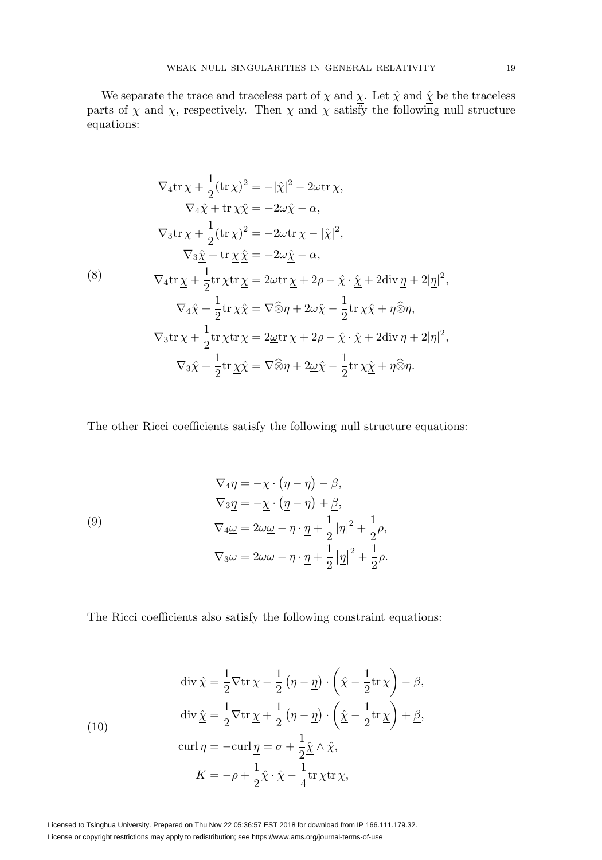We separate the trace and traceless part of  $\chi$  and  $\chi$ . Let  $\hat{\chi}$  and  $\hat{\chi}$  be the traceless parts of  $\chi$  and  $\chi$ , respectively. Then  $\chi$  and  $\chi$  satisfy the following null structure equations:

<span id="page-18-2"></span>
$$
\nabla_4 \text{tr} \,\chi + \frac{1}{2} (\text{tr} \,\chi)^2 = -|\hat{\chi}|^2 - 2\omega \text{tr} \,\chi,
$$
  
\n
$$
\nabla_4 \hat{\chi} + \text{tr} \,\chi \hat{\chi} = -2\omega \hat{\chi} - \alpha,
$$
  
\n
$$
\nabla_3 \text{tr} \,\underline{\chi} + \frac{1}{2} (\text{tr} \,\underline{\chi})^2 = -2\underline{\omega} \text{tr} \,\underline{\chi} - |\hat{\chi}|^2,
$$
  
\n
$$
\nabla_3 \hat{\underline{\chi}} + \text{tr} \,\underline{\chi} \,\hat{\underline{\chi}} = -2\underline{\omega} \hat{\underline{\chi}} - \underline{\alpha},
$$
  
\n(8)  
\n
$$
\nabla_4 \text{tr} \,\underline{\chi} + \frac{1}{2} \text{tr} \,\chi \text{tr} \,\underline{\chi} = 2\omega \text{tr} \,\underline{\chi} + 2\rho - \hat{\chi} \cdot \hat{\underline{\chi}} + 2 \text{div} \,\underline{\eta} + 2|\underline{\eta}|^2,
$$
  
\n
$$
\nabla_4 \hat{\underline{\chi}} + \frac{1}{2} \text{tr} \,\chi \hat{\underline{\chi}} = \nabla \widehat{\otimes} \underline{\eta} + 2\omega \hat{\underline{\chi}} - \frac{1}{2} \text{tr} \,\underline{\chi} \hat{\chi} + \underline{\eta} \widehat{\otimes} \underline{\eta},
$$
  
\n
$$
\nabla_3 \text{tr} \,\chi + \frac{1}{2} \text{tr} \,\underline{\chi} \text{tr} \,\chi = 2\underline{\omega} \text{tr} \,\chi + 2\rho - \hat{\chi} \cdot \hat{\underline{\chi}} + 2 \text{div} \,\eta + 2|\eta|^2,
$$
  
\n
$$
\nabla_3 \hat{\chi} + \frac{1}{2} \text{tr} \,\underline{\chi} \hat{\chi} = \nabla \widehat{\otimes} \eta + 2 \underline{\omega} \hat{\chi} - \frac{1}{2} \text{tr} \,\chi \hat{\underline{\chi}} + \eta \widehat{\otimes} \eta.
$$

The other Ricci coefficients satisfy the following null structure equations:

<span id="page-18-1"></span>(9)  
\n
$$
\nabla_4 \eta = -\chi \cdot (\eta - \underline{\eta}) - \beta,
$$
\n
$$
\nabla_3 \underline{\eta} = -\underline{\chi} \cdot (\underline{\eta} - \eta) + \underline{\beta},
$$
\n
$$
\nabla_4 \underline{\omega} = 2\omega \underline{\omega} - \eta \cdot \underline{\eta} + \frac{1}{2} |\eta|^2 + \frac{1}{2} \rho,
$$
\n
$$
\nabla_3 \omega = 2\omega \underline{\omega} - \eta \cdot \underline{\eta} + \frac{1}{2} |\underline{\eta}|^2 + \frac{1}{2} \rho.
$$

The Ricci coefficients also satisfy the following constraint equations:

<span id="page-18-0"></span>(10)  
\n
$$
\operatorname{div} \hat{\chi} = \frac{1}{2} \nabla \operatorname{tr} \chi - \frac{1}{2} \left( \eta - \underline{\eta} \right) \cdot \left( \hat{\chi} - \frac{1}{2} \operatorname{tr} \chi \right) - \beta,
$$
\n
$$
\operatorname{div} \hat{\underline{\chi}} = \frac{1}{2} \nabla \operatorname{tr} \underline{\chi} + \frac{1}{2} \left( \eta - \underline{\eta} \right) \cdot \left( \hat{\underline{\chi}} - \frac{1}{2} \operatorname{tr} \underline{\chi} \right) + \underline{\beta},
$$
\n
$$
\operatorname{curl} \eta = -\operatorname{curl} \underline{\eta} = \sigma + \frac{1}{2} \hat{\underline{\chi}} \wedge \hat{\chi},
$$
\n
$$
K = -\rho + \frac{1}{2} \hat{\chi} \cdot \hat{\underline{\chi}} - \frac{1}{4} \operatorname{tr} \chi \operatorname{tr} \underline{\chi},
$$

Licensed to Tsinghua University. Prepared on Thu Nov 22 05:36:57 EST 2018 for download from IP 166.111.179.32. License or copyright restrictions may apply to redistribution; see https://www.ams.org/journal-terms-of-use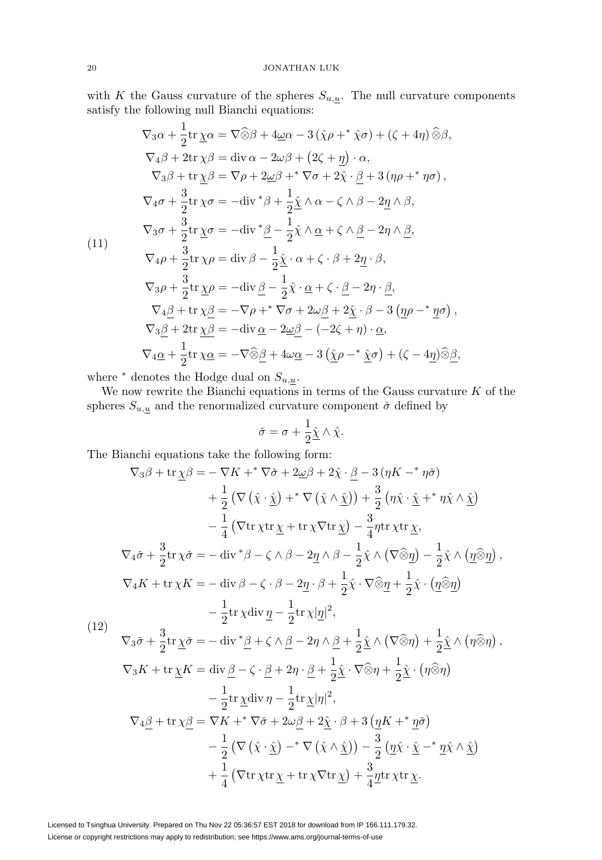with K the Gauss curvature of the spheres  $S_{u,\underline{u}}$ . The null curvature components satisfy the following null Bianchi equations:

$$
\nabla_3 \alpha + \frac{1}{2} \text{tr} \underline{\chi} \alpha = \nabla \widehat{\otimes} \beta + 4 \underline{\omega} \alpha - 3 (\hat{\chi} \rho + ^* \hat{\chi} \sigma) + (\zeta + 4\eta) \widehat{\otimes} \beta,
$$
  
\n
$$
\nabla_4 \beta + 2 \text{tr} \chi \beta = \text{div} \alpha - 2 \omega \beta + (2 \zeta + \underline{\eta}) \cdot \alpha,
$$
  
\n
$$
\nabla_3 \beta + \text{tr} \underline{\chi} \beta = \nabla \rho + 2 \underline{\omega} \beta + ^* \nabla \sigma + 2 \hat{\chi} \cdot \underline{\beta} + 3 (\eta \rho + ^* \eta \sigma),
$$
  
\n
$$
\nabla_4 \sigma + \frac{3}{2} \text{tr} \chi \sigma = -\text{div}^* \beta + \frac{1}{2} \hat{\chi} \wedge \alpha - \zeta \wedge \beta - 2 \underline{\eta} \wedge \beta,
$$
  
\n
$$
\nabla_3 \sigma + \frac{3}{2} \text{tr} \underline{\chi} \sigma = -\text{div}^* \underline{\beta} - \frac{1}{2} \hat{\chi} \wedge \underline{\alpha} + \zeta \wedge \underline{\beta} - 2 \eta \wedge \underline{\beta},
$$
  
\n(11)  
\n
$$
\nabla_4 \rho + \frac{3}{2} \text{tr} \chi \rho = \text{div} \beta - \frac{1}{2} \hat{\chi} \cdot \alpha + \zeta \cdot \beta + 2 \underline{\eta} \cdot \beta,
$$
  
\n
$$
\nabla_3 \rho + \frac{3}{2} \text{tr} \underline{\chi} \rho = -\text{div} \underline{\beta} - \frac{1}{2} \hat{\chi} \cdot \underline{\alpha} + \zeta \cdot \underline{\beta} - 2 \eta \cdot \underline{\beta},
$$
  
\n
$$
\nabla_4 \underline{\beta} + \text{tr} \chi \underline{\beta} = -\nabla \rho + ^* \nabla \sigma + 2 \omega \underline{\beta} + 2 \hat{\chi} \cdot \beta - 3 (\underline{\eta} \rho - ^* \underline{\eta} \sigma),
$$
  
\n
$$
\nabla_3 \underline{\beta} + 2 \text{tr} \underline{\chi} \underline{\beta} = -\text{div} \underline{\alpha} - 2
$$

where  $*$  denotes the Hodge dual on  $S_{u,\underline{u}}$ .

We now rewrite the Bianchi equations in terms of the Gauss curvature  $K$  of the spheres  $S_{u,\underline{u}}$  and the renormalized curvature component  $\check{\sigma}$  defined by

$$
\check{\sigma} = \sigma + \frac{1}{2}\hat{\underline{\chi}} \wedge \hat{\chi}.
$$

The Bianchi equations take the following form:

<span id="page-19-0"></span>
$$
\nabla_3 \beta + \text{tr}\,\chi\beta = -\nabla K +^*\nabla \tilde{\sigma} + 2\underline{\omega}\beta + 2\hat{\chi} \cdot \underline{\beta} - 3(\eta K -^*\eta\tilde{\sigma})
$$
  
\n
$$
+ \frac{1}{2} \left( \nabla \left( \hat{\chi} \cdot \hat{\underline{\chi}} \right) +^*\nabla \left( \hat{\chi} \wedge \hat{\underline{\chi}} \right) \right) + \frac{3}{2} \left( \eta \hat{\chi} \cdot \hat{\underline{\chi}} +^*\eta \hat{\chi} \wedge \hat{\underline{\chi}} \right)
$$
  
\n
$$
- \frac{1}{4} \left( \nabla \text{tr}\,\chi \text{tr}\,\chi + \text{tr}\,\chi\nabla \text{tr}\,\underline{\chi} \right) - \frac{3}{4} \eta \text{tr}\,\chi \text{tr}\,\underline{\chi},
$$
  
\n
$$
\nabla_4 \tilde{\sigma} + \frac{3}{2} \text{tr}\,\chi\tilde{\sigma} = -\text{div}^*\beta - \zeta \wedge \beta - 2\underline{\eta} \wedge \beta - \frac{1}{2} \hat{\chi} \wedge \left( \nabla \widehat{\otimes} \underline{\eta} \right) - \frac{1}{2} \hat{\chi} \wedge \left( \underline{\eta} \widehat{\otimes} \underline{\eta} \right),
$$
  
\n
$$
\nabla_4 K + \text{tr}\,\chi K = -\text{div}\,\beta - \zeta \cdot \beta - 2\underline{\eta} \cdot \beta + \frac{1}{2} \hat{\chi} \cdot \nabla \widehat{\otimes} \underline{\eta} + \frac{1}{2} \hat{\chi} \cdot \left( \underline{\eta} \widehat{\otimes} \underline{\eta} \right)
$$
  
\n
$$
- \frac{1}{2} \text{tr}\,\chi \text{div}\,\underline{\eta} - \frac{1}{2} \text{tr}\,\chi |\underline{\eta}|^2,
$$
  
\n
$$
\nabla_3 \tilde{\sigma} + \frac{3}{2} \text{tr}\,\chi\check{\sigma} = -\text{div}^*\underline{\beta} + \zeta \wedge \underline{\beta} - 2\eta \wedge \underline{\beta} + \frac{1}{2} \hat{\chi} \wedge \left( \nabla \widehat{\otimes} \eta \right) + \frac{1}{2} \hat{\
$$

Licensed to Tsinghua University. Prepared on Thu Nov 22 05:36:57 EST 2018 for download from IP 166.111.179.32. License or copyright restrictions may apply to redistribution; see https://www.ams.org/journal-terms-of-use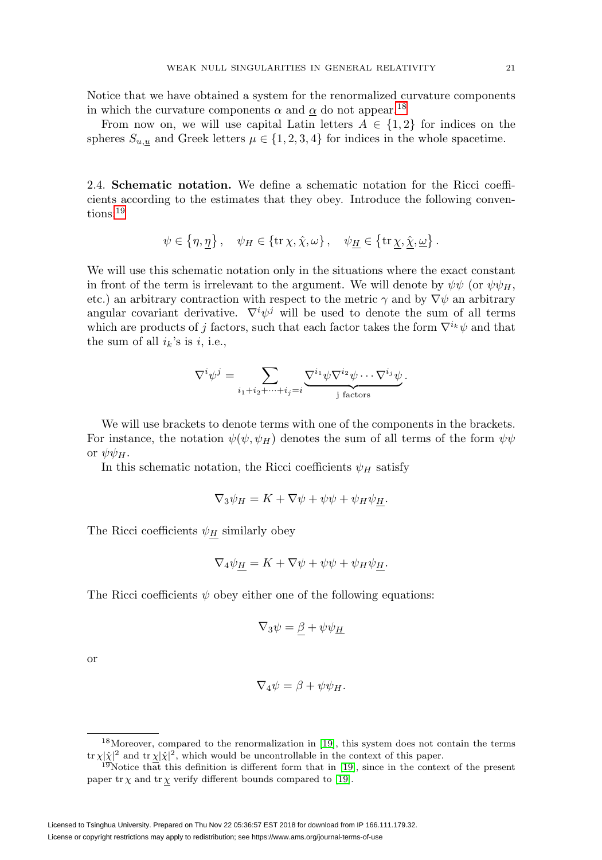Notice that we have obtained a system for the renormalized curvature components in which the curvature components  $\alpha$  and  $\alpha$  do not appear.<sup>[18](#page-20-1)</sup>

From now on, we will use capital Latin letters  $A \in \{1,2\}$  for indices on the spheres  $S_{u,u}$  and Greek letters  $\mu \in \{1,2,3,4\}$  for indices in the whole spacetime.

<span id="page-20-0"></span>2.4. **Schematic notation.** We define a schematic notation for the Ricci coefficients according to the estimates that they obey. Introduce the following conventions:[19](#page-20-2)

$$
\psi \in \left\{ \eta, \underline{\eta} \right\}, \quad \psi_H \in \left\{ \operatorname{tr} \chi, \hat{\chi}, \omega \right\}, \quad \psi_{\underline{H}} \in \left\{ \operatorname{tr} \underline{\chi}, \hat{\underline{\chi}}, \underline{\omega} \right\}.
$$

We will use this schematic notation only in the situations where the exact constant in front of the term is irrelevant to the argument. We will denote by  $\psi \psi$  (or  $\psi \psi_H$ , etc.) an arbitrary contraction with respect to the metric  $\gamma$  and by  $\nabla \psi$  an arbitrary angular covariant derivative.  $\nabla^i \psi^j$  will be used to denote the sum of all terms which are products of j factors, such that each factor takes the form  $\nabla^{i_k}\psi$  and that the sum of all  $i_k$ 's is i, i.e.,

$$
\nabla^i \psi^j = \sum_{i_1+i_2+\cdots+i_j=i} \underbrace{\nabla^{i_1} \psi \nabla^{i_2} \psi \cdots \nabla^{i_j} \psi}_{j \text{ factors}}.
$$

We will use brackets to denote terms with one of the components in the brackets. For instance, the notation  $\psi(\psi, \psi_H)$  denotes the sum of all terms of the form  $\psi \psi$ or  $\psi \psi_H$ .

In this schematic notation, the Ricci coefficients  $\psi_H$  satisfy

$$
\nabla_3 \psi_H = K + \nabla \psi + \psi \psi + \psi_H \psi_H.
$$

The Ricci coefficients  $\psi_H$  similarly obey

$$
\nabla_4 \psi_H = K + \nabla \psi + \psi \psi + \psi_H \psi_H.
$$

The Ricci coefficients  $\psi$  obey either one of the following equations:

$$
\nabla_3 \psi = \beta + \psi \psi_{\underline{H}}
$$

or

$$
\nabla_4 \psi = \beta + \psi \psi_H.
$$

<span id="page-20-1"></span><sup>18</sup>Moreover, compared to the renormalization in [\[19\]](#page-62-10), this system does not contain the terms tr  $\chi |\hat{\chi}|^2$  and tr  $\chi |\hat{\chi}|^2$ , which would be uncontrollable in the context of this paper.

<span id="page-20-2"></span><sup>&</sup>lt;sup>19</sup>Notice that this definition is different form that in [\[19\]](#page-62-10), since in the context of the present paper tr  $\chi$  and tr  $\chi$  verify different bounds compared to [\[19\]](#page-62-10).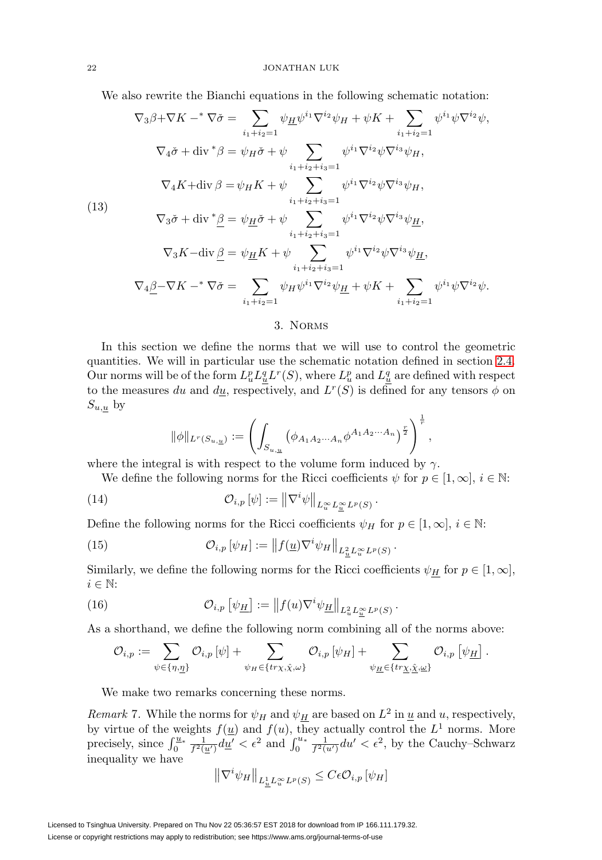We also rewrite the Bianchi equations in the following schematic notation:

$$
\nabla_3 \beta + \nabla K -^* \nabla \check{\sigma} = \sum_{i_1 + i_2 = 1} \psi_{\underline{H}} \psi^{i_1} \nabla^{i_2} \psi_H + \psi K + \sum_{i_1 + i_2 = 1} \psi^{i_1} \psi \nabla^{i_2} \psi,
$$
  
\n
$$
\nabla_4 \check{\sigma} + \text{div}^* \beta = \psi_H \check{\sigma} + \psi \sum_{i_1 + i_2 + i_3 = 1} \psi^{i_1} \nabla^{i_2} \psi \nabla^{i_3} \psi_H,
$$
  
\n
$$
\nabla_4 K + \text{div} \beta = \psi_H K + \psi \sum_{i_1 + i_2 + i_3 = 1} \psi^{i_1} \nabla^{i_2} \psi \nabla^{i_3} \psi_H,
$$
  
\n(13)  
\n
$$
\nabla_3 \check{\sigma} + \text{div}^* \underline{\beta} = \psi_{\underline{H}} \check{\sigma} + \psi \sum_{i_1 + i_2 + i_3 = 1} \psi^{i_1} \nabla^{i_2} \psi \nabla^{i_3} \psi_{\underline{H}},
$$
  
\n
$$
\nabla_3 K - \text{div} \underline{\beta} = \psi_{\underline{H}} K + \psi \sum_{i_1 + i_2 + i_3 = 1} \psi^{i_1} \nabla^{i_2} \psi \nabla^{i_3} \psi_{\underline{H}},
$$
  
\n
$$
\nabla_4 \underline{\beta} - \nabla K -^* \nabla \check{\sigma} = \sum_{i_1 + i_2 = 1} \psi_H \psi^{i_1} \nabla^{i_2} \psi_{\underline{H}} + \psi K + \sum_{i_1 + i_2 = 1} \psi^{i_1} \psi \nabla^{i_2} \psi.
$$

# 3. Norms

<span id="page-21-0"></span>In this section we define the norms that we will use to control the geometric quantities. We will in particular use the schematic notation defined in section [2.4.](#page-20-0) Our norms will be of the form  $L_u^p L_u^q L^r(S)$ , where  $L_u^p$  and  $L_u^q$  are defined with respect to the measures du and du, respectively, and  $L^r(S)$  is defined for any tensors  $\phi$  on  $S_{u,\underline{u}}$  by

$$
\|\phi\|_{L^r(S_{u,\underline{u}})}:=\left(\int_{S_{u,\underline{u}}}\left(\phi_{A_1A_2\cdots A_n}\phi^{A_1A_2\cdots A_n}\right)^{\frac{r}{2}}\right)^{\frac{1}{r}}
$$

,

where the integral is with respect to the volume form induced by  $\gamma$ .

We define the following norms for the Ricci coefficients  $\psi$  for  $p \in [1,\infty], i \in \mathbb{N}$ :

(14) 
$$
\mathcal{O}_{i,p}[\psi] := \left\| \nabla^i \psi \right\|_{L^\infty_u L^\infty_u L^p(S)}.
$$

Define the following norms for the Ricci coefficients  $\psi_H$  for  $p \in [1,\infty], i \in \mathbb{N}$ :

(15) 
$$
\mathcal{O}_{i,p}[\psi_H] := ||f(\underline{u})\nabla^i \psi_H||_{L^2_{\underline{u}}L^{\infty}_u L^p(S)}.
$$

Similarly, we define the following norms for the Ricci coefficients  $\psi_H$  for  $p \in [1,\infty]$ ,  $i \in \mathbb{N}$ :

(16) 
$$
\mathcal{O}_{i,p}\left[\psi_{\underline{H}}\right] := \left\|f(u)\nabla^i\psi_{\underline{H}}\right\|_{L^2_u L^{\infty}_{\underline{u}} L^p(S)}.
$$

As a shorthand, we define the following norm combining all of the norms above:

$$
\mathcal{O}_{i,p} := \sum_{\psi \in \{\eta,\underline{\eta}\}} \mathcal{O}_{i,p} \left[ \psi \right] + \sum_{\psi_H \in \{tr\chi,\hat{\chi},\omega\}} \mathcal{O}_{i,p} \left[ \psi_H \right] + \sum_{\psi_{\underline{H}} \in \{tr\underline{\chi},\hat{\underline{\chi}},\underline{\omega}\}} \mathcal{O}_{i,p} \left[ \psi_{\underline{H}} \right].
$$

We make two remarks concerning these norms.

Remark 7. While the norms for  $\psi_H$  and  $\psi_H$  are based on  $L^2$  in  $\underline{u}$  and  $u$ , respectively, by virtue of the weights  $f(\underline{u})$  and  $f(u)$ , they actually control the  $L^1$  norms. More precisely, since  $\int_0^u^* \frac{1}{f^2(u')}du' < \epsilon^2$  and  $\int_0^{u_*} \frac{1}{f^2(u')}du' < \epsilon^2$ , by the Cauchy–Schwarz inequality we have

$$
\left\|\nabla^i \psi_H\right\|_{L^1_{\underline{u}}L^\infty_u L^p(S)} \leq C \epsilon \mathcal{O}_{i,p} \left[\psi_H\right]
$$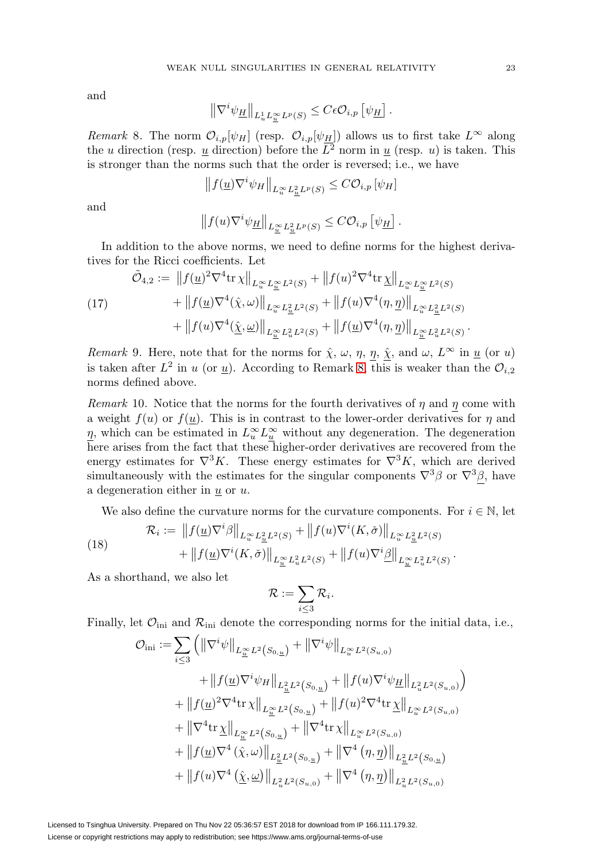and

$$
\left\|\nabla^i\psi_{\underline{H}}\right\|_{L^1_uL^\infty_{\underline{u}}L^p(S)}\leq C\epsilon \mathcal{O}_{i,p}\left[\psi_{\underline{H}}\right].
$$

<span id="page-22-0"></span>Remark 8. The norm  $\mathcal{O}_{i,p}[\psi_H]$  (resp.  $\mathcal{O}_{i,p}[\psi_H]$ ) allows us to first take  $L^{\infty}$  along the u direction (resp.  $\underline{u}$  direction) before the  $L^2$  norm in  $\underline{u}$  (resp. u) is taken. This is stronger than the norms such that the order is reversed; i.e., we have

$$
\left\|f(\underline{u})\nabla^i\psi_H\right\|_{L^\infty_u L^2_{\underline{u}} L^p(S)} \leq C\mathcal{O}_{i,p}\left[\psi_H\right]
$$

and

$$
\left\|f(u)\nabla^i\psi_{\underline{H}}\right\|_{L^{\infty}_{\underline{u}}L^2_{\underline{u}}L^p(S)}\leq C\mathcal{O}_{i,p}\left[\psi_{\underline{H}}\right].
$$

In addition to the above norms, we need to define norms for the highest derivatives for the Ricci coefficients. Let

$$
\tilde{\mathcal{O}}_{4,2} := \| f(\underline{u})^2 \nabla^4 \text{tr} \, \chi \|_{L^\infty_u L^\infty_{\underline{u}} L^2(S)} + \| f(u)^2 \nabla^4 \text{tr} \, \underline{\chi} \|_{L^\infty_u L^\infty_{\underline{u}} L^2(S)} \n+ \| f(\underline{u}) \nabla^4(\hat{\chi}, \omega) \|_{L^\infty_u L^2_{\underline{u}} L^2(S)} + \| f(u) \nabla^4(\eta, \underline{\eta}) \|_{L^\infty_u L^2_{\underline{u}} L^2(S)} \n+ \| f(u) \nabla^4(\hat{\underline{\chi}}, \underline{\omega}) \|_{L^\infty_u L^2_u L^2(S)} + \| f(\underline{u}) \nabla^4(\eta, \underline{\eta}) \|_{L^\infty_u L^2_u L^2(S)}.
$$

*Remark* 9. Here, note that for the norms for  $\hat{\chi}, \omega, \eta, \eta, \hat{\chi}$ , and  $\omega, L^{\infty}$  in <u>u</u> (or u) is taken after  $L^2$  in u (or <u>u</u>). According to Remark [8,](#page-22-0) this is weaker than the  $\mathcal{O}_{i,2}$ norms defined above.

Remark 10. Notice that the norms for the fourth derivatives of  $\eta$  and  $\eta$  come with a weight  $f(u)$  or  $f(\underline{u})$ . This is in contrast to the lower-order derivatives for  $\eta$  and  $\eta$ , which can be estimated in  $L_u^{\infty} L_u^{\infty}$  without any degeneration. The degeneration here arises from the fact that these higher-order derivatives are recovered from the energy estimates for  $\nabla^3 K$ . These energy estimates for  $\nabla^3 K$ , which are derived simultaneously with the estimates for the singular components  $\nabla^3 \beta$  or  $\nabla^3 \beta$ , have a degeneration either in  $\underline{u}$  or  $u$ .

We also define the curvature norms for the curvature components. For  $i \in \mathbb{N}$ , let

(18) 
$$
\mathcal{R}_i := \left\| f(\underline{u}) \nabla^i \beta \right\|_{L^\infty_u L^2_{\underline{u}} L^2(S)} + \left\| f(u) \nabla^i(K, \check{\sigma}) \right\|_{L^\infty_u L^2_{\underline{u}} L^2(S)} + \left\| f(\underline{u}) \nabla^i(K, \check{\sigma}) \right\|_{L^\infty_{\underline{u}} L^2_{\underline{u}} L^2(S)} + \left\| f(u) \nabla^i \underline{\beta} \right\|_{L^\infty_{\underline{u}} L^2_{\underline{u}} L^2(S)}.
$$

As a shorthand, we also let

$$
\mathcal{R}:=\sum_{i\leq 3}\mathcal{R}_i.
$$

Finally, let  $\mathcal{O}_{\text{ini}}$  and  $\mathcal{R}_{\text{ini}}$  denote the corresponding norms for the initial data, i.e.,

$$
\begin{aligned} \mathcal{O}_{\text{ini}} := & \sum_{i \leq 3} \left( \left\| \nabla^i \psi \right\|_{L^\infty_{\underline{u}} L^2 \left( S_{0,\underline{u}} \right)} + \left\| \nabla^i \psi \right\|_{L^\infty_{\underline{u}} L^2 \left( S_{u,0} \right)} \right. \\ & \quad + \left\| f(\underline{u}) \nabla^i \psi_H \right\|_{L^2_{\underline{u}} L^2 \left( S_{0,\underline{u}} \right)} + \left\| f(u) \nabla^i \psi_{\underline{H}} \right\|_{L^2_{\underline{u}} L^2 \left( S_{u,0} \right)} \right) \\ & \quad + \left\| f(\underline{u})^2 \nabla^4 \text{tr} \, \chi \right\|_{L^\infty_{\underline{u}} L^2 \left( S_{0,\underline{u}} \right)} + \left\| f(u)^2 \nabla^4 \text{tr} \, \underline{\chi} \right\|_{L^\infty_{\underline{u}} L^2 \left( S_{u,0} \right)} \right. \\ & \quad + \left\| \nabla^4 \text{tr} \, \underline{\chi} \right\|_{L^\infty_{\underline{u}} L^2 \left( S_{0,\underline{u}} \right)} + \left\| \nabla^4 \text{tr} \, \chi \right\|_{L^\infty_{\underline{u}} L^2 \left( S_{u,0} \right)} \right. \\ & \quad + \left\| f(\underline{u}) \nabla^4 \left( \hat{\chi}, \omega \right) \right\|_{L^2_{\underline{u}} L^2 \left( S_{0,\underline{u}} \right)} + \left\| \nabla^4 \left( \eta, \underline{\eta} \right) \right\|_{L^2_{\underline{u}} L^2 \left( S_{0,\underline{u}} \right)} \right. \\ & \quad + \left\| f(u) \nabla^4 \left( \hat{\underline{\chi}}, \underline{\omega} \right) \right\|_{L^2_{\underline{u}} L^2 \left( S_{u,0} \right)} + \left\| \nabla^4 \left( \eta, \underline{\eta} \right) \right\|_{L^2_{\underline{u}} L^2 \left( S_{u,0} \right)} \end{aligned}
$$

Licensed to Tsinghua University. Prepared on Thu Nov 22 05:36:57 EST 2018 for download from IP 166.111.179.32. License or copyright restrictions may apply to redistribution; see https://www.ams.org/journal-terms-of-use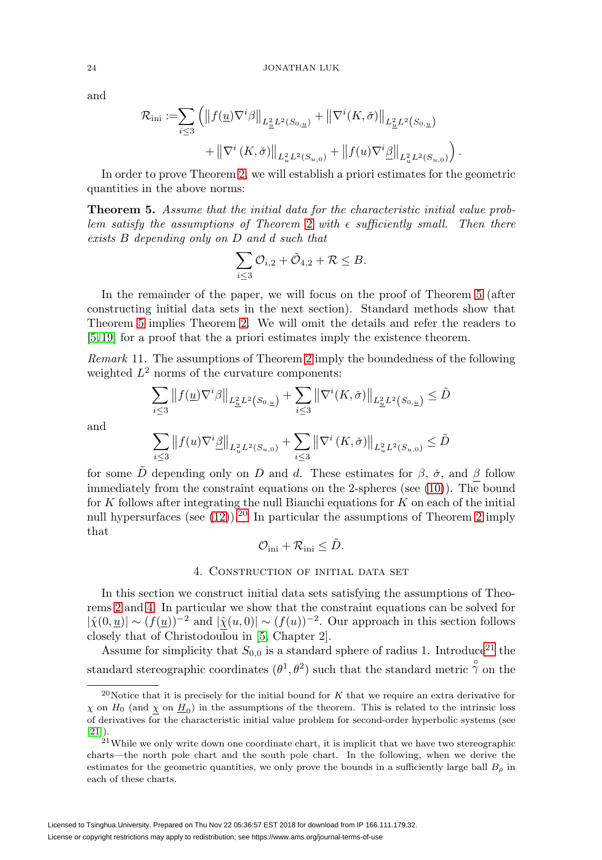and

$$
\mathcal{R}_{\rm ini} := \sum_{i \leq 3} \left( \left\| f(\underline{u}) \nabla^i \beta \right\|_{L^2_{\underline{u}} L^2(S_{0,\underline{u}})} + \left\| \nabla^i(K, \check{\sigma}) \right\|_{L^2_{\underline{u}} L^2(S_{0,\underline{u}})} + \left\| \nabla^i(K, \check{\sigma}) \right\|_{L^2_{\underline{u}} L^2(S_{u,0})} + \left\| f(u) \nabla^i \underline{\beta} \right\|_{L^2_{\underline{u}} L^2(S_{u,0})} \right).
$$

In order to prove Theorem [2,](#page-9-0) we will establish a priori estimates for the geometric quantities in the above norms:

<span id="page-23-0"></span>**Theorem 5.** Assume that the initial data for the characteristic initial value prob-lem satisfy the assumptions of Theorem [2](#page-9-0) with  $\epsilon$  sufficiently small. Then there exists B depending only on D and d such that

$$
\sum_{i\leq 3} \mathcal{O}_{i,2} + \tilde{\mathcal{O}}_{4,2} + \mathcal{R} \leq B.
$$

In the remainder of the paper, we will focus on the proof of Theorem [5](#page-23-0) (after constructing initial data sets in the next section). Standard methods show that Theorem [5](#page-23-0) implies Theorem [2.](#page-9-0) We will omit the details and refer the readers to [\[5,](#page-61-2) [19\]](#page-62-10) for a proof that the a priori estimates imply the existence theorem.

<span id="page-23-4"></span>Remark 11. The assumptions of Theorem [2](#page-9-0) imply the boundedness of the following weighted  $L^2$  norms of the curvature components:

$$
\sum_{i\leq 3}||f(\underline{u})\nabla^{i}\beta||_{L_{\underline{u}}^{2}L^{2}(S_{0,\underline{u}})}+\sum_{i\leq 3}||\nabla^{i}(K,\check{\sigma})||_{L_{\underline{u}}^{2}L^{2}(S_{0,\underline{u}})}\leq \tilde{D}
$$

and

$$
\sum_{i\leq 3} \left\| f(u) \nabla^i \underline{\beta} \right\|_{L^2_u L^2(S_{u,0})} + \sum_{i\leq 3} \left\| \nabla^i \left( K, \check{\sigma} \right) \right\|_{L^2_u L^2(S_{u,0})} \leq \tilde{D}
$$

for some  $\tilde{D}$  depending only on D and d. These estimates for  $\beta$ ,  $\tilde{\sigma}$ , and  $\beta$  follow immediately from the constraint equations on the 2-spheres (see [\(10\)](#page-18-0)). The bound for  $K$  follows after integrating the null Bianchi equations for  $K$  on each of the initial null hypersurfaces (see  $(12)$ ).<sup>[20](#page-23-2)</sup> In particular the assumptions of Theorem [2](#page-9-0) imply that

$$
\mathcal{O}_{\rm ini}+\mathcal{R}_{\rm ini}\leq \tilde{\mathit{D}}.
$$

## 4. Construction of initial data set

<span id="page-23-1"></span>In this section we construct initial data sets satisfying the assumptions of Theorems [2](#page-9-0) and [4.](#page-11-0) In particular we show that the constraint equations can be solved for  $|\hat{\chi}(0, u)| \sim (f(u))^{-2}$  and  $|\hat{\chi}(u, 0)| \sim (f(u))^{-2}$ . Our approach in this section follows closely that of Christodoulou in [\[5,](#page-61-2) Chapter 2].

Assume for simplicity that  $S_{0,0}$  is a standard sphere of radius 1. Introduce<sup>[21](#page-23-3)</sup> the standard stereographic coordinates  $(\theta^1, \theta^2)$  such that the standard metric  $\stackrel{\circ}{\gamma}$  on the

<span id="page-23-2"></span><sup>&</sup>lt;sup>20</sup>Notice that it is precisely for the initial bound for  $K$  that we require an extra derivative for  $\chi$  on  $H_0$  (and  $\chi$  on  $H_0$ ) in the assumptions of the theorem. This is related to the intrinsic loss of derivatives for the characteristic initial value problem for second-order hyperbolic systems (see  $[21]$ .

<span id="page-23-3"></span> $^{21}$ While we only write down one coordinate chart, it is implicit that we have two stereographic charts—the north pole chart and the south pole chart. In the following, when we derive the estimates for the geometric quantities, we only prove the bounds in a sufficiently large ball  $B_{\rho}$  in each of these charts.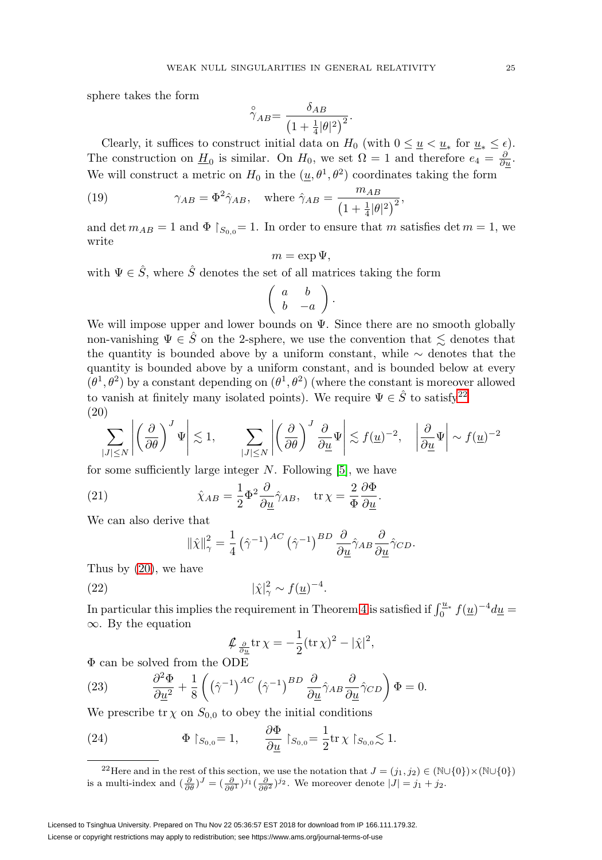sphere takes the form

$$
\overset{\circ}{\gamma}_{AB} = \frac{\delta_{AB}}{\left(1 + \frac{1}{4}|\theta|^2\right)^2}.
$$

Clearly, it suffices to construct initial data on  $H_0$  (with  $0 \leq \underline{u} \leq \underline{u}_*$  for  $\underline{u}_* \leq \epsilon$ ). The construction on  $\underline{H}_0$  is similar. On  $H_0$ , we set  $\Omega = 1$  and therefore  $e_4 = \frac{\partial}{\partial u}$ . We will construct a metric on  $H_0$  in the  $(\underline{u}, \theta^1, \theta^2)$  coordinates taking the form

<span id="page-24-6"></span>(19) 
$$
\gamma_{AB} = \Phi^2 \hat{\gamma}_{AB}, \text{ where } \hat{\gamma}_{AB} = \frac{m_{AB}}{\left(1 + \frac{1}{4}|\theta|^2\right)^2},
$$

and det  $m_{AB} = 1$  and  $\Phi$   $\upharpoonright_{S_0} = 1$ . In order to ensure that m satisfies det  $m = 1$ , we write

$$
m = \exp \Psi,
$$

with  $\Psi \in \hat{S}$ , where  $\hat{S}$  denotes the set of all matrices taking the form

$$
\left(\begin{array}{cc}a & b \\b & -a\end{array}\right).
$$

We will impose upper and lower bounds on Ψ. Since there are no smooth globally non-vanishing  $\Psi \in \hat{S}$  on the 2-sphere, we use the convention that  $\leq$  denotes that the quantity is bounded above by a uniform constant, while ∼ denotes that the quantity is bounded above by a uniform constant, and is bounded below at every  $(\theta^1, \theta^2)$  by a constant depending on  $(\theta^1, \theta^2)$  (where the constant is moreover allowed to vanish at finitely many isolated points). We require  $\Psi \in \hat{S}$  to satisfy<sup>[22](#page-24-0)</sup> (20)

<span id="page-24-1"></span>
$$
\left|\sum_{|J|\leq N}\left|\left(\frac{\partial}{\partial \theta}\right)^J\Psi\right|\lesssim 1,\qquad \sum_{|J|\leq N}\left|\left(\frac{\partial}{\partial \theta}\right)^J\frac{\partial}{\partial \underline{u}}\Psi\right|\lesssim f(\underline{u})^{-2},\quad \left|\frac{\partial}{\partial \underline{u}}\Psi\right|\sim f(\underline{u})^{-2}
$$

for some sufficiently large integer  $N$ . Following [\[5\]](#page-61-2), we have

(21) 
$$
\hat{\chi}_{AB} = \frac{1}{2} \Phi^2 \frac{\partial}{\partial \underline{u}} \hat{\gamma}_{AB}, \quad \text{tr}\,\chi = \frac{2}{\Phi} \frac{\partial \Phi}{\partial \underline{u}}.
$$

We can also derive that

<span id="page-24-5"></span>
$$
\|\hat{\chi}\|_{\gamma}^{2} = \frac{1}{4} (\hat{\gamma}^{-1})^{AC} (\hat{\gamma}^{-1})^{BD} \frac{\partial}{\partial \underline{u}} \hat{\gamma}_{AB} \frac{\partial}{\partial \underline{u}} \hat{\gamma}_{CD}.
$$

Thus by [\(20\)](#page-24-1), we have

(22) 
$$
|\hat{\chi}|_{\gamma}^2 \sim f(\underline{u})^{-4}.
$$

In particular this implies the requirement in Theorem [4](#page-11-0) is satisfied if  $\int_0^{\underline{u}_*} f(\underline{u})^{-4} d\underline{u} =$ ∞. By the equation

<span id="page-24-2"></span>
$$
\mathcal{L}_{\frac{\partial}{\partial \underline{u}}} \operatorname{tr} \chi = -\frac{1}{2} (\operatorname{tr} \chi)^2 - |\hat{\chi}|^2,
$$

Φ can be solved from the ODE

<span id="page-24-3"></span>(23) 
$$
\frac{\partial^2 \Phi}{\partial \underline{u}^2} + \frac{1}{8} \left( \left( \hat{\gamma}^{-1} \right)^{AC} \left( \hat{\gamma}^{-1} \right)^{BD} \frac{\partial}{\partial \underline{u}} \hat{\gamma}_{AB} \frac{\partial}{\partial \underline{u}} \hat{\gamma}_{CD} \right) \Phi = 0.
$$

We prescribe  $\text{tr } \chi$  on  $S_{0,0}$  to obey the initial conditions

<span id="page-24-4"></span>(24) 
$$
\Phi |_{S_{0,0}} = 1, \qquad \frac{\partial \Phi}{\partial \underline{u}} |_{S_{0,0}} = \frac{1}{2} \text{tr} \chi |_{S_{0,0}} \lesssim 1.
$$

<span id="page-24-0"></span><sup>&</sup>lt;sup>22</sup>Here and in the rest of this section, we use the notation that  $J = (j_1, j_2) \in (\mathbb{N} \cup \{0\}) \times (\mathbb{N} \cup \{0\})$ is a multi-index and  $\left(\frac{\partial}{\partial \theta}\right)^J = \left(\frac{\partial}{\partial \theta^1}\right)^{j_1} \left(\frac{\partial}{\partial \theta^2}\right)^{j_2}$ . We moreover denote  $|J| = j_1 + j_2$ .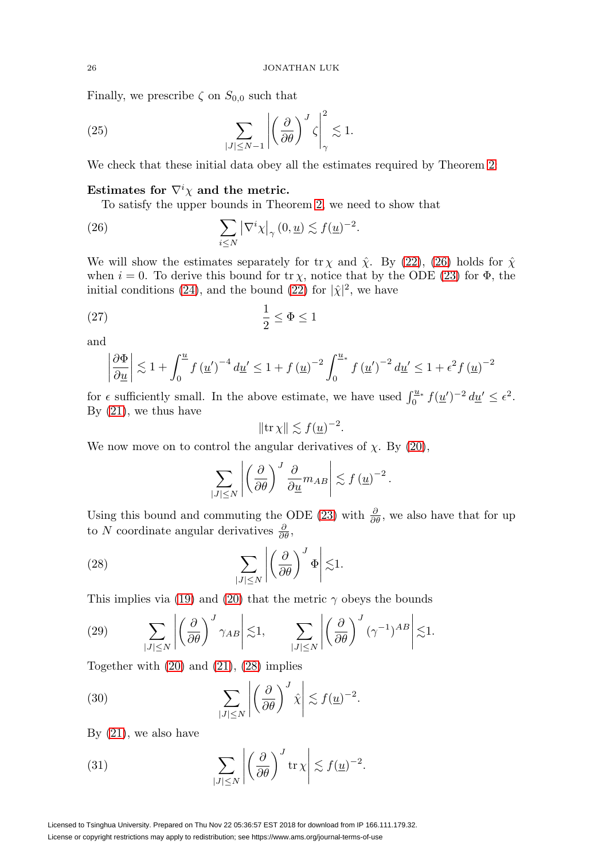Finally, we prescribe  $\zeta$  on  $S_{0,0}$  such that

<span id="page-25-5"></span>(25) 
$$
\sum_{|J| \leq N-1} \left| \left( \frac{\partial}{\partial \theta} \right)^J \zeta \right|_{\gamma}^2 \lesssim 1.
$$

We check that these initial data obey all the estimates required by Theorem [2:](#page-9-0)

# Estimates for  $\nabla^i \chi$  and the metric.

<span id="page-25-0"></span>To satisfy the upper bounds in Theorem [2,](#page-9-0) we need to show that

(26) 
$$
\sum_{i \leq N} |\nabla^i \chi|_{\gamma} (0, \underline{u}) \lesssim f(\underline{u})^{-2}.
$$

We will show the estimates separately for tr  $\chi$  and  $\hat{\chi}$ . By [\(22\)](#page-24-2), [\(26\)](#page-25-0) holds for  $\hat{\chi}$ when  $i = 0$ . To derive this bound for tr  $\chi$ , notice that by the ODE [\(23\)](#page-24-3) for  $\Phi$ , the initial conditions [\(24\)](#page-24-4), and the bound [\(22\)](#page-24-2) for  $|\hat{\chi}|^2$ , we have

$$
\frac{1}{2} \le \Phi \le 1
$$

and

$$
\left|\frac{\partial\Phi}{\partial\underline{u}}\right| \lesssim 1 + \int_0^{\underline{u}} f\left(\underline{u}'\right)^{-4} d\underline{u}' \leq 1 + f\left(\underline{u}\right)^{-2} \int_0^{\underline{u}_*} f\left(\underline{u}'\right)^{-2} d\underline{u}' \leq 1 + \epsilon^2 f\left(\underline{u}\right)^{-2}
$$

for  $\epsilon$  sufficiently small. In the above estimate, we have used  $\int_0^{\underline{u}_*} f(\underline{u}')^{-2} d\underline{u}' \leq \epsilon^2$ . By [\(21\)](#page-24-5), we thus have

$$
\|\mathrm{tr}\,\chi\|\lesssim f(\underline{u})^{-2}.
$$

We now move on to control the angular derivatives of  $\chi$ . By [\(20\)](#page-24-1),

<span id="page-25-1"></span>
$$
\sum_{|J| \le N} \left| \left( \frac{\partial}{\partial \theta} \right)^J \frac{\partial}{\partial \underline{u}} m_{AB} \right| \lesssim f(\underline{u})^{-2}.
$$

Using this bound and commuting the ODE [\(23\)](#page-24-3) with  $\frac{\partial}{\partial \theta}$ , we also have that for up to N coordinate angular derivatives  $\frac{\partial}{\partial \theta}$ ,

(28) 
$$
\sum_{|J| \le N} \left| \left( \frac{\partial}{\partial \theta} \right)^J \Phi \right| \lesssim 1.
$$

This implies via [\(19\)](#page-24-6) and [\(20\)](#page-24-1) that the metric  $\gamma$  obeys the bounds

<span id="page-25-2"></span>(29) 
$$
\sum_{|J| \le N} \left| \left( \frac{\partial}{\partial \theta} \right)^J \gamma_{AB} \right| \lesssim 1, \qquad \sum_{|J| \le N} \left| \left( \frac{\partial}{\partial \theta} \right)^J (\gamma^{-1})^{AB} \right| \lesssim 1.
$$

Together with [\(20\)](#page-24-1) and [\(21\)](#page-24-5), [\(28\)](#page-25-1) implies

<span id="page-25-3"></span>(30) 
$$
\sum_{|J| \le N} \left| \left( \frac{\partial}{\partial \theta} \right)^J \hat{\chi} \right| \lesssim f(\underline{u})^{-2}.
$$

By [\(21\)](#page-24-5), we also have

<span id="page-25-4"></span>(31) 
$$
\sum_{|J| \le N} \left| \left( \frac{\partial}{\partial \theta} \right)^J \text{tr} \chi \right| \lesssim f(\underline{u})^{-2}.
$$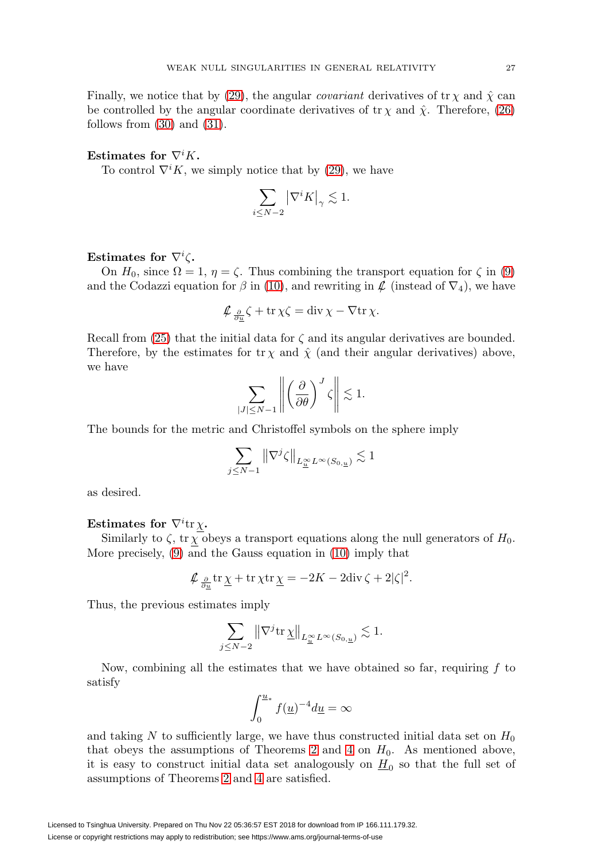Finally, we notice that by [\(29\)](#page-25-2), the angular *covariant* derivatives of tr  $\chi$  and  $\hat{\chi}$  can be controlled by the angular coordinate derivatives of  $\text{tr } \chi$  and  $\hat{\chi}$ . Therefore, [\(26\)](#page-25-0) follows from  $(30)$  and  $(31)$ .

# Estimates for  $\nabla^i K$ .

To control  $\nabla^i K$ , we simply notice that by [\(29\)](#page-25-2), we have

$$
\sum_{i\leq N-2} \left|\nabla^i K\right|_{\gamma} \lesssim 1.
$$

# $\text{Estimates for } \nabla^i \zeta.$

On  $H_0$ , since  $\Omega = 1$ ,  $\eta = \zeta$ . Thus combining the transport equation for  $\zeta$  in [\(9\)](#page-18-1) and the Codazzi equation for  $\beta$  in [\(10\)](#page-18-0), and rewriting in  $\beta$  (instead of  $\nabla_4$ ), we have

$$
\oint_{\frac{\partial}{\partial u}} \zeta + \operatorname{tr} \chi \zeta = \operatorname{div} \chi - \nabla \operatorname{tr} \chi.
$$

Recall from [\(25\)](#page-25-5) that the initial data for  $\zeta$  and its angular derivatives are bounded. Therefore, by the estimates for  $\mathrm{tr}\,\chi$  and  $\hat{\chi}$  (and their angular derivatives) above, we have

$$
\sum_{|J| \le N-1} \left\| \left( \frac{\partial}{\partial \theta} \right)^J \zeta \right\| \lesssim 1.
$$

The bounds for the metric and Christoffel symbols on the sphere imply

$$
\sum_{j \le N-1} \left\| \nabla^j \zeta \right\|_{L^{\infty}_{\underline{u}} L^{\infty}(S_{0,\underline{u}})} \lesssim 1
$$

as desired.

# $\textbf{Estimates for } \nabla^i \text{tr} \chi$ .

Similarly to  $\zeta$ , tr  $\chi$  obeys a transport equations along the null generators of  $H_0$ . More precisely, [\(9\)](#page-18-1) and the Gauss equation in [\(10\)](#page-18-0) imply that

$$
\oint_{\frac{\partial}{\partial \underline{u}}} \operatorname{tr} \underline{\chi} + \operatorname{tr} \chi \operatorname{tr} \underline{\chi} = -2K - 2 \operatorname{div} \zeta + 2|\zeta|^2.
$$

Thus, the previous estimates imply

$$
\sum_{j \le N-2} \left\| \nabla^j \text{tr} \underline{\chi} \right\|_{L^\infty_{\underline{u}} L^\infty(S_{0,\underline{u}})} \lesssim 1.
$$

Now, combining all the estimates that we have obtained so far, requiring  $f$  to satisfy

$$
\int_0^{\underline{u}_*} f(\underline{u})^{-4} d\underline{u} = \infty
$$

and taking N to sufficiently large, we have thus constructed initial data set on  $H_0$ that obeys the assumptions of Theorems [2](#page-9-0) and [4](#page-11-0) on  $H_0$ . As mentioned above, it is easy to construct initial data set analogously on  $\underline{H}_0$  so that the full set of assumptions of Theorems [2](#page-9-0) and [4](#page-11-0) are satisfied.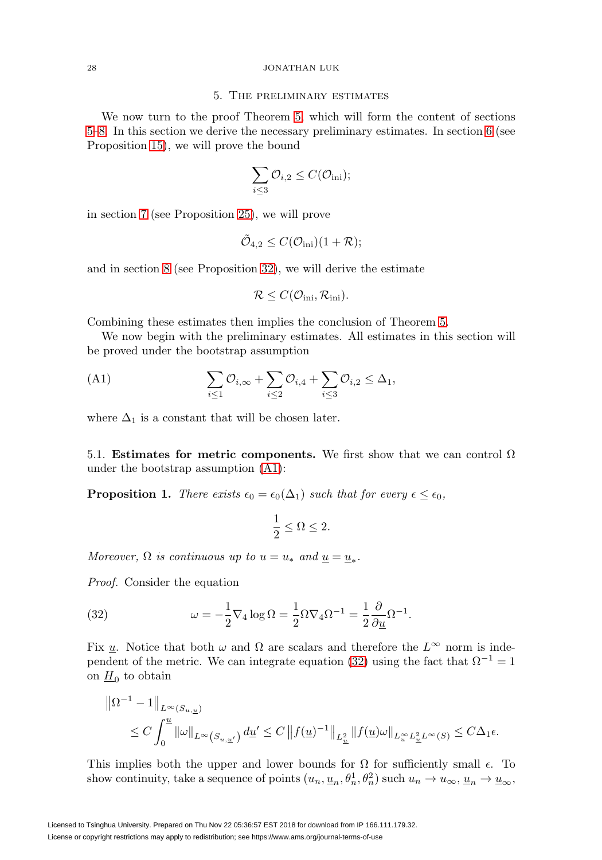### <span id="page-27-0"></span>28 JONATHAN LUK

## 5. The preliminary estimates

We now turn to the proof Theorem [5,](#page-23-0) which will form the content of sections [5–](#page-27-0)[8.](#page-47-0) In this section we derive the necessary preliminary estimates. In section [6](#page-33-0) (see Proposition [15\)](#page-38-1), we will prove the bound

$$
\sum_{i\leq 3} \mathcal{O}_{i,2} \leq C(\mathcal{O}_{\text{ini}});
$$

in section [7](#page-38-0) (see Proposition [25\)](#page-47-1), we will prove

$$
\tilde{\mathcal{O}}_{4,2} \leq C(\mathcal{O}_{\text{ini}})(1+\mathcal{R});
$$

and in section [8](#page-47-0) (see Proposition [32\)](#page-55-1), we will derive the estimate

$$
\mathcal{R}\leq C(\mathcal{O}_{\text{ini}},\mathcal{R}_{\text{ini}}).
$$

Combining these estimates then implies the conclusion of Theorem [5.](#page-23-0)

We now begin with the preliminary estimates. All estimates in this section will be proved under the bootstrap assumption

<span id="page-27-1"></span>(A1) 
$$
\sum_{i\leq 1} \mathcal{O}_{i,\infty} + \sum_{i\leq 2} \mathcal{O}_{i,4} + \sum_{i\leq 3} \mathcal{O}_{i,2} \leq \Delta_1,
$$

where  $\Delta_1$  is a constant that will be chosen later.

5.1. **Estimates for metric components.** We first show that we can control  $\Omega$ under the bootstrap assumption [\(A1\)](#page-27-1):

<span id="page-27-3"></span>**Proposition 1.** There exists  $\epsilon_0 = \epsilon_0(\Delta_1)$  such that for every  $\epsilon \leq \epsilon_0$ ,

$$
\frac{1}{2} \le \Omega \le 2.
$$

Moreover,  $\Omega$  is continuous up to  $u = u_*$  and  $\underline{u} = \underline{u}_*$ .

Proof. Consider the equation

<span id="page-27-2"></span>(32) 
$$
\omega = -\frac{1}{2}\nabla_4 \log \Omega = \frac{1}{2}\Omega \nabla_4 \Omega^{-1} = \frac{1}{2}\frac{\partial}{\partial \underline{u}} \Omega^{-1}.
$$

Fix u. Notice that both  $\omega$  and  $\Omega$  are scalars and therefore the  $L^{\infty}$  norm is inde-pendent of the metric. We can integrate equation [\(32\)](#page-27-2) using the fact that  $\Omega^{-1} = 1$ on  $H_0$  to obtain

$$
\begin{aligned} \big\|\Omega^{-1}-1\big\|_{L^\infty(S_{u,\underline{u}})}\\ \leq C\int_0^{\underline{u}}\|\omega\|_{L^\infty\left(S_{u,\underline{u}'}\right)}\,d\underline{u}'\leq C\,\big\|f(\underline{u})^{-1}\big\|_{L^2_{\underline{u}}}\,\|f(\underline{u})\omega\|_{L^\infty_uL^2_{\underline{u}}L^\infty(S)}\leq C\Delta_1\epsilon. \end{aligned}
$$

This implies both the upper and lower bounds for  $\Omega$  for sufficiently small  $\epsilon$ . To show continuity, take a sequence of points  $(u_n, \underline{u}_n, \theta_n^1, \theta_n^2)$  such  $u_n \to u_\infty, \underline{u}_n \to \underline{u}_\infty$ ,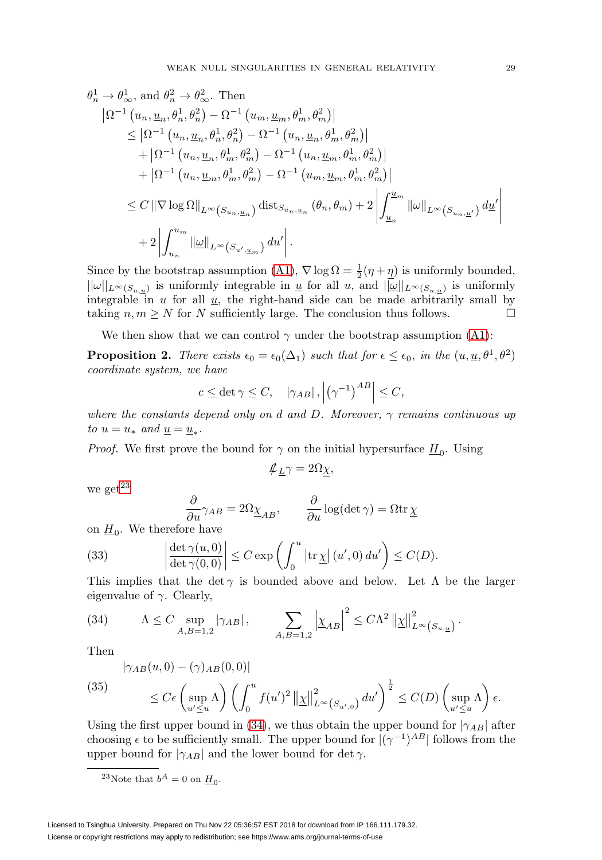$$
\theta_n^1 \to \theta_\infty^1, \text{ and } \theta_n^2 \to \theta_\infty^2. \text{ Then}
$$
\n
$$
|\Omega^{-1}(u_n, \underline{u}_n, \theta_n^1, \theta_n^2) - \Omega^{-1}(u_m, \underline{u}_m, \theta_m^1, \theta_m^2)|
$$
\n
$$
\leq |\Omega^{-1}(u_n, \underline{u}_n, \theta_n^1, \theta_n^2) - \Omega^{-1}(u_n, \underline{u}_n, \theta_m^1, \theta_m^2)|
$$
\n
$$
+ |\Omega^{-1}(u_n, \underline{u}_n, \theta_m^1, \theta_m^2) - \Omega^{-1}(u_n, \underline{u}_m, \theta_m^1, \theta_m^2)|
$$
\n
$$
+ |\Omega^{-1}(u_n, \underline{u}_m, \theta_m^1, \theta_m^2) - \Omega^{-1}(u_m, \underline{u}_m, \theta_m^1, \theta_m^2)|
$$
\n
$$
\leq C ||\nabla \log \Omega||_{L^\infty(S_{u_n, \underline{u}_n})} \text{dist}_{S_{u_n, \underline{u}_n}}(\theta_n, \theta_m) + 2 \left| \int_{\underline{u}_n}^{\underline{u}_m} ||\omega||_{L^\infty(S_{u_n, \underline{u}'})} \frac{du'}{du'} \right|
$$
\n
$$
+ 2 \left| \int_{u_n}^{u_m} ||\underline{\omega}||_{L^\infty(S_{u', \underline{u}_m})} \frac{du'}{du'} \right|.
$$

Since by the bootstrap assumption [\(A1\)](#page-27-1),  $\nabla \log \Omega = \frac{1}{2}(\eta + \underline{\eta})$  is uniformly bounded,  $||\omega||_{L^{\infty}(S_{u,u})}$  is uniformly integrable in <u>u</u> for all u, and  $||\omega||_{L^{\infty}(S_{u,u})}$  is uniformly integrable in  $u$  for all  $u$ , the right-hand side can be made arbitrarily small by taking  $n, m \geq N$  for N sufficiently large. The conclusion thus follows.

We then show that we can control  $\gamma$  under the bootstrap assumption [\(A1\)](#page-27-1):

<span id="page-28-2"></span>**Proposition 2.** There exists  $\epsilon_0 = \epsilon_0(\Delta_1)$  such that for  $\epsilon \leq \epsilon_0$ , in the  $(u, \underline{u}, \theta^1, \theta^2)$ coordinate system, we have

$$
c \le \det \gamma \le C, \quad |\gamma_{AB}|, \left| \left( \gamma^{-1} \right)^{AB} \right| \le C,
$$

where the constants depend only on d and D. Moreover,  $\gamma$  remains continuous up to  $u = u_*$  and  $u = u_*$ .

*Proof.* We first prove the bound for  $\gamma$  on the initial hypersurface  $H_0$ . Using

$$
\not\!\! L \not\!\! \sim 2\Omega_{\underline{\chi}},
$$

we get $^{23}$  $^{23}$  $^{23}$ 

$$
\frac{\partial}{\partial u}\gamma_{AB}=2\Omega_{\underline{\chi}_{AB}},\qquad \frac{\partial}{\partial u}\log(\det\gamma)=\Omega{\rm tr}\,\underline{\chi}
$$

on  $H_0$ . We therefore have

(33) 
$$
\left| \frac{\det \gamma(u,0)}{\det \gamma(0,0)} \right| \leq C \exp \left( \int_0^u \left| \text{tr} \underline{\chi} \right| (u',0) du' \right) \leq C(D).
$$

This implies that the det  $\gamma$  is bounded above and below. Let  $\Lambda$  be the larger eigenvalue of  $\gamma$ . Clearly,

<span id="page-28-1"></span>(34) 
$$
\Lambda \leq C \sup_{A,B=1,2} |\gamma_{AB}|, \qquad \sum_{A,B=1,2} \left| \underline{\chi}_{AB} \right|^2 \leq C \Lambda^2 \left\| \underline{\chi} \right\|_{L^\infty(S_{u,\underline{u}})}^2.
$$

Then

$$
|\gamma_{AB}(u,0)-(\gamma)_{AB}(0,0)|
$$

<span id="page-28-3"></span>(35) 
$$
\leq C\epsilon \left(\sup_{u'\leq u}\Lambda\right) \left(\int_0^u f(u')^2 \left\|\underline{\chi}\right\|_{L^\infty(S_{u',0})}^2 du'\right)^{\frac{1}{2}} \leq C(D) \left(\sup_{u'\leq u}\Lambda\right)\epsilon.
$$

Using the first upper bound in [\(34\)](#page-28-1), we thus obtain the upper bound for  $|\gamma_{AB}|$  after choosing  $\epsilon$  to be sufficiently small. The upper bound for  $|(\gamma^{-1})^{AB}|$  follows from the upper bound for  $|\gamma_{AB}|$  and the lower bound for det  $\gamma$ .

<span id="page-28-0"></span><sup>23</sup>Note that  $b^A = 0$  on  $H_0$ .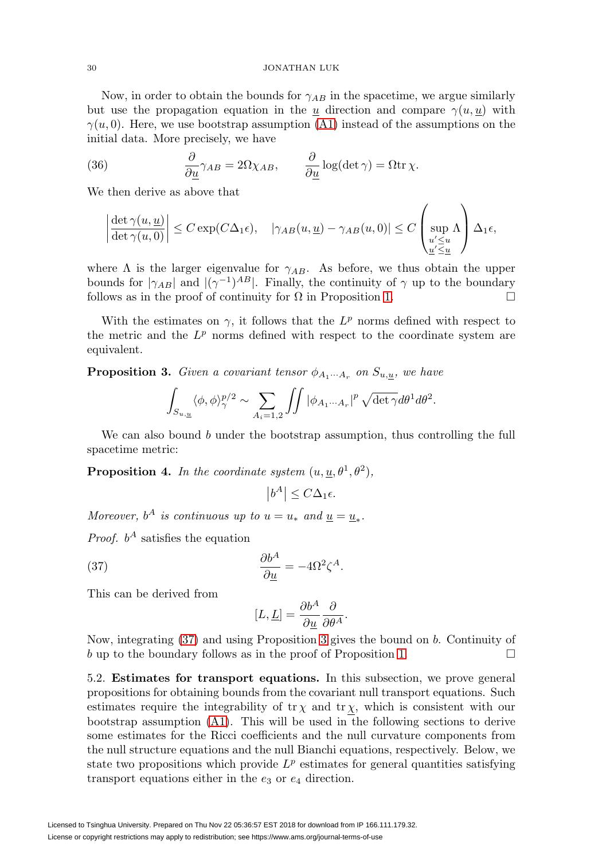Now, in order to obtain the bounds for  $\gamma_{AB}$  in the spacetime, we argue similarly but use the propagation equation in the <u>u</u> direction and compare  $\gamma(u, \underline{u})$  with  $\gamma(u, 0)$ . Here, we use bootstrap assumption [\(A1\)](#page-27-1) instead of the assumptions on the initial data. More precisely, we have

<span id="page-29-3"></span>(36) 
$$
\frac{\partial}{\partial \underline{u}} \gamma_{AB} = 2\Omega \chi_{AB}, \qquad \frac{\partial}{\partial \underline{u}} \log(\det \gamma) = \Omega \text{tr} \chi.
$$

We then derive as above that

$$
\left|\frac{\det \gamma(u, \underline{u})}{\det \gamma(u, 0)}\right| \leq C \exp(C\Delta_1 \epsilon), \quad |\gamma_{AB}(u, \underline{u}) - \gamma_{AB}(u, 0)| \leq C \left(\sup_{\substack{u' \leq u \\ \underline{u}' \leq \underline{u}}} \Lambda\right) \Delta_1 \epsilon,
$$

where  $\Lambda$  is the larger eigenvalue for  $\gamma_{AB}$ . As before, we thus obtain the upper bounds for  $|\gamma_{AB}|$  and  $|(\gamma^{-1})^{AB}|$ . Finally, the continuity of  $\gamma$  up to the boundary follows as in the proof of continuity for  $\Omega$  in Proposition [1.](#page-27-3)

With the estimates on  $\gamma$ , it follows that the  $L^p$  norms defined with respect to the metric and the  $L^p$  norms defined with respect to the coordinate system are equivalent.

<span id="page-29-1"></span>**Proposition 3.** Given a covariant tensor  $\phi_{A_1\cdots A_r}$  on  $S_{u,u}$ , we have

$$
\int_{S_{u,\underline{u}}} \langle \phi, \phi \rangle_{\gamma}^{p/2} \sim \sum_{A_i=1,2} \int \int |\phi_{A_1\cdots A_r}|^p \sqrt{\det \gamma} d\theta^1 d\theta^2.
$$

We can also bound b under the bootstrap assumption, thus controlling the full spacetime metric:

<span id="page-29-2"></span>**Proposition 4.** In the coordinate system  $(u, \underline{u}, \theta^1, \theta^2)$ ,

$$
\left|b^A\right| \le C\Delta_1\epsilon.
$$

Moreover,  $b^A$  is continuous up to  $u = u_*$  and  $u = u_*$ .

*Proof.*  $b^A$  satisfies the equation

<span id="page-29-0"></span>(37)  $\frac{\partial b^A}{\partial \underline{u}} = -4\Omega^2 \zeta^A.$ 

This can be derived from

$$
[L, \underline{L}] = \frac{\partial b^A}{\partial \underline{u}} \frac{\partial}{\partial \theta^A}.
$$

Now, integrating [\(37\)](#page-29-0) and using Proposition [3](#page-29-1) gives the bound on b. Continuity of b up to the boundary follows as in the proof of Proposition [1.](#page-27-3)

5.2. **Estimates for transport equations.** In this subsection, we prove general propositions for obtaining bounds from the covariant null transport equations. Such estimates require the integrability of  $tr \chi$  and  $tr \chi$ , which is consistent with our bootstrap assumption [\(A1\)](#page-27-1). This will be used in the following sections to derive some estimates for the Ricci coefficients and the null curvature components from the null structure equations and the null Bianchi equations, respectively. Below, we state two propositions which provide  $L^p$  estimates for general quantities satisfying transport equations either in the  $e_3$  or  $e_4$  direction.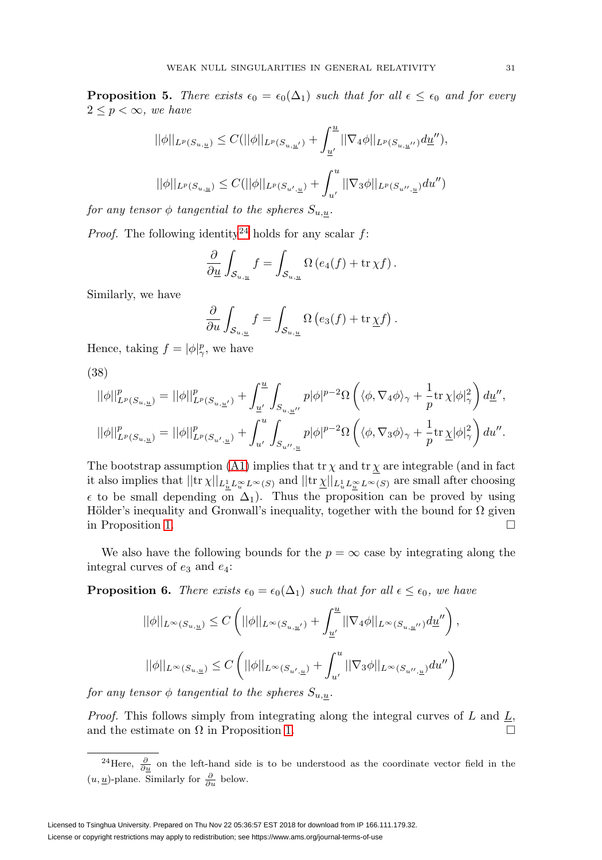<span id="page-30-1"></span>**Proposition 5.** There exists  $\epsilon_0 = \epsilon_0(\Delta_1)$  such that for all  $\epsilon \leq \epsilon_0$  and for every  $2 \leq p < \infty$ , we have

$$
\begin{aligned} ||\phi||_{L^p(S_{u,\underline{u}})} & \leq C(||\phi||_{L^p(S_{u,\underline{u}'})} + \int_{\underline{u}'}^{\underline{u}}||\nabla_4\phi||_{L^p(S_{u,\underline{u}''})}d\underline{u}''),\\ ||\phi||_{L^p(S_{u,\underline{u}})} & \leq C(||\phi||_{L^p(S_{u',\underline{u}})} + \int_{u'}^u||\nabla_3\phi||_{L^p(S_{u'',\underline{u}})}du'') \end{aligned}
$$

for any tensor  $\phi$  tangential to the spheres  $S_{u,u}$ .

*Proof.* The following identity<sup>[24](#page-30-0)</sup> holds for any scalar  $f$ :

$$
\frac{\partial}{\partial \underline{u}} \int_{\mathcal{S}_{u,\underline{u}}} f = \int_{\mathcal{S}_{u,\underline{u}}} \Omega \left( e_4(f) + \operatorname{tr} \chi f \right).
$$

Similarly, we have

$$
\frac{\partial}{\partial u} \int_{\mathcal{S}_{u,\underline{u}}} f = \int_{\mathcal{S}_{u,\underline{u}}} \Omega \left( e_3(f) + \text{tr} \underline{\chi} f \right).
$$

Hence, taking  $f = |\phi|_{\gamma}^p$ , we have

(38)

$$
\begin{split} ||\phi||^p_{L^p(S_{u,\underline{u}})} &= ||\phi||^p_{L^p(S_{u,\underline{u}'})} + \int_{\underline{u}'}^{\underline{u}} \int_{S_{u,\underline{u}''}} p|\phi|^{p-2} \Omega\left(\langle \phi, \nabla_4 \phi \rangle_{\gamma} + \frac{1}{p} \text{tr} \, \chi |\phi|_{\gamma}^2\right) d\underline{u}'',\\ ||\phi||^p_{L^p(S_{u,\underline{u}})} &= ||\phi||^p_{L^p(S_{u',\underline{u}})} + \int_{u'}^u \int_{S_{u'',\underline{u}}} p|\phi|^{p-2} \Omega\left(\langle \phi, \nabla_3 \phi \rangle_{\gamma} + \frac{1}{p} \text{tr} \, \underline{\chi} |\phi|_{\gamma}^2\right) du'' . \end{split}
$$

The bootstrap assumption [\(A1\)](#page-27-1) implies that  $\operatorname{tr} \chi$  and  $\operatorname{tr} \chi$  are integrable (and in fact it also implies that  $||\text{tr }\chi||_{L^1_{\underline{u}}L^\infty_u L^\infty(S)}$  and  $||\text{tr }\chi||_{L^1_{\underline{u}}L^\infty_{\underline{u}}L^\infty(S)}$  are small after choosing  $\epsilon$  to be small depending on  $\Delta_1$ ). Thus the proposition can be proved by using Hölder's inequality and Gronwall's inequality, together with the bound for  $\Omega$  given in Proposition [1.](#page-27-3)

We also have the following bounds for the  $p = \infty$  case by integrating along the integral curves of  $e_3$  and  $e_4$ :

**Proposition 6.** There exists  $\epsilon_0 = \epsilon_0(\Delta_1)$  such that for all  $\epsilon \leq \epsilon_0$ , we have

$$
\begin{aligned} ||\phi||_{L^\infty(S_{u,\underline{u}})} &\leq C\left(||\phi||_{L^\infty(S_{u,\underline{u}'})}+\int_{\underline{u}'}^{\underline{u}}||\nabla_4\phi||_{L^\infty(S_{u,\underline{u}''})}d\underline{u}''\right),\\ ||\phi||_{L^\infty(S_{u,\underline{u}})} &\leq C\left(||\phi||_{L^\infty(S_{u',\underline{u}})}+\int_{u'}^{\underline{u}}||\nabla_3\phi||_{L^\infty(S_{u'',\underline{u}})}du''\right) \end{aligned}
$$

for any tensor  $\phi$  tangential to the spheres  $S_{u,u}$ .

*Proof.* This follows simply from integrating along the integral curves of  $L$  and  $\overline{L}$ , and the estimate on  $\Omega$  in Proposition [1.](#page-27-3)

<span id="page-30-0"></span><sup>&</sup>lt;sup>24</sup>Here,  $\frac{\partial}{\partial u}$  on the left-hand side is to be understood as the coordinate vector field in the  $(u, \underline{u})$ -plane. Similarly for  $\frac{\partial}{\partial u}$  below.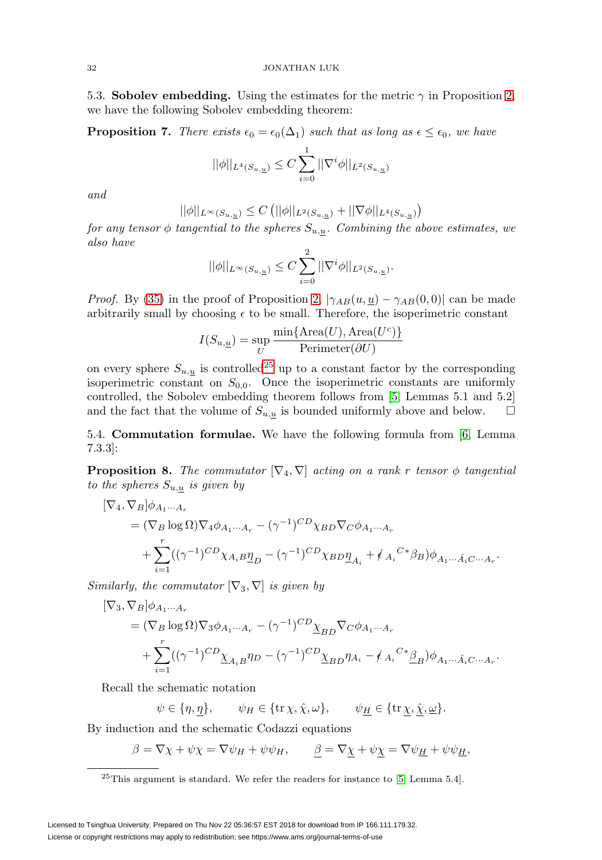5.3. **Sobolev embedding.** Using the estimates for the metric  $\gamma$  in Proposition [2,](#page-28-2) we have the following Sobolev embedding theorem:

<span id="page-31-1"></span>**Proposition 7.** There exists  $\epsilon_0 = \epsilon_0(\Delta_1)$  such that as long as  $\epsilon \leq \epsilon_0$ , we have

$$
||\phi||_{L^{4}(S_{u,\underline{u}})} \leq C \sum_{i=0}^{1} ||\nabla^{i}\phi||_{L^{2}(S_{u,\underline{u}})}
$$

and

$$
||\phi||_{L^{\infty}(S_{u,\underline{u}})} \leq C (||\phi||_{L^{2}(S_{u,\underline{u}})} + ||\nabla \phi||_{L^{4}(S_{u,\underline{u}})})
$$

for any tensor  $\phi$  tangential to the spheres  $S_{u,\underline{u}}$ . Combining the above estimates, we also have

$$
||\phi||_{L^{\infty}(S_{u,\underline{u}})} \leq C \sum_{i=0}^{2} ||\nabla^{i}\phi||_{L^{2}(S_{u,\underline{u}})}.
$$

*Proof.* By [\(35\)](#page-28-3) in the proof of Proposition [2,](#page-28-2)  $|\gamma_{AB}(u, u) - \gamma_{AB}(0, 0)|$  can be made arbitrarily small by choosing  $\epsilon$  to be small. Therefore, the isoperimetric constant

$$
I(S_{u,\underline{u}}) = \sup_{U} \frac{\min\{\text{Area}(U), \text{Area}(U^c)\}}{\text{Perimeter}(\partial U)}
$$

on every sphere  $S_{u,u}$  is controlled<sup>[25](#page-31-0)</sup> up to a constant factor by the corresponding isoperimetric constant on  $S_{0,0}$ . Once the isoperimetric constants are uniformly controlled, the Sobolev embedding theorem follows from [\[5,](#page-61-2) Lemmas 5.1 and 5.2] and the fact that the volume of  $S_{u,\underline{u}}$  is bounded uniformly above and below.  $\square$ 

5.4. **Commutation formulae.** We have the following formula from [\[6,](#page-61-12) Lemma 7.3.3]:

**Proposition 8.** The commutator  $[\nabla_4, \nabla]$  acting on a rank r tensor  $\phi$  tangential to the spheres  $S_{u,u}$  is given by

$$
\begin{split} [\nabla_4, \nabla_B] \phi_{A_1 \cdots A_r} \\ &= (\nabla_B \log \Omega) \nabla_4 \phi_{A_1 \cdots A_r} - (\gamma^{-1})^{CD} \chi_{BD} \nabla_C \phi_{A_1 \cdots A_r} \\ &+ \sum_{i=1}^r ((\gamma^{-1})^{CD} \chi_{A_i B} \underline{\eta}_D - (\gamma^{-1})^{CD} \chi_{BD} \underline{\eta}_{A_i} + \phi_{A_i}{}^{C*} \beta_B) \phi_{A_1 \cdots \hat{A}_i C \cdots A_r} .\end{split}
$$

Similarly, the commutator  $[\nabla_3, \nabla]$  is given by

$$
\begin{split} [\nabla_3, \nabla_B] \phi_{A_1 \cdots A_r} \\ &= (\nabla_B \log \Omega) \nabla_3 \phi_{A_1 \cdots A_r} - (\gamma^{-1})^{CD} \underline{\chi}_{BD} \nabla_C \phi_{A_1 \cdots A_r} \\ &+ \sum_{i=1}^r ((\gamma^{-1})^{CD} \underline{\chi}_{A_i B} \eta_D - (\gamma^{-1})^{CD} \underline{\chi}_{BD} \eta_{A_i} - \underline{\epsilon}_{A_i} C^* \underline{\beta}_B) \phi_{A_1 \cdots \hat{A}_i C \cdots A_r} .\end{split}
$$

Recall the schematic notation

$$
\psi \in \{\eta, \underline{\eta}\}, \qquad \psi_H \in \{\mathrm{tr}\,\chi, \hat{\chi}, \omega\}, \qquad \psi_{\underline{H}} \in \{\mathrm{tr}\,\underline{\chi}, \hat{\underline{\chi}}, \underline{\omega}\}.
$$

By induction and the schematic Codazzi equations

$$
\beta = \nabla \chi + \psi \chi = \nabla \psi_H + \psi \psi_H, \qquad \underline{\beta} = \nabla \underline{\chi} + \psi \underline{\chi} = \nabla \psi_{\underline{H}} + \psi \psi_{\underline{H}},
$$

<span id="page-31-0"></span> $^{25}$ This argument is standard. We refer the readers for instance to [\[5,](#page-61-2) Lemma 5.4].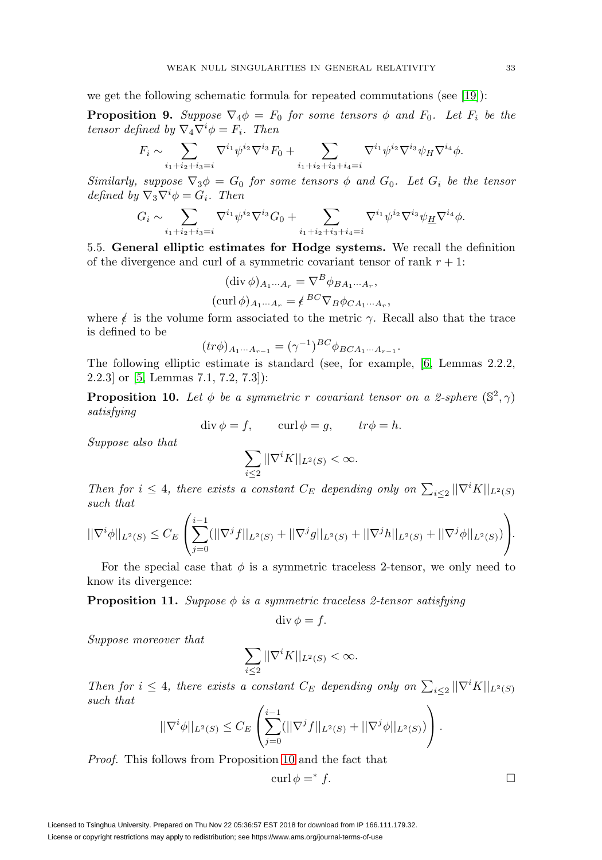we get the following schematic formula for repeated commutations (see [\[19\]](#page-62-10)):

**Proposition 9.** Suppose  $\nabla_4 \phi = F_0$  for some tensors  $\phi$  and  $F_0$ . Let  $F_i$  be the tensor defined by  $\nabla_4 \nabla^i \phi = F_i$ . Then

$$
F_i \sim \sum_{i_1+i_2+i_3=i} \nabla^{i_1} \psi^{i_2} \nabla^{i_3} F_0 + \sum_{i_1+i_2+i_3+i_4=i} \nabla^{i_1} \psi^{i_2} \nabla^{i_3} \psi_H \nabla^{i_4} \phi.
$$

Similarly, suppose  $\nabla_3 \phi = G_0$  for some tensors  $\phi$  and  $G_0$ . Let  $G_i$  be the tensor defined by  $\nabla_3 \nabla^i \phi = G_i$ . Then

$$
G_i\sim \sum_{i_1+i_2+i_3=i} \nabla^{i_1}\psi^{i_2}\nabla^{i_3}G_0+\sum_{i_1+i_2+i_3+i_4=i} \nabla^{i_1}\psi^{i_2}\nabla^{i_3}\psi_{\underline{H}}\nabla^{i_4}\phi.
$$

<span id="page-32-1"></span>5.5. **General elliptic estimates for Hodge systems.** We recall the definition of the divergence and curl of a symmetric covariant tensor of rank  $r + 1$ :

$$
(\operatorname{div} \phi)_{A_1 \cdots A_r} = \nabla^B \phi_{BA_1 \cdots A_r},
$$

$$
(\operatorname{curl} \phi)_{A_1 \cdots A_r} = \phi^{BC} \nabla_B \phi_{CA_1 \cdots A_r},
$$

where  $\ell$  is the volume form associated to the metric  $\gamma$ . Recall also that the trace is defined to be

$$
(tr\phi)_{A_1\cdots A_{r-1}} = (\gamma^{-1})^{BC} \phi_{BCA_1\cdots A_{r-1}}.
$$

The following elliptic estimate is standard (see, for example, [\[6,](#page-61-12) Lemmas 2.2.2, 2.2.3] or [\[5,](#page-61-2) Lemmas 7.1, 7.2, 7.3]):

<span id="page-32-0"></span>**Proposition 10.** Let  $\phi$  be a symmetric r covariant tensor on a 2-sphere ( $\mathbb{S}^2$ ,  $\gamma$ ) satisfying

$$
\operatorname{div} \phi = f, \qquad \operatorname{curl} \phi = g, \qquad tr \phi = h.
$$

Suppose also that

$$
\sum_{i\leq 2}||\nabla^i K||_{L^2(S)} <\infty.
$$

Then for  $i \leq 4$ , there exists a constant  $C_E$  depending only on  $\sum_{i \leq 2} ||\nabla^i K||_{L^2(S)}$ such that

$$
||\nabla^i \phi||_{L^2(S)} \leq C_E \left( \sum_{j=0}^{i-1} (||\nabla^j f||_{L^2(S)} + ||\nabla^j g||_{L^2(S)} + ||\nabla^j h||_{L^2(S)} + ||\nabla^j \phi||_{L^2(S)}) \right).
$$

For the special case that  $\phi$  is a symmetric traceless 2-tensor, we only need to know its divergence:

<span id="page-32-2"></span>**Proposition 11.** Suppose  $\phi$  is a symmetric traceless 2-tensor satisfying

$$
\operatorname{div}\phi = f.
$$

Suppose moreover that

$$
\sum_{i\leq 2}||\nabla^i K||_{L^2(S)} < \infty.
$$

Then for  $i \leq 4$ , there exists a constant  $C_E$  depending only on  $\sum_{i \leq 2} ||\nabla^i K||_{L^2(S)}$ such that

$$
||\nabla^{i}\phi||_{L^{2}(S)} \leq C_{E}\left(\sum_{j=0}^{i-1} (||\nabla^{j}f||_{L^{2}(S)} + ||\nabla^{j}\phi||_{L^{2}(S)})\right).
$$

Proof. This follows from Proposition [10](#page-32-0) and the fact that

$$
\operatorname{curl} \phi =^* f. \qquad \qquad \Box
$$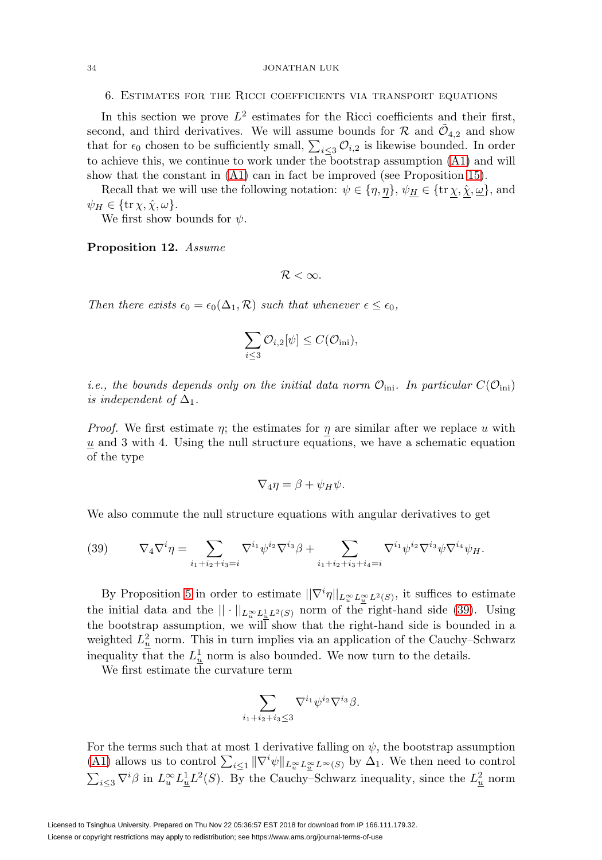#### <span id="page-33-0"></span>34 JONATHAN LUK

## 6. Estimates for the Ricci coefficients via transport equations

In this section we prove  $L^2$  estimates for the Ricci coefficients and their first, second, and third derivatives. We will assume bounds for  $\mathcal{R}$  and  $\mathcal{O}_{4,2}$  and show that for  $\epsilon_0$  chosen to be sufficiently small,  $\sum_{i\leq 3} \mathcal{O}_{i,2}$  is likewise bounded. In order to achieve this, we continue to work under the bootstrap assumption [\(A1\)](#page-27-1) and will show that the constant in [\(A1\)](#page-27-1) can in fact be improved (see Proposition [15\)](#page-38-1).

Recall that we will use the following notation:  $\psi \in \{\eta, \eta\}, \psi_{\underline{H}} \in \{\text{tr } \chi, \hat{\chi}, \underline{\omega}\},\$ and  $\psi_H \in \{\text{tr}\,\chi, \hat{\chi}, \omega\}.$ 

We first show bounds for  $\psi$ .

<span id="page-33-2"></span>**Proposition 12.** Assume

 $R < \infty$ .

Then there exists  $\epsilon_0 = \epsilon_0(\Delta_1, \mathcal{R})$  such that whenever  $\epsilon \leq \epsilon_0$ ,

$$
\sum_{i\leq 3} \mathcal{O}_{i,2}[\psi]\leq C(\mathcal{O}_{\text{ini}}),
$$

*i.e.*, the bounds depends only on the initial data norm  $\mathcal{O}_{\text{ini}}$ . In particular  $C(\mathcal{O}_{\text{ini}})$ is independent of  $\Delta_1$ .

*Proof.* We first estimate  $\eta$ ; the estimates for  $\eta$  are similar after we replace u with  $u$  and 3 with 4. Using the null structure equations, we have a schematic equation of the type

$$
\nabla_4 \eta = \beta + \psi_H \psi.
$$

We also commute the null structure equations with angular derivatives to get

<span id="page-33-1"></span>(39) 
$$
\nabla_4 \nabla^i \eta = \sum_{i_1 + i_2 + i_3 = i} \nabla^{i_1} \psi^{i_2} \nabla^{i_3} \beta + \sum_{i_1 + i_2 + i_3 + i_4 = i} \nabla^{i_1} \psi^{i_2} \nabla^{i_3} \psi \nabla^{i_4} \psi_H.
$$

By Proposition [5](#page-30-1) in order to estimate  $\|\nabla^i \eta\|_{L^\infty_u L^{\infty}_u L^2(S)}$ , it suffices to estimate the initial data and the  $|| \cdot ||_{L^{\infty}_{u} L^{1}_{\underline{u}} L^{2}(S)}$  norm of the right-hand side [\(39\)](#page-33-1). Using the bootstrap assumption, we will show that the right-hand side is bounded in a weighted  $L^2_{\underline{u}}$  norm. This in turn implies via an application of the Cauchy–Schwarz inequality that the  $L^1_{\underline{u}}$  norm is also bounded. We now turn to the details.

We first estimate the curvature term

$$
\sum_{i_1+i_2+i_3\leq 3}\nabla^{i_1}\psi^{i_2}\nabla^{i_3}\beta.
$$

For the terms such that at most 1 derivative falling on  $\psi$ , the bootstrap assumption [\(A1\)](#page-27-1) allows us to control  $\sum_{i\leq 1} \|\nabla^i \psi\|_{L^\infty_u L^\infty_u L^\infty_v(S)}$  by  $\Delta_1$ . We then need to control  $\sum_{i\leq 3} \nabla^i \beta$  in  $L^{\infty}_u L^1_u L^2(S)$ . By the Cauchy–Schwarz inequality, since the  $L^2_u$  norm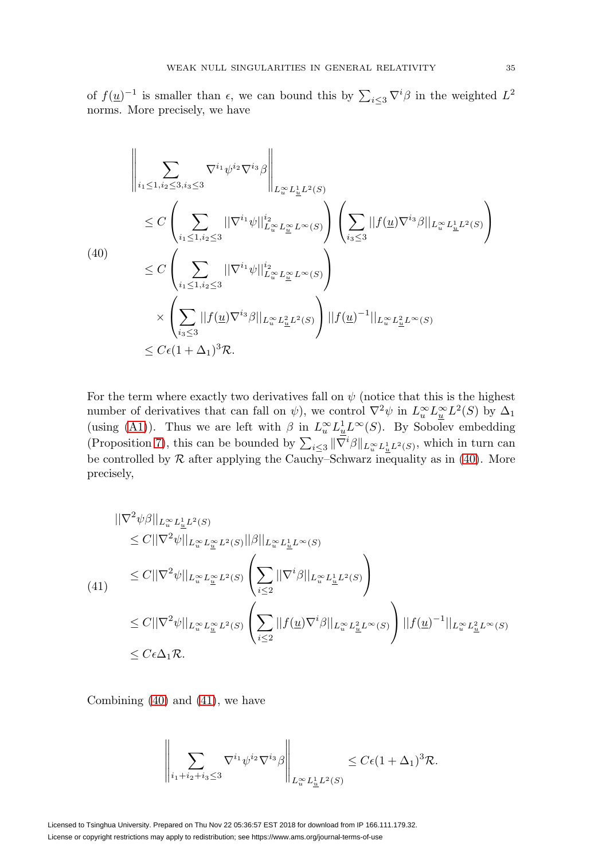of  $f(\underline{u})^{-1}$  is smaller than  $\epsilon$ , we can bound this by  $\sum_{i\leq 3} \nabla^i \beta$  in the weighted  $L^2$ norms. More precisely, we have

<span id="page-34-0"></span>
$$
\left\|\sum_{i_1\leq 1, i_2\leq 3, i_3\leq 3} \nabla^{i_1}\psi^{i_2}\nabla^{i_3}\beta\right\|_{L_x^{\infty}L_{\underline{u}}^{\underline{L}}L^2(S)}
$$
\n
$$
\leq C\left(\sum_{i_1\leq 1, i_2\leq 3} ||\nabla^{i_1}\psi||_{L_x^{\infty}L_{\underline{u}}^{\infty}L^{\infty}(S)}\right)\left(\sum_{i_3\leq 3} ||f(\underline{u})\nabla^{i_3}\beta||_{L_x^{\infty}L_{\underline{u}}^{\underline{L}}L^2(S)}\right)
$$
\n
$$
\leq C\left(\sum_{i_1\leq 1, i_2\leq 3} ||\nabla^{i_1}\psi||_{L_x^{\infty}L_{\underline{u}}^{\infty}L^{\infty}(S)}^i\right)
$$
\n
$$
\times \left(\sum_{i_3\leq 3} ||f(\underline{u})\nabla^{i_3}\beta||_{L_x^{\infty}L_{\underline{u}}^{\underline{2}}L^2(S)}\right) ||f(\underline{u})^{-1}||_{L_x^{\infty}L_{\underline{u}}^2L^{\infty}(S)}
$$
\n
$$
\leq C\epsilon(1+\Delta_1)^3 \mathcal{R}.
$$

For the term where exactly two derivatives fall on  $\psi$  (notice that this is the highest number of derivatives that can fall on  $\psi$ ), we control  $\nabla^2 \psi$  in  $L_u^{\infty} L_u^{\infty} L_z^2(S)$  by  $\Delta_1$ (using [\(A1\)](#page-27-1)). Thus we are left with  $\beta$  in  $L_u^{\infty} L_u^1 L^{\infty}(S)$ . By Sobolev embedding (Proposition [7\)](#page-31-1), this can be bounded by  $\sum_{i\leq 3} \|\nabla^i \beta\|_{L^\infty_u L^1_u L^2(S)}$ , which in turn can be controlled by  $R$  after applying the Cauchy–Schwarz inequality as in [\(40\)](#page-34-0). More precisely,

<span id="page-34-1"></span>
$$
\| \nabla^2 \psi \beta \|_{L^\infty_u L^1_u L^2(S)}
$$
\n
$$
\leq C \| \nabla^2 \psi \|_{L^\infty_u L^\infty_u L^2(s)} \| \beta \|_{L^\infty_u L^1_u L^\infty(s)}
$$
\n
$$
\leq C \| \nabla^2 \psi \|_{L^\infty_u L^\infty_u L^2(s)} \left( \sum_{i \leq 2} \| \nabla^i \beta \|_{L^\infty_u L^1_u L^2(s)} \right)
$$
\n
$$
\leq C \| \nabla^2 \psi \|_{L^\infty_u L^\infty_u L^2(s)} \left( \sum_{i \leq 2} \| f(\underline{u}) \nabla^i \beta \|_{L^\infty_u L^2_u L^\infty(s)} \right) \| f(\underline{u})^{-1} \|_{L^\infty_u L^2_u L^\infty(s)}
$$
\n
$$
\leq C \epsilon \Delta_1 R.
$$

Combining [\(40\)](#page-34-0) and [\(41\)](#page-34-1), we have

$$
\left\|\sum_{i_1+i_2+i_3\leq 3}\nabla^{i_1}\psi^{i_2}\nabla^{i_3}\beta\right\|_{L^\infty_u L^1_u L^2(S)}\leq C\epsilon(1+\Delta_1)^3\mathcal{R}.
$$

Licensed to Tsinghua University. Prepared on Thu Nov 22 05:36:57 EST 2018 for download from IP 166.111.179.32. License or copyright restrictions may apply to redistribution; see https://www.ams.org/journal-terms-of-use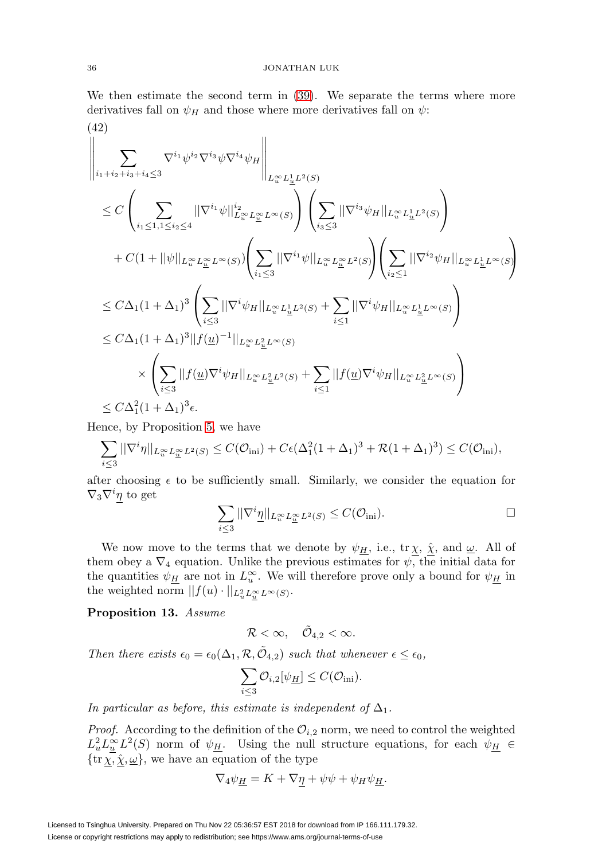We then estimate the second term in [\(39\)](#page-33-1). We separate the terms where more derivatives fall on  $\psi_H$  and those where more derivatives fall on  $\psi$ :

<span id="page-35-0"></span>
$$
(42)
$$
\n
$$
\left\| \sum_{i_1+i_2+i_3+i_4 \le 3} \nabla^{i_1} \psi^{i_2} \nabla^{i_3} \psi \nabla^{i_4} \psi_H \right\|_{L^{\infty}_{\omega} L^1_{\underline{u}} L^2(S)}
$$
\n
$$
\le C \left( \sum_{i_1 \le 1, 1 \le i_2 \le 4} ||\nabla^{i_1} \psi||_{L^{\infty}_{\omega} L^{\infty}_{\underline{u}} L^{\infty}(S)}^i \right) \left( \sum_{i_3 \le 3} ||\nabla^{i_3} \psi_H||_{L^{\infty}_{\omega} L^1_{\underline{u}} L^2(S)} \right)
$$
\n
$$
+ C(1 + ||\psi||_{L^{\infty}_{\underline{u}} L^{\infty}_{\underline{u}} L^{\infty}(S)}) \left( \sum_{i_1 \le 3} ||\nabla^{i_1} \psi||_{L^{\infty}_{\underline{u}} L^{\infty}_{\underline{u}} L^2(S)} \right) \left( \sum_{i_2 \le 1} ||\nabla^{i_2} \psi_H||_{L^{\infty}_{\underline{u}} L^1_{\underline{u}} L^{\infty}(S)} \right)
$$
\n
$$
\le C \Delta_1 (1 + \Delta_1)^3 \left( \sum_{i \le 3} ||\nabla^i \psi_H||_{L^{\infty}_{\underline{u}} L^1_{\underline{u}} L^2(S)} + \sum_{i \le 1} ||\nabla^i \psi_H||_{L^{\infty}_{\underline{u}} L^1_{\underline{u}} L^{\infty}(S)} \right)
$$
\n
$$
\le C \Delta_1 (1 + \Delta_1)^3 ||f(\underline{u})^{-1}||_{L^{\infty}_{\underline{u}} L^2_{\underline{u}} L^{\infty}(S)}
$$
\n
$$
\times \left( \sum_{i \le 3} ||f(\underline{u}) \nabla^i \psi_H||_{L^{\infty}_{\underline{u}} L^2_{\underline{u}} L^2(S)} + \sum_{i \le 1} ||f(\underline{u}) \nabla^i \psi_H||_{L^{\infty}_{\underline{u}} L^2_{\underline{u}} L^{\infty}(S)} \right)
$$
\n
$$
\le C \Delta_1^2 (1 + \Delta_1)^3 \epsilon.
$$

Hence, by Proposition [5,](#page-30-1) we have

$$
\sum_{i\leq 3}||\nabla^i\eta||_{L^\infty_u L^\infty_{\underline{u}}L^2(S)}\leq C(\mathcal{O}_{\rm ini})+C\epsilon(\Delta_1^2(1+\Delta_1)^3+\mathcal{R}(1+\Delta_1)^3)\leq C(\mathcal{O}_{\rm ini}),
$$

after choosing  $\epsilon$  to be sufficiently small. Similarly, we consider the equation for  $\nabla_3\nabla^i\eta$  to get

$$
\sum_{i\leq 3}||\nabla^i \underline{\eta}||_{L^\infty_u L^\infty_{\underline{u}} L^2(S)} \leq C(\mathcal{O}_{\rm ini}).
$$

We now move to the terms that we denote by  $\psi_{\underline{H}}$ , i.e.,  $\text{tr }\chi$ ,  $\hat{\chi}$ , and  $\underline{\omega}$ . All of them obey a  $\nabla_4$  equation. Unlike the previous estimates for  $\psi$ , the initial data for the quantities  $\psi_{\underline{H}}$  are not in  $L^\infty_u$ . We will therefore prove only a bound for  $\psi_{\underline{H}}$  in the weighted norm  $|| f(u) \cdot ||_{L^2_u L^\infty_u L^\infty_v(S)}$ .

<span id="page-35-1"></span>**Proposition 13.** Assume

$$
\mathcal{R}<\infty,\quad \tilde{\mathcal{O}}_{4,2}<\infty.
$$

Then there exists  $\epsilon_0 = \epsilon_0(\Delta_1, \mathcal{R}, \tilde{\mathcal{O}}_{4,2})$  such that whenever  $\epsilon \leq \epsilon_0$ ,

$$
\sum_{i\leq 3} \mathcal{O}_{i,2}[\psi_{\underline{H}}] \leq C(\mathcal{O}_{\text{ini}}).
$$

In particular as before, this estimate is independent of  $\Delta_1$ .

*Proof.* According to the definition of the  $\mathcal{O}_{i,2}$  norm, we need to control the weighted  $L_u^2 L_u^{\infty} L^2(S)$  norm of  $\psi_{\underline{H}}$ . Using the null structure equations, for each  $\psi_{\underline{H}}$   $\in$  $\{\text{tr }\chi, \hat{\chi}, \underline{\omega}\}\,$ , we have an equation of the type

$$
\nabla_4 \psi_{\underline{H}} = K + \nabla \eta + \psi \psi + \psi_H \psi_{\underline{H}}.
$$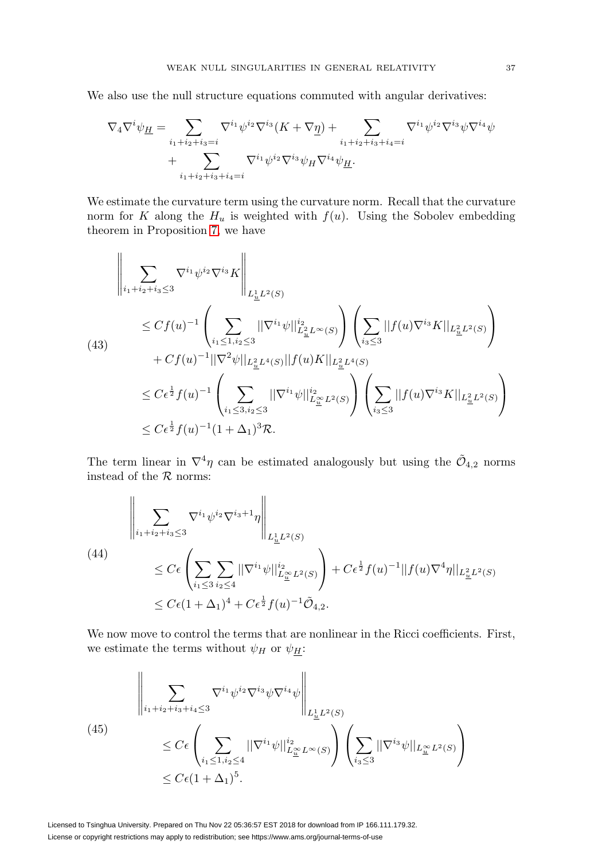We also use the null structure equations commuted with angular derivatives:

$$
\nabla_{4}\nabla^{i}\psi_{\underline{H}} = \sum_{i_{1}+i_{2}+i_{3}=i} \nabla^{i_{1}}\psi^{i_{2}}\nabla^{i_{3}}(K+\nabla_{\underline{\eta}}) + \sum_{i_{1}+i_{2}+i_{3}+i_{4}=i} \nabla^{i_{1}}\psi^{i_{2}}\nabla^{i_{3}}\psi\nabla^{i_{4}}\psi + \sum_{i_{1}+i_{2}+i_{3}+i_{4}=i} \nabla^{i_{1}}\psi^{i_{2}}\nabla^{i_{3}}\psi_{H}\nabla^{i_{4}}\psi_{\underline{H}}.
$$

We estimate the curvature term using the curvature norm. Recall that the curvature norm for K along the  $H_u$  is weighted with  $f(u)$ . Using the Sobolev embedding theorem in Proposition [7,](#page-31-1) we have

<span id="page-36-0"></span>
$$
\| \sum_{i_1+i_2+i_3 \le 3} \nabla^{i_1} \psi^{i_2} \nabla^{i_3} K \|_{L^1_{\underline{u}} L^2(S)}
$$
\n
$$
\le C f(u)^{-1} \left( \sum_{i_1 \le 1, i_2 \le 3} ||\nabla^{i_1} \psi||^{i_2}_{L^2_{\underline{u}} L^{\infty}(S)} \right) \left( \sum_{i_3 \le 3} ||f(u) \nabla^{i_3} K||_{L^2_{\underline{u}} L^2(S)} \right)
$$
\n
$$
+ C f(u)^{-1} ||\nabla^2 \psi||_{L^2_{\underline{u}} L^4(S)} ||f(u)K||_{L^2_{\underline{u}} L^4(S)}
$$
\n
$$
\le C \epsilon^{\frac{1}{2}} f(u)^{-1} \left( \sum_{i_1 \le 3, i_2 \le 3} ||\nabla^{i_1} \psi||^{i_2}_{L^{\infty}_{\underline{u}} L^2(S)} \right) \left( \sum_{i_3 \le 3} ||f(u) \nabla^{i_3} K||_{L^2_{\underline{u}} L^2(S)} \right)
$$
\n
$$
\le C \epsilon^{\frac{1}{2}} f(u)^{-1} (1 + \Delta_1)^3 \mathcal{R}.
$$

The term linear in  $\nabla^4 \eta$  can be estimated analogously but using the  $\tilde{\mathcal{O}}_{4,2}$  norms instead of the  $R$  norms:

<span id="page-36-1"></span>
$$
(44) \qquad \begin{aligned} \left\| \sum_{i_1 + i_2 + i_3 \le 3} \nabla^{i_1} \psi^{i_2} \nabla^{i_3 + 1} \eta \right\|_{L^1_{\underline{u}} L^2(S)} \\ \le C\epsilon \left( \sum_{i_1 \le 3} \sum_{i_2 \le 4} ||\nabla^{i_1} \psi||^{i_2}_{L^{\infty}_{\underline{u}} L^2(S)} \right) + C\epsilon^{\frac{1}{2}} f(u)^{-1} ||f(u)\nabla^4 \eta||_{L^2_{\underline{u}} L^2(S)} \\ \le C\epsilon (1 + \Delta_1)^4 + C\epsilon^{\frac{1}{2}} f(u)^{-1} \tilde{\mathcal{O}}_{4,2}. \end{aligned}
$$

We now move to control the terms that are nonlinear in the Ricci coefficients. First, we estimate the terms without  $\psi_H$  or  $\psi_H$ :

<span id="page-36-2"></span>(45)  

$$
\left\| \sum_{i_1 + i_2 + i_3 + i_4 \le 3} \nabla^{i_1} \psi^{i_2} \nabla^{i_3} \psi \nabla^{i_4} \psi \right\|_{L^1_{\underline{u}} L^2(S)}
$$
  

$$
\le C\epsilon \left( \sum_{i_1 \le 1, i_2 \le 4} ||\nabla^{i_1} \psi||_{L^{\infty}_{\underline{u}} L^{\infty}(S)}^i \right) \left( \sum_{i_3 \le 3} ||\nabla^{i_3} \psi||_{L^{\infty}_{\underline{u}} L^2(S)} \right)
$$
  

$$
\le C\epsilon (1 + \Delta_1)^5.
$$

Licensed to Tsinghua University. Prepared on Thu Nov 22 05:36:57 EST 2018 for download from IP 166.111.179.32. License or copyright restrictions may apply to redistribution; see https://www.ams.org/journal-terms-of-use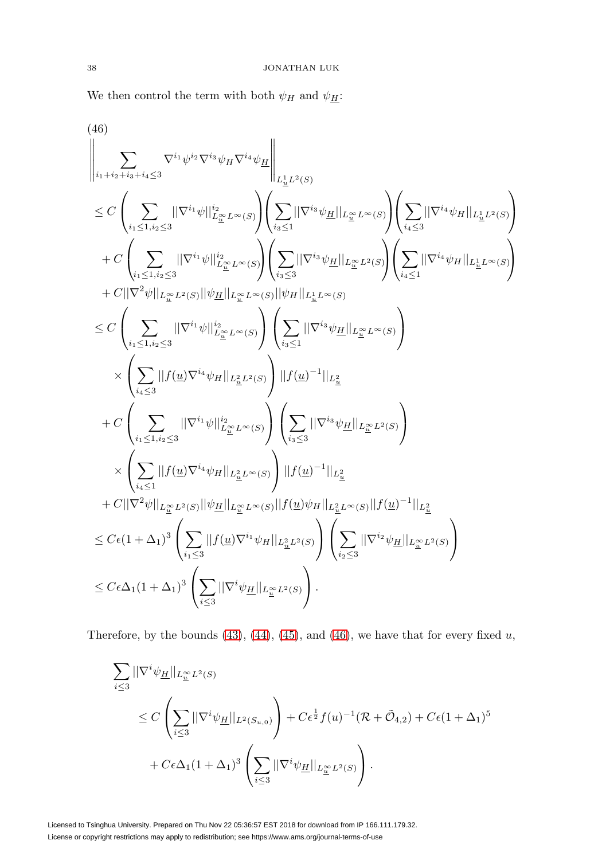We then control the term with both  $\psi_H$  and  $\psi_{\underline{H}}\colon$ 

<span id="page-37-0"></span>
$$
\begin{split} &\left\|\sum_{i_1+i_2+i_3+i_4\leq 3}\nabla^{i_1}\psi^{i_2}\nabla^{i_3}\psi_H\nabla^{i_4}\psi_{\underline{H}}\right\|_{L^1_{\underline{u}}L^2(S)}\\ &\leq C\left(\sum_{i_1\leq 1,i_2\leq 3}\vert \vert \nabla^{i_1}\psi\vert\vert_{L^2_{\underline{u}}L^\infty(S)}^{i_2}\right)\!\!\left(\sum_{i_3\leq 1}\!\vert \vert \nabla^{i_3}\psi_{\underline{H}}\vert\vert_{L^{\infty}_{\underline{u}}L^\infty(S)}\right)\!\!\left(\sum_{i_4\leq 1}\!\vert \vert \nabla^{i_4}\psi_H\vert\vert_{L^1_{\underline{u}}L^2(S)}\right)\\ &+C\left(\sum_{i_1\leq 1,i_2\leq 3}\vert \vert \nabla^{i_1}\psi\vert\vert_{L^{\infty}_{\underline{u}}L^\infty(S)}^{i_2}\right)\!\!\left(\sum_{i_3\leq 3}\!\vert \vert \nabla^{i_3}\psi_{\underline{H}}\vert\vert_{L^{\infty}_{\underline{u}}L^2(S)}\right)\!\!\left(\sum_{i_4\leq 1}\!\vert \vert \nabla^{i_4}\psi_H\vert\vert_{L^1_{\underline{u}}L^\infty(S)}\right)\\ &+C\vert \vert \nabla^2\psi\vert\vert_{L^{\infty}_{\underline{u}}L^2(S)}\vert \vert \psi_H\vert\vert_{L^{\infty}_{\underline{u}}L^\infty(S)}\right)\left(\sum_{i_3\leq 1}\vert \vert \nabla^{i_3}\psi_{\underline{H}}\vert\vert_{L^{\infty}_{\underline{u}}L^\infty(S)}\right)\\ &\times\left(\sum_{i_4\leq 1}\vert \vert f(\underline{u})\nabla^{i_4}\psi_H\vert\vert_{L^2_{\underline{u}}L^2(S)}\right)\vert \vert f(\underline{u})^{-1}\vert\vert_{L^2_{\underline{u}}}\\ &+C\left(\sum_{i_1\leq 1,i_2\leq 3}\vert \vert \nabla^{i_1}\psi\vert\vert_{L^2_{\underline{u}}L^\infty(S)}^{i_2}\right)\left(\sum_{i_3\leq 1}\vert \vert \nabla^{i_3}\psi_{\underline{H}}\vert\
$$

Therefore, by the bounds  $(43)$ ,  $(44)$ ,  $(45)$ , and  $(46)$ , we have that for every fixed u,

$$
\sum_{i\leq 3} ||\nabla^i \psi_{\underline{H}}||_{L^{\infty}_{\underline{u}}L^2(S)}
$$
\n
$$
\leq C \left( \sum_{i\leq 3} ||\nabla^i \psi_{\underline{H}}||_{L^2(S_{u,0})} \right) + C\epsilon^{\frac{1}{2}} f(u)^{-1} (\mathcal{R} + \tilde{\mathcal{O}}_{4,2}) + C\epsilon (1 + \Delta_1)^5
$$
\n
$$
+ C\epsilon \Delta_1 (1 + \Delta_1)^3 \left( \sum_{i\leq 3} ||\nabla^i \psi_{\underline{H}}||_{L^{\infty}_{\underline{u}}L^2(S)} \right).
$$

Licensed to Tsinghua University. Prepared on Thu Nov 22 05:36:57 EST 2018 for download from IP 166.111.179.32. License or copyright restrictions may apply to redistribution; see https://www.ams.org/journal-terms-of-use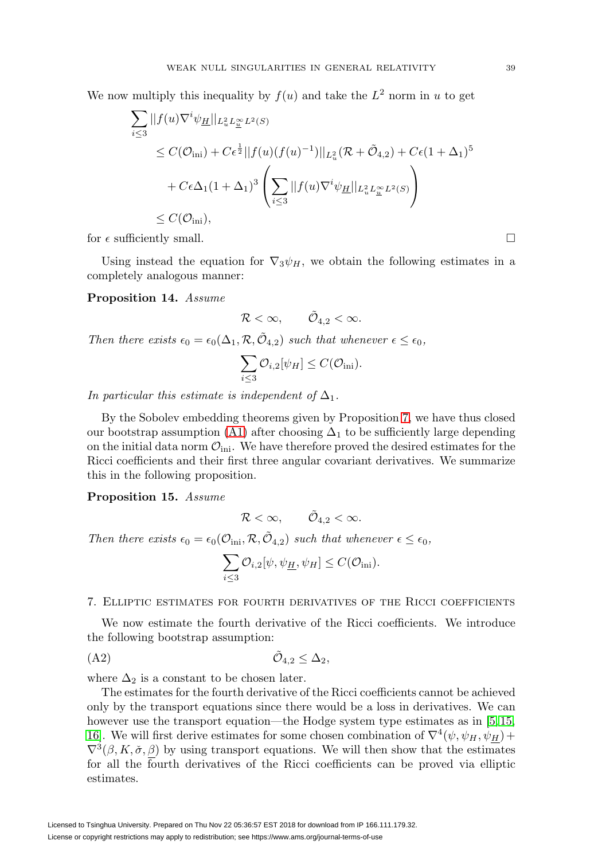We now multiply this inequality by  $f(u)$  and take the  $L^2$  norm in u to get

$$
\sum_{i\leq 3} ||f(u)\nabla^i \psi_{\underline{H}}||_{L^2_u L^{\infty}_u L^2(S)}
$$
\n
$$
\leq C(\mathcal{O}_{\text{ini}}) + C\epsilon^{\frac{1}{2}} ||f(u)(f(u)^{-1})||_{L^2_u} (\mathcal{R} + \tilde{\mathcal{O}}_{4,2}) + C\epsilon (1 + \Delta_1)^5
$$
\n
$$
+ C\epsilon \Delta_1 (1 + \Delta_1)^3 \left( \sum_{i\leq 3} ||f(u)\nabla^i \psi_{\underline{H}}||_{L^2_u L^{\infty}_u L^2(S)} \right)
$$
\n
$$
\leq C(\mathcal{O}_{\text{ini}}),
$$

for  $\epsilon$  sufficiently small.

Using instead the equation for  $\nabla_3 \psi_H$ , we obtain the following estimates in a completely analogous manner:

**Proposition 14.** Assume

$$
\mathcal{R}<\infty,\qquad\tilde{\mathcal{O}}_{4,2}<\infty.
$$

Then there exists  $\epsilon_0 = \epsilon_0(\Delta_1, \mathcal{R}, \tilde{\mathcal{O}}_{4,2})$  such that whenever  $\epsilon \leq \epsilon_0$ ,

$$
\sum_{i\leq 3} \mathcal{O}_{i,2}[\psi_H] \leq C(\mathcal{O}_{\text{ini}}).
$$

In particular this estimate is independent of  $\Delta_1$ .

By the Sobolev embedding theorems given by Proposition [7,](#page-31-1) we have thus closed our bootstrap assumption [\(A1\)](#page-27-1) after choosing  $\Delta_1$  to be sufficiently large depending on the initial data norm  $\mathcal{O}_{\text{ini}}$ . We have therefore proved the desired estimates for the Ricci coefficients and their first three angular covariant derivatives. We summarize this in the following proposition.

<span id="page-38-1"></span>**Proposition 15.** Assume

$$
\mathcal{R}<\infty,\qquad\tilde{\mathcal{O}}_{4,2}<\infty.
$$

Then there exists  $\epsilon_0 = \epsilon_0(\mathcal{O}_{\text{ini}}, \mathcal{R}, \tilde{\mathcal{O}}_{4,2})$  such that whenever  $\epsilon \leq \epsilon_0$ ,

$$
\sum_{i\leq 3} \mathcal{O}_{i,2}[\psi,\psi_{\underline{H}},\psi_H] \leq C(\mathcal{O}_{\text{ini}}).
$$

### <span id="page-38-0"></span>7. Elliptic estimates for fourth derivatives of the Ricci coefficients

We now estimate the fourth derivative of the Ricci coefficients. We introduce the following bootstrap assumption:

<span id="page-38-2"></span>
$$
(A2) \t\t\t \tilde{\mathcal{O}}_{4,2} \leq \Delta_2,
$$

where  $\Delta_2$  is a constant to be chosen later.

The estimates for the fourth derivative of the Ricci coefficients cannot be achieved only by the transport equations since there would be a loss in derivatives. We can however use the transport equation—the Hodge system type estimates as in [\[5,](#page-61-2)15, [16\]](#page-62-12). We will first derive estimates for some chosen combination of  $\nabla^4(\psi, \psi_H, \psi_H)$  +  $\nabla^3(\beta, K, \check{\sigma}, \beta)$  by using transport equations. We will then show that the estimates for all the fourth derivatives of the Ricci coefficients can be proved via elliptic estimates.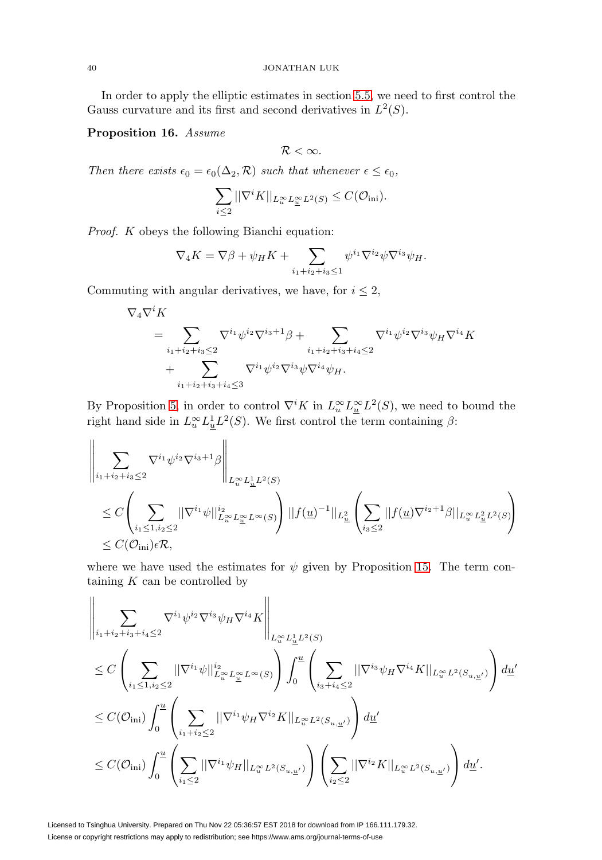In order to apply the elliptic estimates in section [5.5,](#page-32-1) we need to first control the Gauss curvature and its first and second derivatives in  $L^2(S)$ .

# <span id="page-39-0"></span>**Proposition 16.** Assume

$$
\mathcal{R}<\infty.
$$

Then there exists  $\epsilon_0 = \epsilon_0(\Delta_2, \mathcal{R})$  such that whenever  $\epsilon \leq \epsilon_0$ ,

$$
\sum_{i\leq 2}||\nabla^i K||_{L^\infty_u L^\infty_{\underline{u}} L^2(S)} \leq C(\mathcal{O}_{\text{ini}}).
$$

Proof. K obeys the following Bianchi equation:

$$
\nabla_4 K = \nabla \beta + \psi_H K + \sum_{i_1 + i_2 + i_3 \leq 1} \psi^{i_1} \nabla^{i_2} \psi \nabla^{i_3} \psi_H.
$$

Commuting with angular derivatives, we have, for  $i \leq 2$ ,

$$
\nabla_4 \nabla^i K
$$
\n
$$
= \sum_{i_1+i_2+i_3 \le 2} \nabla^{i_1} \psi^{i_2} \nabla^{i_3+1} \beta + \sum_{i_1+i_2+i_3+i_4 \le 2} \nabla^{i_1} \psi^{i_2} \nabla^{i_3} \psi_H \nabla^{i_4} K
$$
\n
$$
+ \sum_{i_1+i_2+i_3+i_4 \le 3} \nabla^{i_1} \psi^{i_2} \nabla^{i_3} \psi \nabla^{i_4} \psi_H.
$$

By Proposition [5,](#page-30-1) in order to control  $\nabla^i K$  in  $L_u^{\infty} L_u^{\infty} L^2(S)$ , we need to bound the right hand side in  $L_u^{\infty} L_{\underline{u}}^1 L^2(S)$ . We first control the term containing  $\beta$ :

$$
\left\|\sum_{i_1+i_2+i_3\leq 2}\nabla^{i_1}\psi^{i_2}\nabla^{i_3+1}\beta\right\|_{L^\infty_uL^1_{\underline{u}}L^2(S)}\n\leq C\left(\sum_{i_1\leq 1,i_2\leq 2}||\nabla^{i_1}\psi||^{i_2}_{L^\infty_uL^\infty_{\underline{u}}L^\infty(S)}\right)||f(\underline{u})^{-1}||_{L^2_{\underline{u}}}\left(\sum_{i_3\leq 2}||f(\underline{u})\nabla^{i_2+1}\beta||_{L^\infty_uL^2_{\underline{u}}L^2(S)}\right)\n\leq C(\mathcal{O}_{\rm ini})\epsilon\mathcal{R},
$$

where we have used the estimates for  $\psi$  given by Proposition [15.](#page-38-1) The term containing  $K$  can be controlled by

$$
\begin{aligned}&\left\|\sum_{i_1+i_2+i_3+i_4\leq 2}\nabla^{i_1}\psi^{i_2}\nabla^{i_3}\psi_H\nabla^{i_4}K\right\|_{L^\infty_uL^1_uL^2(S)}\\&\leq C\left(\sum_{i_1\leq 1,i_2\leq 2}\vert\vert\nabla^{i_1}\psi\vert\vert_{L^\infty_uL^\infty_uL^\infty(S)}^{i_2}\right)\int_0^{\underline{u}}\left(\sum_{i_3+i_4\leq 2}\vert\vert\nabla^{i_3}\psi_H\nabla^{i_4}K\vert\vert_{L^\infty_uL^2(S_{u,\underline{u}'})}\right)d\underline{u}'\\&\leq C(\mathcal{O}_{\rm ini})\int_0^{\underline{u}}\left(\sum_{i_1+i_2\leq 2}\vert\vert\nabla^{i_1}\psi_H\nabla^{i_2}K\vert\vert_{L^\infty_uL^2(S_{u,\underline{u}'})}\right)d\underline{u}'\\&\leq C(\mathcal{O}_{\rm ini})\int_0^{\underline{u}}\left(\sum_{i_1\leq 2}\vert\vert\nabla^{i_1}\psi_H\vert\vert_{L^\infty_uL^2(S_{u,\underline{u}'})}\right)\left(\sum_{i_2\leq 2}\vert\vert\nabla^{i_2}K\vert\vert_{L^\infty_uL^2(S_{u,\underline{u}'})}\right)d\underline{u}'.\end{aligned}
$$

Licensed to Tsinghua University. Prepared on Thu Nov 22 05:36:57 EST 2018 for download from IP 166.111.179.32. License or copyright restrictions may apply to redistribution; see https://www.ams.org/journal-terms-of-use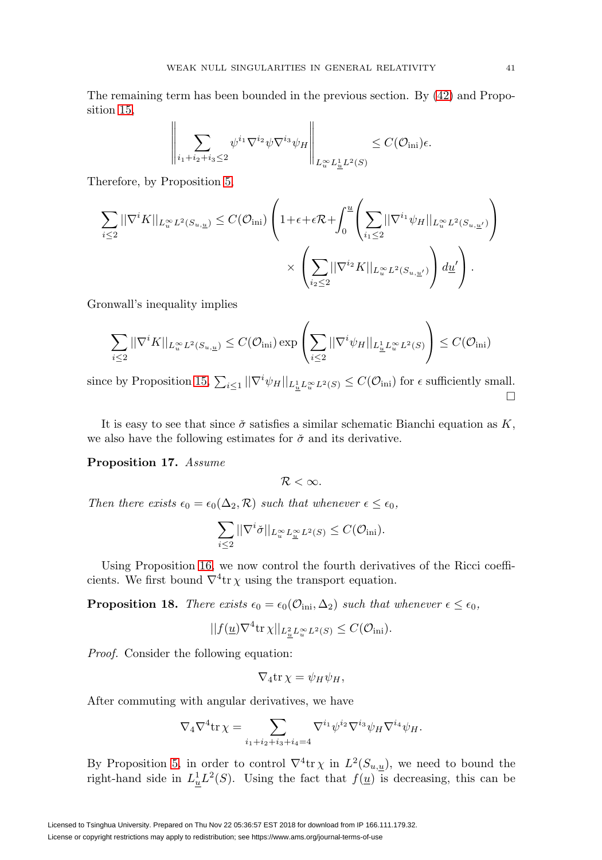The remaining term has been bounded in the previous section. By [\(42\)](#page-35-0) and Proposition [15,](#page-38-1)

$$
\left\|\sum_{i_1+i_2+i_3\leq 2}\psi^{i_1}\nabla^{i_2}\psi\nabla^{i_3}\psi_H\right\|_{L^\infty_u L^1_{\underline{u}}L^2(S)}\leq C(\mathcal{O}_{\rm ini})\epsilon.
$$

Therefore, by Proposition [5,](#page-30-1)

$$
\sum_{i\leq 2}||\nabla^i K||_{L_u^\infty L^2(S_{u,\underline{u}})} \leq C(\mathcal{O}_{\rm ini})\left(1+\epsilon+\epsilon\mathcal{R}+\int_0^{\underline{u}}\left(\sum_{i_1\leq 2}||\nabla^{i_1}\psi_H||_{L_u^\infty L^2(S_{u,\underline{u}'})}\right)\right.\\\times\left.\left.\left(\sum_{i_2\leq 2}||\nabla^{i_2} K||_{L_u^\infty L^2(S_{u,\underline{u}'})}\right)d\underline{u}'\right).
$$

Gronwall's inequality implies

$$
\sum_{i\leq 2}||\nabla^i K||_{L^\infty_u L^2(S_{u,\underline{u}})} \leq C(\mathcal{O}_{\rm ini})\exp\left(\sum_{i\leq 2}||\nabla^i\psi_H||_{L^1_{\underline{u}}L^\infty_u L^2(S)}\right)\leq C(\mathcal{O}_{\rm ini})
$$

since by Proposition [15,](#page-38-1)  $\sum_{i\leq 1} ||\nabla^i \psi_H||_{L^1_u L^\infty_u L^2(S)} \leq C(\mathcal{O}_{\text{ini}})$  for  $\epsilon$  sufficiently small.  $\Box$ 

It is easy to see that since  $\check{\sigma}$  satisfies a similar schematic Bianchi equation as  $K$ , we also have the following estimates for  $\check{\sigma}$  and its derivative.

<span id="page-40-0"></span>**Proposition 17.** Assume

$$
\mathcal{R}<\infty.
$$

Then there exists  $\epsilon_0 = \epsilon_0(\Delta_2, \mathcal{R})$  such that whenever  $\epsilon \leq \epsilon_0$ ,

$$
\sum_{i\leq 2}||\nabla^i\check{\sigma}||_{L^\infty_u L^\infty_{\underline{u}} L^2(S)} \leq C(\mathcal{O}_{\text{ini}}).
$$

Using Proposition [16,](#page-39-0) we now control the fourth derivatives of the Ricci coefficients. We first bound  $\nabla^4$ tr  $\chi$  using the transport equation.

**Proposition 18.** There exists  $\epsilon_0 = \epsilon_0(\mathcal{O}_{\text{ini}}, \Delta_2)$  such that whenever  $\epsilon \leq \epsilon_0$ ,

$$
||f(\underline{u})\nabla^4 \text{tr}\,\chi||_{L^2_u L^\infty_u L^2(S)} \leq C(\mathcal{O}_{\text{ini}}).
$$

Proof. Consider the following equation:

$$
\nabla_4 \mathrm{tr}\,\chi = \psi_H \psi_H,
$$

After commuting with angular derivatives, we have

$$
\nabla_4 \nabla^4 \mathrm{tr} \,\chi = \sum_{i_1+i_2+i_3+i_4=4} \nabla^{i_1} \psi^{i_2} \nabla^{i_3} \psi_H \nabla^{i_4} \psi_H.
$$

By Proposition [5,](#page-30-1) in order to control  $\nabla^4 \text{tr } \chi$  in  $L^2(S_{u,\underline{u}})$ , we need to bound the right-hand side in  $L_u^1 L^2(S)$ . Using the fact that  $f(u)$  is decreasing, this can be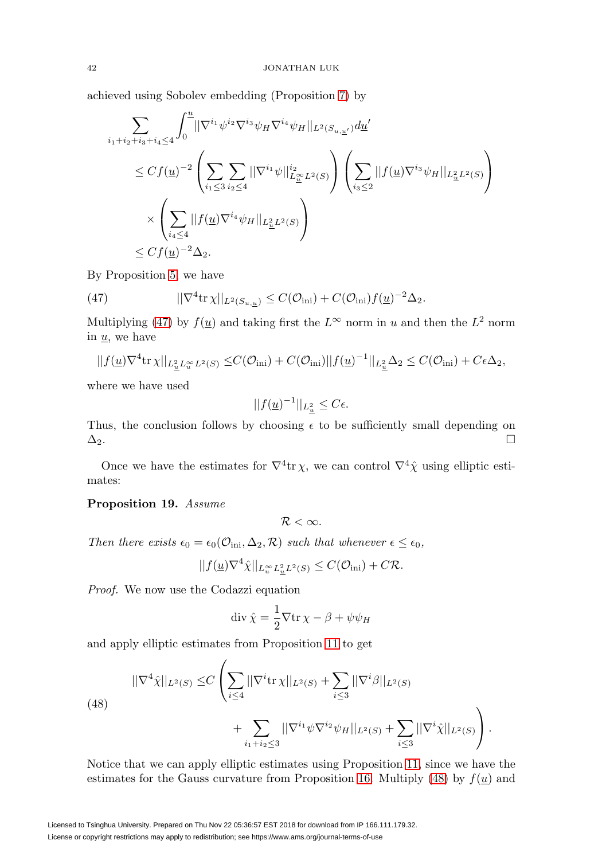achieved using Sobolev embedding (Proposition [7\)](#page-31-1) by

$$
\sum_{i_1+i_2+i_3+i_4\leq 4} \int_0^{\underline{u}} ||\nabla^{i_1}\psi^{i_2}\nabla^{i_3}\psi_H\nabla^{i_4}\psi_H||_{L^2(S_{u,\underline{u}'})} d\underline{u}'
$$
\n
$$
\leq C f(\underline{u})^{-2} \left( \sum_{i_1\leq 3} \sum_{i_2\leq 4} ||\nabla^{i_1}\psi||_{L_{\underline{u}}^{\infty}L^2(S)}^{i_2} \right) \left( \sum_{i_3\leq 2} ||f(\underline{u})\nabla^{i_3}\psi_H||_{L_{\underline{u}}^2L^2(S)} \right)
$$
\n
$$
\times \left( \sum_{i_4\leq 4} ||f(\underline{u})\nabla^{i_4}\psi_H||_{L_{\underline{u}}^2L^2(S)} \right)
$$
\n
$$
\leq C f(\underline{u})^{-2} \Delta_2.
$$

By Proposition [5,](#page-30-1) we have

<span id="page-41-0"></span>(47) 
$$
||\nabla^4 \text{tr}\,\chi||_{L^2(S_{u,\underline{u}})} \leq C(\mathcal{O}_{\text{ini}}) + C(\mathcal{O}_{\text{ini}})f(\underline{u})^{-2}\Delta_2.
$$

Multiplying [\(47\)](#page-41-0) by  $f(\underline{u})$  and taking first the  $L^{\infty}$  norm in u and then the  $L^2$  norm in  $\underline{u}$ , we have

$$
||f(\underline{u})\nabla^4 \text{tr}\,\chi||_{L^2_{\underline{u}}L^\infty_u L^2(S)} \leq C(\mathcal{O}_{\text{ini}}) + C(\mathcal{O}_{\text{ini}})||f(\underline{u})^{-1}||_{L^2_{\underline{u}}} \Delta_2 \leq C(\mathcal{O}_{\text{ini}}) + C\epsilon \Delta_2,
$$

where we have used

$$
||f(\underline{u})^{-1}||_{L^2_{\underline{u}}} \leq C\epsilon.
$$

Thus, the conclusion follows by choosing  $\epsilon$  to be sufficiently small depending on  $\Delta_2$ .

Once we have the estimates for  $\nabla^4$ tr  $\chi$ , we can control  $\nabla^4 \hat{\chi}$  using elliptic estimates:

## **Proposition 19.** Assume

 $R < \infty$ .

Then there exists  $\epsilon_0 = \epsilon_0(\mathcal{O}_{\text{ini}}, \Delta_2, \mathcal{R})$  such that whenever  $\epsilon \leq \epsilon_0$ ,

$$
||f(\underline{u})\nabla^4 \hat{\chi}||_{L^\infty_u L^2_u L^2(S)} \leq C(\mathcal{O}_{\text{ini}}) + C\mathcal{R}.
$$

Proof. We now use the Codazzi equation

$$
\operatorname{div}\hat{\chi} = \frac{1}{2}\nabla \operatorname{tr}\chi - \beta + \psi \psi_H
$$

and apply elliptic estimates from Proposition [11](#page-32-2) to get

<span id="page-41-1"></span>(48)  

$$
||\nabla^4 \hat{\chi}||_{L^2(S)} \leq C \left( \sum_{i \leq 4} ||\nabla^i \text{tr} \chi||_{L^2(S)} + \sum_{i \leq 3} ||\nabla^i \beta||_{L^2(S)} + \sum_{i \leq 4} ||\nabla^i \hat{\chi}||_{L^2(S)} + \sum_{i \leq 4} ||\nabla^i \hat{\chi}||_{L^2(S)} \right).
$$

Notice that we can apply elliptic estimates using Proposition [11,](#page-32-2) since we have the estimates for the Gauss curvature from Proposition [16.](#page-39-0) Multiply [\(48\)](#page-41-1) by  $f(\underline{u})$  and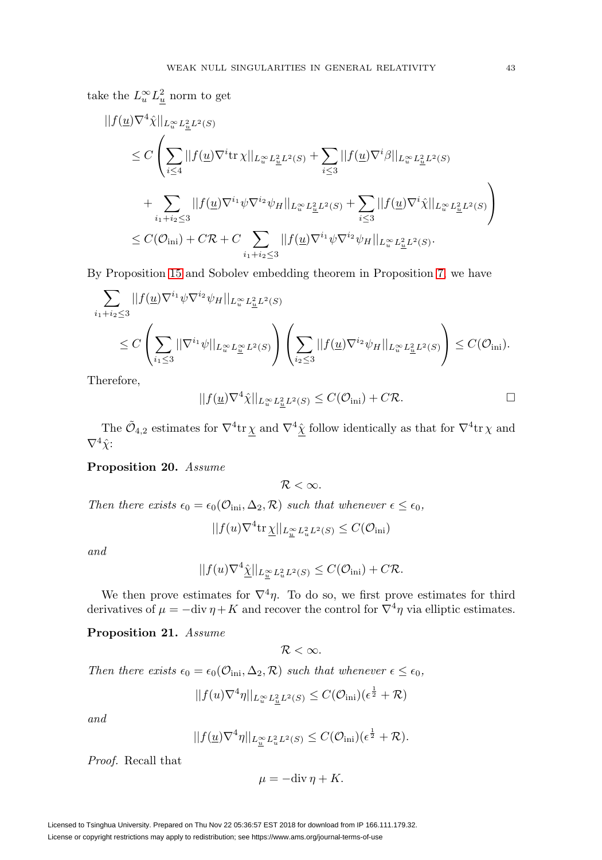take the  $L^\infty_u L^2_{\underline{u}}$  norm to get

$$
\begin{split} &||f(\underline{u})\nabla^4\hat{\chi}||_{L^\infty_u L^2_{\underline{u}}L^2(S)}\\ &\leq C\left(\sum_{i\leq 4}||f(\underline{u})\nabla^i\mathrm{tr}\,\chi||_{L^\infty_u L^2_{\underline{u}}L^2(S)}+\sum_{i\leq 3}||f(\underline{u})\nabla^i\beta||_{L^\infty_u L^2_{\underline{u}}L^2(S)}\\ &+\sum_{i_1+i_2\leq 3}||f(\underline{u})\nabla^{i_1}\psi\nabla^{i_2}\psi_H||_{L^\infty_u L^2_{\underline{u}}L^2(S)}+\sum_{i\leq 3}||f(\underline{u})\nabla^i\hat{\chi}||_{L^\infty_u L^2_{\underline{u}}L^2(S)}\right)\\ &\leq C(\mathcal{O}_{\rm ini})+C\mathcal{R}+C\sum_{i_1+i_2\leq 3}||f(\underline{u})\nabla^{i_1}\psi\nabla^{i_2}\psi_H||_{L^\infty_u L^2_{\underline{u}}L^2(S)}. \end{split}
$$

By Proposition [15](#page-38-1) and Sobolev embedding theorem in Proposition [7,](#page-31-1) we have

$$
\sum_{i_1+i_2\leq 3}||f(\underline{u})\nabla^{i_1}\psi\nabla^{i_2}\psi_H||_{L_u^{\infty}L_{\underline{u}}^2L^2(S)}\n\leq C\left(\sum_{i_1\leq 3}||\nabla^{i_1}\psi||_{L_u^{\infty}L_{\underline{u}}^{\infty}L^2(S)}\right)\left(\sum_{i_2\leq 3}||f(\underline{u})\nabla^{i_2}\psi_H||_{L_u^{\infty}L_{\underline{u}}^2L^2(S)}\right)\leq C(\mathcal{O}_{\rm ini}).
$$

Therefore,

$$
||f(\underline{u})\nabla^4 \hat{\chi}||_{L^\infty_u L^2_{\underline{u}} L^2(S)} \leq C(\mathcal{O}_{\text{ini}}) + C\mathcal{R}.
$$

The  $\tilde{O}_{4,2}$  estimates for  $\nabla^4 \text{tr} \chi$  and  $\nabla^4 \hat{\chi}$  follow identically as that for  $\nabla^4 \text{tr} \chi$  and  $\nabla^4 \hat{\chi}$ :

# **Proposition 20.** Assume

 $R < \infty$ .

Then there exists  $\epsilon_0 = \epsilon_0(\mathcal{O}_{\text{ini}}, \Delta_2, \mathcal{R})$  such that whenever  $\epsilon \leq \epsilon_0$ ,

$$
||f(u)\nabla^4 \text{tr}\,\underline{\chi}||_{L^\infty_u L^2_u L^2(S)} \leq C(\mathcal{O}_{\text{ini}})
$$

and

$$
||f(u)\nabla^4 \underline{\hat{\chi}}||_{L^{\infty}_{\underline{u}}L^{2}_{u}L^{2}(S)} \leq C(\mathcal{O}_{\text{ini}}) + C\mathcal{R}.
$$

We then prove estimates for  $\nabla^4 \eta$ . To do so, we first prove estimates for third derivatives of  $\mu = -\text{div }\eta + K$  and recover the control for  $\nabla^4 \eta$  via elliptic estimates.

<span id="page-42-0"></span>**Proposition 21.** Assume

$$
\mathcal{R}<\infty.
$$

Then there exists  $\epsilon_0 = \epsilon_0(\mathcal{O}_{\text{ini}}, \Delta_2, \mathcal{R})$  such that whenever  $\epsilon \leq \epsilon_0$ ,

$$
||f(u)\nabla^4 \eta||_{L^\infty_u L^2_{\underline{u}} L^2(S)} \leq C(\mathcal{O}_{\text{ini}})(\epsilon^{\frac{1}{2}} + \mathcal{R})
$$

and

$$
||f(\underline{u})\nabla^4\eta||_{L^{\infty}_{\underline{u}}L^{2}_{u}L^{2}(S)} \leq C(\mathcal{O}_{\text{ini}})(\epsilon^{\frac{1}{2}}+\mathcal{R}).
$$

Proof. Recall that

$$
\mu = -\mathrm{div}\,\eta + K.
$$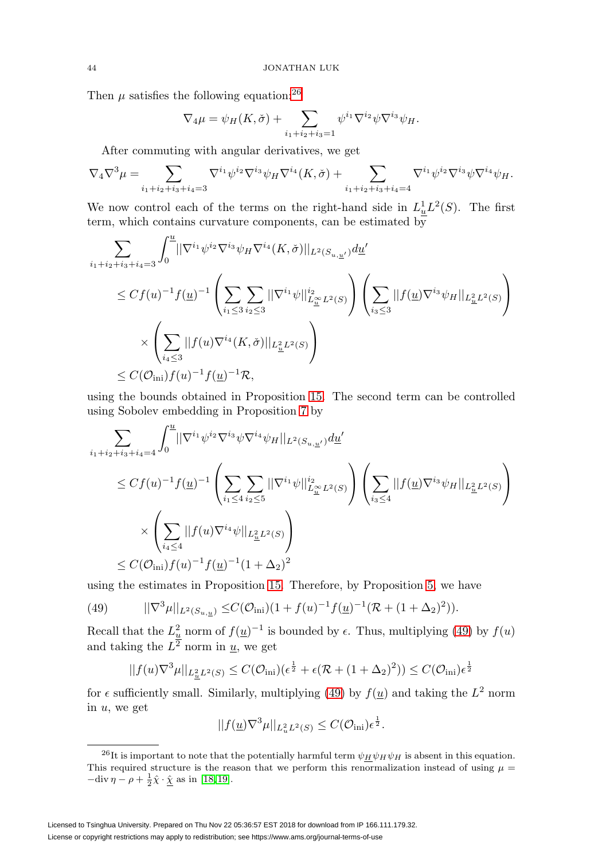Then  $\mu$  satisfies the following equation:<sup>[26](#page-43-0)</sup>

$$
\nabla_4 \mu = \psi_H(K, \check{\sigma}) + \sum_{i_1 + i_2 + i_3 = 1} \psi^{i_1} \nabla^{i_2} \psi \nabla^{i_3} \psi_H.
$$

After commuting with angular derivatives, we get

$$
\nabla_4 \nabla^3 \mu = \sum_{i_1+i_2+i_3+i_4=3} \nabla^{i_1} \psi^{i_2} \nabla^{i_3} \psi_H \nabla^{i_4}(K, \check{\sigma}) + \sum_{i_1+i_2+i_3+i_4=4} \nabla^{i_1} \psi^{i_2} \nabla^{i_3} \psi \nabla^{i_4} \psi_H.
$$

We now control each of the terms on the right-hand side in  $L_{\underline{u}}^1 L^2(S)$ . The first term, which contains curvature components, can be estimated by

$$
\sum_{i_1+i_2+i_3+i_4=3} \int_0^{\underline{u}} ||\nabla^{i_1} \psi^{i_2} \nabla^{i_3} \psi_H \nabla^{i_4}(K, \check{\sigma})||_{L^2(S_{u, \underline{u}'})} d\underline{u}'
$$
\n
$$
\leq C f(u)^{-1} f(\underline{u})^{-1} \left( \sum_{i_1 \leq 3} \sum_{i_2 \leq 3} ||\nabla^{i_1} \psi||_{L_{\underline{u}}^{\infty} L^2(S)}^{i_2} \right) \left( \sum_{i_3 \leq 3} ||f(\underline{u}) \nabla^{i_3} \psi_H||_{L_{\underline{u}}^2 L^2(S)} \right)
$$
\n
$$
\times \left( \sum_{i_4 \leq 3} ||f(u) \nabla^{i_4}(K, \check{\sigma})||_{L_{\underline{u}}^2 L^2(S)} \right)
$$
\n
$$
\leq C(\mathcal{O}_{\text{ini}}) f(u)^{-1} f(\underline{u})^{-1} \mathcal{R},
$$

using the bounds obtained in Proposition [15.](#page-38-1) The second term can be controlled using Sobolev embedding in Proposition [7](#page-31-1) by

$$
\begin{aligned} &\sum_{i_1+i_2+i_3+i_4=4}\int_0^{\underline{u}}\bigl||\nabla^{i_1}\psi^{i_2}\nabla^{i_3}\psi\nabla^{i_4}\psi_H\bigr||_{L^2(S_{u,\underline{u}'})}d\underline{u}'\\ &\leq Cf(u)^{-1}f(\underline{u})^{-1}\left(\sum_{i_1\leq 4}\sum_{i_2\leq 5}||\nabla^{i_1}\psi||_{L_{\underline{u}}^{\infty}L^2(S)}^{i_2}\right)\left(\sum_{i_3\leq 4}||f(\underline{u})\nabla^{i_3}\psi_H||_{L_{\underline{u}}^2L^2(S)}\right)\\ &\times\left(\sum_{i_4\leq 4}||f(u)\nabla^{i_4}\psi||_{L_{\underline{u}}^2L^2(S)}\right)\\ &\leq C(\mathcal{O}_{\rm ini})f(u)^{-1}f(\underline{u})^{-1}(1+\Delta_2)^2 \end{aligned}
$$

using the estimates in Proposition [15.](#page-38-1) Therefore, by Proposition [5,](#page-30-1) we have

<span id="page-43-1"></span>(49) 
$$
||\nabla^3 \mu||_{L^2(S_{u,\underline{u}})} \leq C(\mathcal{O}_{\text{ini}})(1+f(u)^{-1}f(\underline{u})^{-1}(\mathcal{R}+(1+\Delta_2)^2)).
$$

Recall that the  $L^2_{\underline{u}}$  norm of  $f(\underline{u})^{-1}$  is bounded by  $\epsilon$ . Thus, multiplying [\(49\)](#page-43-1) by  $f(u)$ and taking the  $L^2$  norm in  $\underline{u}$ , we get

$$
||f(u)\nabla^3\mu||_{L^2_{\underline{u}}L^2(S)} \leq C(\mathcal{O}_{\text{ini}})(\epsilon^{\frac{1}{2}} + \epsilon(\mathcal{R} + (1+\Delta_2)^2)) \leq C(\mathcal{O}_{\text{ini}})\epsilon^{\frac{1}{2}}
$$

for  $\epsilon$  sufficiently small. Similarly, multiplying [\(49\)](#page-43-1) by  $f(\underline{u})$  and taking the  $L^2$  norm in  $u$ , we get

$$
||f(\underline{u})\nabla^3\mu||_{L^2_{u}L^2(S)} \leq C(\mathcal{O}_{\text{ini}})\epsilon^{\frac{1}{2}}.
$$

<span id="page-43-0"></span><sup>&</sup>lt;sup>26</sup>It is important to note that the potentially harmful term  $\psi_H \psi_H \psi_H$  is absent in this equation. This required structure is the reason that we perform this renormalization instead of using  $\mu =$  $-\text{div}\,\eta - \rho + \frac{1}{2}\hat{\chi}\cdot\underline{\hat{\chi}}$  as in [\[18,](#page-62-9)19].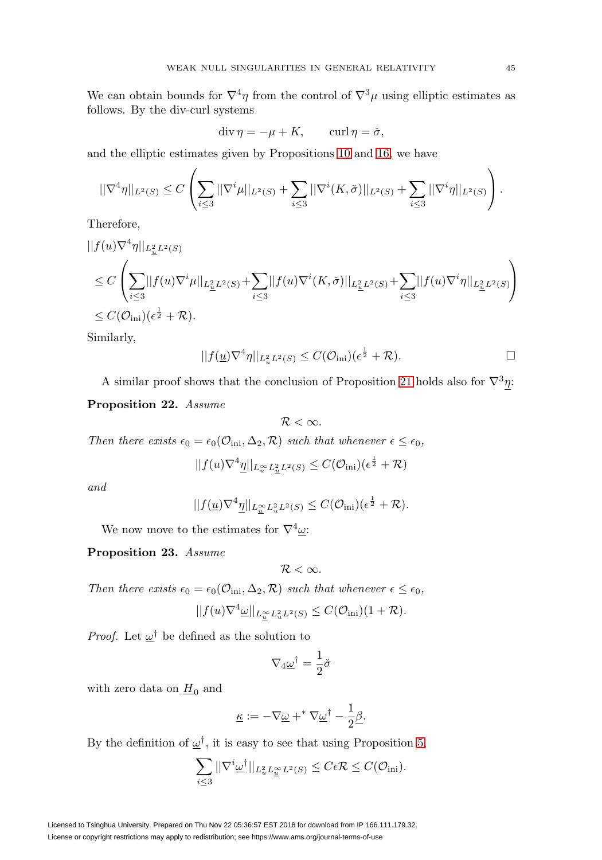We can obtain bounds for  $\nabla^4 \eta$  from the control of  $\nabla^3 \mu$  using elliptic estimates as follows. By the div-curl systems

$$
\operatorname{div} \eta = -\mu + K, \qquad \operatorname{curl} \eta = \check{\sigma},
$$

and the elliptic estimates given by Propositions [10](#page-32-0) and [16,](#page-39-0) we have

$$
||\nabla^4 \eta||_{L^2(S)} \leq C \left( \sum_{i \leq 3} ||\nabla^i \mu||_{L^2(S)} + \sum_{i \leq 3} ||\nabla^i (K, \check{\sigma})||_{L^2(S)} + \sum_{i \leq 3} ||\nabla^i \eta||_{L^2(S)} \right).
$$

Therefore,

$$
\begin{split} &||f(u)\nabla^4\eta||_{L^2_{\underline{u}}L^2(S)}\\ &\leq C\left(\sum_{i\leq 3}||f(u)\nabla^i\mu||_{L^2_{\underline{u}}L^2(S)}+\sum_{i\leq 3}||f(u)\nabla^i(K,\check{\sigma})||_{L^2_{\underline{u}}L^2(S)}+\sum_{i\leq 3}||f(u)\nabla^i\eta||_{L^2_{\underline{u}}L^2(S)}\right)\\ &\leq C(\mathcal{O}_{\rm ini})(\epsilon^{\frac{1}{2}}+\mathcal{R}). \end{split}
$$

Similarly,

$$
||f(\underline{u})\nabla^4\eta||_{L^2_uL^2(S)} \leq C(\mathcal{O}_{\text{ini}})(\epsilon^{\frac{1}{2}} + \mathcal{R}).
$$

A similar proof shows that the conclusion of Proposition [21](#page-42-0) holds also for  $\nabla^3 \eta$ :

# **Proposition 22.** Assume

$$
\mathcal{R}<\infty.
$$

Then there exists  $\epsilon_0 = \epsilon_0(\mathcal{O}_{\text{ini}}, \Delta_2, \mathcal{R})$  such that whenever  $\epsilon \leq \epsilon_0$ ,

$$
||f(u)\nabla^4 \underline{\eta}||_{L^\infty_u L^2_{\underline{u}} L^2(S)} \leq C(\mathcal{O}_{\text{ini}})(\epsilon^{\frac{1}{2}} + \mathcal{R})
$$

and

$$
||f(\underline{u})\nabla^4 \underline{\eta}||_{L^{\infty}_{\underline{u}} L^2_u L^2(S)} \leq C(\mathcal{O}_{\text{ini}})(\epsilon^{\frac{1}{2}} + \mathcal{R}).
$$

We now move to the estimates for  $\nabla^4 \omega$ :

**Proposition 23.** Assume

$$
\mathcal{R}<\infty.
$$

Then there exists  $\epsilon_0 = \epsilon_0(\mathcal{O}_{\text{ini}}, \Delta_2, \mathcal{R})$  such that whenever  $\epsilon \leq \epsilon_0$ ,

$$
||f(u)\nabla^4 \underline{\omega}||_{L^\infty_u L^2_u L^2(S)} \leq C(\mathcal{O}_{\text{ini}})(1+\mathcal{R}).
$$

*Proof.* Let  $\underline{\omega}^{\dagger}$  be defined as the solution to

$$
\nabla_4 \underline{\omega}^\dagger = \frac{1}{2} \check{\sigma}
$$

with zero data on  $H_0$  and

$$
\underline{\kappa} := -\nabla \underline{\omega} +^* \nabla \underline{\omega}^\dagger - \frac{1}{2} \underline{\beta}.
$$

By the definition of  $\underline{\omega}^{\dagger}$ , it is easy to see that using Proposition [5,](#page-30-1)

$$
\sum_{i\leq 3}||\nabla^i \underline{\omega}^{\dagger}||_{L^2_u L^{\infty}_\frac{u}{u}L^2(S)} \leq C\epsilon \mathcal{R} \leq C(\mathcal{O}_{\text{ini}}).
$$

Licensed to Tsinghua University. Prepared on Thu Nov 22 05:36:57 EST 2018 for download from IP 166.111.179.32. License or copyright restrictions may apply to redistribution; see https://www.ams.org/journal-terms-of-use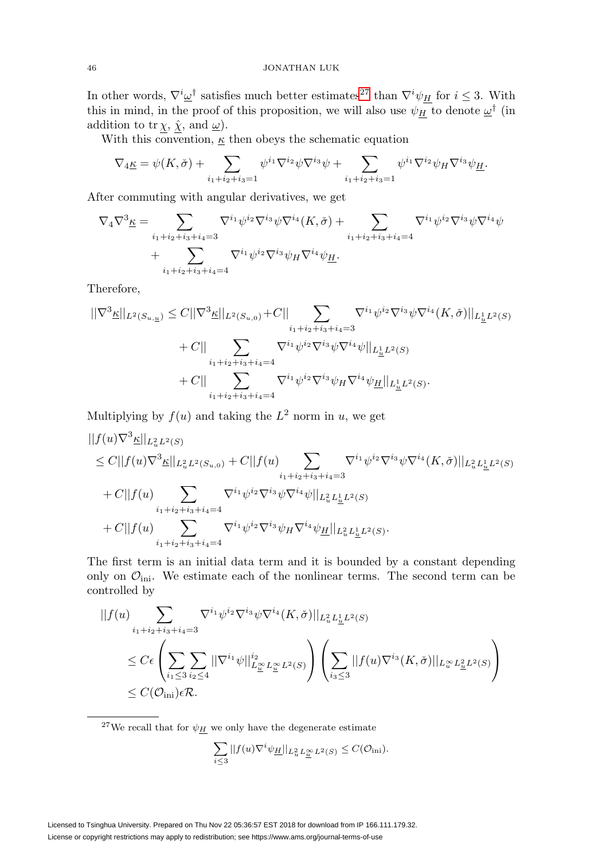In other words,  $\nabla^i \underline{\omega}^{\dagger}$  satisfies much better estimates<sup>[27](#page-45-0)</sup> than  $\nabla^i \psi_H$  for  $i \leq 3$ . With this in mind, in the proof of this proposition, we will also use  $\psi_H$  to denote  $\underline{\omega}^{\dagger}$  (in addition to tr  $\underline{\chi}, \hat{\underline{\chi}},$  and  $\underline{\omega}$ ).

With this convention,  $\kappa$  then obeys the schematic equation

$$
\nabla_{4}\underline{\kappa} = \psi(K,\check{\sigma}) + \sum_{i_1+i_2+i_3=1} \psi^{i_1} \nabla^{i_2} \psi \nabla^{i_3} \psi + \sum_{i_1+i_2+i_3=1} \psi^{i_1} \nabla^{i_2} \psi_H \nabla^{i_3} \psi_H.
$$

After commuting with angular derivatives, we get

$$
\nabla_{4}\nabla^{3}\underline{\kappa} = \sum_{i_{1}+i_{2}+i_{3}+i_{4}=3} \nabla^{i_{1}}\psi^{i_{2}}\nabla^{i_{3}}\psi \nabla^{i_{4}}(K,\check{\sigma}) + \sum_{i_{1}+i_{2}+i_{3}+i_{4}=4} \nabla^{i_{1}}\psi^{i_{2}}\nabla^{i_{3}}\psi \nabla^{i_{4}}\psi
$$
  
+ 
$$
\sum_{i_{1}+i_{2}+i_{3}+i_{4}=4} \nabla^{i_{1}}\psi^{i_{2}}\nabla^{i_{3}}\psi_{H}\nabla^{i_{4}}\psi_{\underline{H}}.
$$

Therefore,

$$
\begin{split} ||\nabla^3 \underline{\kappa}||_{L^2(S_{u,\underline{u}})} &\leq C||\nabla^3 \underline{\kappa}||_{L^2(S_{u,0})}+C||\sum_{i_1+i_2+i_3+i_4=3} \nabla^{i_1}\psi^{i_2}\nabla^{i_3}\psi \nabla^{i_4}(K,\check{\sigma})||_{L^1_{\underline{u}}L^2(S)} \\ &\quad + C||\sum_{i_1+i_2+i_3+i_4=4} \nabla^{i_1}\psi^{i_2}\nabla^{i_3}\psi \nabla^{i_4}\psi||_{L^1_{\underline{u}}L^2(S)} \\ &\quad + C||\sum_{i_1+i_2+i_3+i_4=4} \nabla^{i_1}\psi^{i_2}\nabla^{i_3}\psi_H \nabla^{i_4}\psi_{\underline{H}}||_{L^1_{\underline{u}}L^2(S)}. \end{split}
$$

Multiplying by  $f(u)$  and taking the  $L^2$  norm in u, we get

$$
||f(u)\nabla^3 \underline{\kappa}||_{L^2_u L^2(S)}\n\leq C||f(u)\nabla^3 \underline{\kappa}||_{L^2_u L^2(S_{u,0})} + C||f(u)\sum_{i_1+i_2+i_3+i_4=3}\nabla^{i_1}\psi^{i_2}\nabla^{i_3}\psi\nabla^{i_4}(K,\check{\sigma})||_{L^2_u L^1_{\underline{u}}L^2(S)}\n+ C||f(u)\sum_{i_1+i_2+i_3+i_4=4}\nabla^{i_1}\psi^{i_2}\nabla^{i_3}\psi\nabla^{i_4}\psi||_{L^2_u L^1_{\underline{u}}L^2(S)}\n+ C||f(u)\sum_{i_1+i_2+i_3+i_4=4}\nabla^{i_1}\psi^{i_2}\nabla^{i_3}\psi_H\nabla^{i_4}\psi_{\underline{H}}||_{L^2_u L^1_{\underline{u}}L^2(S)}.
$$

The first term is an initial data term and it is bounded by a constant depending only on  $\mathcal{O}_{\text{ini}}$ . We estimate each of the nonlinear terms. The second term can be controlled by

$$
\|f(u)\sum_{i_1+i_2+i_3+i_4=3} \nabla^{i_1}\psi^{i_2}\nabla^{i_3}\psi \nabla^{i_4}(K,\check{\sigma})\|_{L^2_u L^1_{\underline{u}} L^2(S)} \n\leq C\epsilon \left( \sum_{i_1 \leq 3} \sum_{i_2 \leq 4} ||\nabla^{i_1}\psi||_{L^{\infty}_{\underline{u}} L^{\infty}_{\underline{u}} L^2(S)}^i \right) \left( \sum_{i_3 \leq 3} ||f(u)\nabla^{i_3}(K,\check{\sigma})||_{L^{\infty}_u L^2_{\underline{u}} L^2(S)} \right) \n\leq C(\mathcal{O}_{\rm ini})\epsilon \mathcal{R}.
$$

<span id="page-45-0"></span> $^{27}\mathrm{We}$  recall that for  $\psi_{\underline{H}}$  we only have the degenerate estimate

$$
\sum_{i\leq 3}||f(u)\nabla^i\psi_{\underline{H}}||_{L^2_{u}L^\infty_{\underline{u}}L^2(S)}\leq C(\mathcal{O}_{\rm ini}).
$$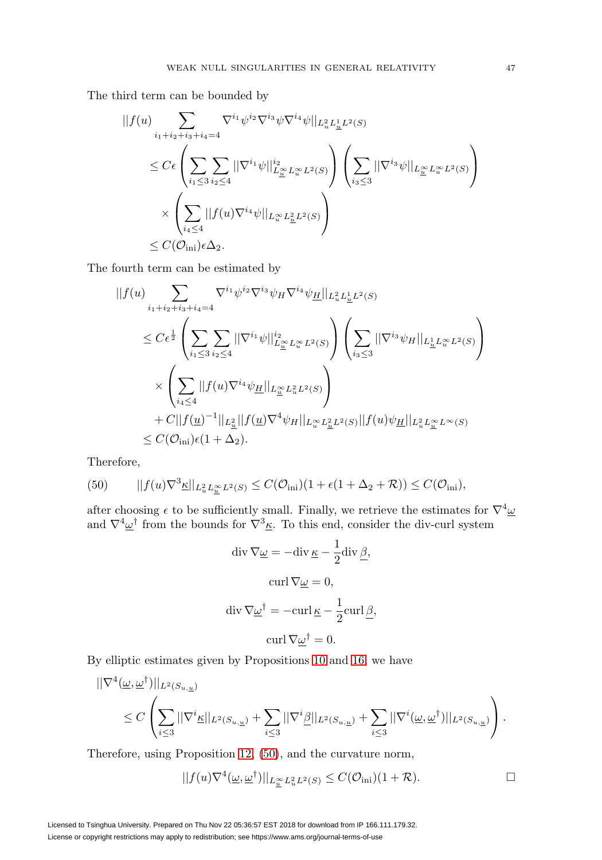The third term can be bounded by

$$
\begin{split} &||f(u) \sum_{i_1+i_2+i_3+i_4=4} \nabla^{i_1}\psi^{i_2}\nabla^{i_3}\psi \nabla^{i_4}\psi||_{L^2_uL^1_uL^2(S)}\\ &\leq C\epsilon\left(\sum_{i_1\leq 3}\sum_{i_2\leq 4}||\nabla^{i_1}\psi||^{i_2}_{L^{\infty}_\underline{u}L^\infty_uL^2(S)}\right)\left(\sum_{i_3\leq 3}||\nabla^{i_3}\psi||_{L^{\infty}_\underline{u}L^\infty_uL^2(S)}\right)\\ &\times\left(\sum_{i_4\leq 4}||f(u)\nabla^{i_4}\psi||_{L^{\infty}_uL^2_\underline{u}L^2(S)}\right)\\ &\leq C(\mathcal{O}_{\rm ini})\epsilon\Delta_2. \end{split}
$$

The fourth term can be estimated by

$$
\label{eq:22} \begin{split} &||f(u) \sum_{i_1+i_2+i_3+i_4=4} \nabla^{i_1} \psi^{i_2} \nabla^{i_3} \psi_H \nabla^{i_4} \psi_{\underline{H}} ||_{L^2_u L^1_{\underline{u}} L^2(S)} \\ & \leq C \epsilon^{\frac{1}{2}} \left( \sum_{i_1 \leq 3} \sum_{i_2 \leq 4} || \nabla^{i_1} \psi ||^{i_2}_{L^\infty_{\underline{u}} L^\infty_u L^2(S)} \right) \left( \sum_{i_3 \leq 3} || \nabla^{i_3} \psi_H ||_{L^1_{\underline{u}} L^\infty_u L^2(S)} \right) \\ & \times \left( \sum_{i_4 \leq 4} || f(u) \nabla^{i_4} \psi_{\underline{H}} ||_{L^\infty_{\underline{u}} L^2_u L^2(S)} \right) \\ & + C || f(\underline{u})^{-1} ||_{L^2_{\underline{u}}} || f(\underline{u}) \nabla^4 \psi_H ||_{L^\infty_u L^2_{\underline{u}} L^2(S)} || f(u) \psi_{\underline{H}} ||_{L^2_{u} L^\infty_{\underline{u}} L^\infty(S)} \\ & \leq C(\mathcal{O}_{\rm ini}) \epsilon (1 + \Delta_2). \end{split}
$$

Therefore,

<span id="page-46-0"></span>(50) 
$$
||f(u)\nabla^3 \underline{\kappa}||_{L^2_u L^{\infty}_u L^2(S)} \leq C(\mathcal{O}_{\text{ini}})(1 + \epsilon(1 + \Delta_2 + \mathcal{R})) \leq C(\mathcal{O}_{\text{ini}}),
$$

after choosing  $\epsilon$  to be sufficiently small. Finally, we retrieve the estimates for  $\nabla^4 \underline{\omega}$ and  $\nabla^4 \underline{\omega}^{\dagger}$  from the bounds for  $\nabla^3 \underline{\kappa}$ . To this end, consider the div-curl system

$$
\operatorname{div} \nabla \underline{\omega} = -\operatorname{div} \underline{\kappa} - \frac{1}{2} \operatorname{div} \underline{\beta},
$$

$$
\operatorname{curl} \nabla \underline{\omega} = 0,
$$

$$
\operatorname{div} \nabla \underline{\omega}^{\dagger} = -\operatorname{curl} \underline{\kappa} - \frac{1}{2} \operatorname{curl} \underline{\beta},
$$

$$
\operatorname{curl} \nabla \underline{\omega}^{\dagger} = 0.
$$

By elliptic estimates given by Propositions [10](#page-32-0) and [16,](#page-39-0) we have

$$
\begin{split} ||\nabla^4(\underline{\omega},\underline{\omega}^\dagger)||_{L^2(S_{u,\underline{u}})}\\ &\leq C\left(\sum_{i\leq 3}||\nabla^i \underline{\kappa}||_{L^2(S_{u,\underline{u}})}+\sum_{i\leq 3}||\nabla^i\underline{\beta}||_{L^2(S_{u,\underline{u}})}+\sum_{i\leq 3}||\nabla^i(\underline{\omega},\underline{\omega}^\dagger)||_{L^2(S_{u,\underline{u}})}\right). \end{split}
$$

Therefore, using Proposition [12,](#page-33-2) [\(50\)](#page-46-0), and the curvature norm,

$$
||f(u)\nabla^4(\underline{\omega}, \underline{\omega}^\dagger)||_{L^\infty_{\underline{u}}L^2_uL^2(S)} \leq C(\mathcal{O}_{\text{ini}})(1+\mathcal{R}).
$$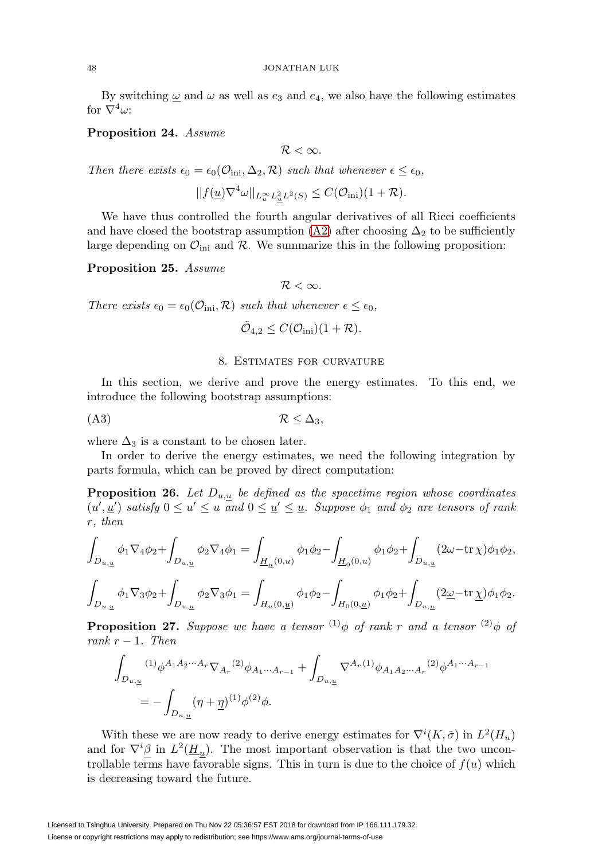By switching  $\underline{\omega}$  and  $\omega$  as well as  $e_3$  and  $e_4$ , we also have the following estimates for  $\nabla^4 \omega$ :

## **Proposition 24.** Assume

$$
\mathcal{R}<\infty.
$$

Then there exists  $\epsilon_0 = \epsilon_0(\mathcal{O}_{\text{ini}}, \Delta_2, \mathcal{R})$  such that whenever  $\epsilon \leq \epsilon_0$ ,

$$
||f(\underline{u})\nabla^4\omega||_{L^\infty_u L^2_{\underline{u}} L^2(S)} \leq C(\mathcal{O}_{\rm ini})(1+\mathcal{R}).
$$

We have thus controlled the fourth angular derivatives of all Ricci coefficients and have closed the bootstrap assumption [\(A2\)](#page-38-2) after choosing  $\Delta_2$  to be sufficiently large depending on  $\mathcal{O}_{\text{ini}}$  and  $\mathcal{R}$ . We summarize this in the following proposition:

<span id="page-47-1"></span>**Proposition 25.** Assume

$$
\mathcal{R}<\infty.
$$

There exists  $\epsilon_0 = \epsilon_0(\mathcal{O}_{\text{ini}}, \mathcal{R})$  such that whenever  $\epsilon \leq \epsilon_0$ ,

$$
\tilde{\mathcal{O}}_{4,2} \leq C(\mathcal{O}_{\text{ini}})(1+\mathcal{R}).
$$

### 8. Estimates for curvature

<span id="page-47-0"></span>In this section, we derive and prove the energy estimates. To this end, we introduce the following bootstrap assumptions:

<span id="page-47-4"></span>
$$
(A3) \t\t \mathcal{R} \leq \Delta_3,
$$

where  $\Delta_3$  is a constant to be chosen later.

In order to derive the energy estimates, we need the following integration by parts formula, which can be proved by direct computation:

<span id="page-47-3"></span>**Proposition 26.** Let  $D_{u,\underline{u}}$  be defined as the spacetime region whose coordinates  $(u', \underline{u}')$  satisfy  $0 \le u' \le u$  and  $0 \le \underline{u}' \le \underline{u}$ . Suppose  $\phi_1$  and  $\phi_2$  are tensors of rank r, then

$$
\begin{split} &\int_{D_{u,\underline{u}}} \phi_1 \nabla_4 \phi_2 + \int_{D_{u,\underline{u}}} \phi_2 \nabla_4 \phi_1 = \int_{\underline{H}_{\underline{u}}(0,u)} \phi_1 \phi_2 - \int_{\underline{H}_0(0,u)} \phi_1 \phi_2 + \int_{D_{u,\underline{u}}} (2\omega - \mathrm{tr}\, \chi) \phi_1 \phi_2,\\ &\int_{D_{u,\underline{u}}} \phi_1 \nabla_3 \phi_2 + \int_{D_{u,\underline{u}}} \phi_2 \nabla_3 \phi_1 = \int_{H_u(0,\underline{u})} \phi_1 \phi_2 - \int_{H_0(0,\underline{u})} \phi_1 \phi_2 + \int_{D_{u,\underline{u}}} (2\underline{\omega} - \mathrm{tr}\, \underline{\chi}) \phi_1 \phi_2. \end{split}
$$

<span id="page-47-2"></span>**Proposition 27.** Suppose we have a tensor  $^{(1)}\phi$  of rank r and a tensor  $^{(2)}\phi$  of rank  $r - 1$ . Then

$$
\int_{D_{u,\underline{u}}} {}^{(1)}\phi^{A_1 A_2 \cdots A_r} \nabla_{A_r} {}^{(2)}\phi_{A_1 \cdots A_{r-1}} + \int_{D_{u,\underline{u}}} \nabla^{A_r} {}^{(1)}\phi_{A_1 A_2 \cdots A_r} {}^{(2)}\phi^{A_1 \cdots A_{r-1}}
$$
  
= 
$$
- \int_{D_{u,\underline{u}}} (\eta + \underline{\eta}) {}^{(1)}\phi {}^{(2)}\phi.
$$

With these we are now ready to derive energy estimates for  $\nabla^i(K,\check{\sigma})$  in  $L^2(H_u)$ and for  $\nabla^i \underline{\beta}$  in  $L^2(\underline{H}_u)$ . The most important observation is that the two uncontrollable terms have favorable signs. This in turn is due to the choice of  $f(u)$  which is decreasing toward the future.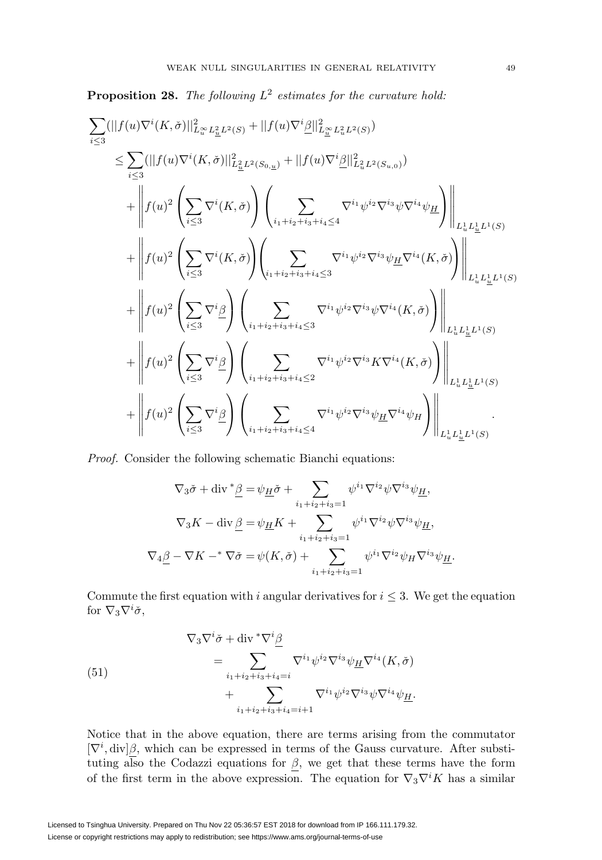<span id="page-48-1"></span>**Proposition 28.** The following  $L^2$  estimates for the curvature hold:

$$
\sum_{i\leq 3} (||f(u)\nabla^{i}(K,\check{\sigma})||^{2}_{L^{\infty}_{u}L^{2}_{u}L^{2}(S)} + ||f(u)\nabla^{i}\underline{\beta}||^{2}_{L^{\infty}_{u}L^{2}_{u}L^{2}(S)})
$$
\n
$$
\leq \sum_{i\leq 3} (||f(u)\nabla^{i}(K,\check{\sigma})||^{2}_{L^{2}_{u}L^{2}(S_{0,u})} + ||f(u)\nabla^{i}\underline{\beta}||^{2}_{L^{2}_{u}L^{2}(S_{u,0})})
$$
\n
$$
+ \left\|f(u)^{2}\left(\sum_{i\leq 3}\nabla^{i}(K,\check{\sigma})\right)\left(\sum_{i_{1}+i_{2}+i_{3}+i_{4}\leq 4}\nabla^{i_{1}}\psi^{i_{2}}\nabla^{i_{3}}\psi\nabla^{i_{4}}\psi_{H}\right)\right\|_{L^{1}_{u}L^{1}_{u}L^{1}(S)}
$$
\n
$$
+ \left\|f(u)^{2}\left(\sum_{i\leq 3}\nabla^{i}(K,\check{\sigma})\right)\left(\sum_{i_{1}+i_{2}+i_{3}+i_{4}\leq 3}\nabla^{i_{1}}\psi^{i_{2}}\nabla^{i_{3}}\psi_{H}\nabla^{i_{4}}(K,\check{\sigma})\right)\right\|_{L^{1}_{u}L^{1}_{u}L^{1}(S)}
$$
\n
$$
+ \left\|f(u)^{2}\left(\sum_{i\leq 3}\nabla^{i}\underline{\beta}\right)\left(\sum_{i_{1}+i_{2}+i_{3}+i_{4}\leq 3}\nabla^{i_{1}}\psi^{i_{2}}\nabla^{i_{3}}\psi\nabla^{i_{4}}(K,\check{\sigma})\right)\right\|_{L^{1}_{u}L^{1}_{u}L^{1}(S)}
$$
\n
$$
+ \left\|f(u)^{2}\left(\sum_{i\leq 3}\nabla^{i}\underline{\beta}\right)\left(\sum_{i_{1}+i_{2}+i_{3}+i_{4}\leq 2}\nabla^{i_{1}}\psi^{i_{2}}\nabla^{i_{3}}K\nabla^{i_{4}}(K,\check{\sigma})\right)\right\|_{L^{1}_{u}L^{1}_{u}L^{1}(S)}
$$
\n
$$
+ \left\|f(u)^{2}\left
$$

Proof. Consider the following schematic Bianchi equations:

$$
\nabla_3 \check{\sigma} + \text{div}^* \underline{\beta} = \psi_{\underline{H}} \check{\sigma} + \sum_{i_1 + i_2 + i_3 = 1} \psi^{i_1} \nabla^{i_2} \psi \nabla^{i_3} \psi_{\underline{H}},
$$
  

$$
\nabla_3 K - \text{div} \underline{\beta} = \psi_{\underline{H}} K + \sum_{i_1 + i_2 + i_3 = 1} \psi^{i_1} \nabla^{i_2} \psi \nabla^{i_3} \psi_{\underline{H}},
$$
  

$$
\nabla_4 \underline{\beta} - \nabla K -^* \nabla \check{\sigma} = \psi(K, \check{\sigma}) + \sum_{i_1 + i_2 + i_3 = 1} \psi^{i_1} \nabla^{i_2} \psi_H \nabla^{i_3} \psi_{\underline{H}}.
$$

Commute the first equation with i angular derivatives for  $i \leq 3$ . We get the equation for  $\nabla_3\nabla^i\check{\sigma}$ ,

<span id="page-48-0"></span>(51)  
\n
$$
\nabla_3 \nabla^i \check{\sigma} + \text{div}^* \nabla^i \underline{\beta}
$$
\n
$$
= \sum_{i_1+i_2+i_3+i_4=i} \nabla^{i_1} \psi^{i_2} \nabla^{i_3} \psi_{\underline{H}} \nabla^{i_4}(K, \check{\sigma})
$$
\n
$$
+ \sum_{i_1+i_2+i_3+i_4=i+1} \nabla^{i_1} \psi^{i_2} \nabla^{i_3} \psi \nabla^{i_4} \psi_{\underline{H}}.
$$

Notice that in the above equation, there are terms arising from the commutator  $[\nabla^i, \text{div}]\beta$ , which can be expressed in terms of the Gauss curvature. After substituting also the Codazzi equations for  $\beta$ , we get that these terms have the form of the first term in the above expression. The equation for  $\nabla_3 \nabla^i K$  has a similar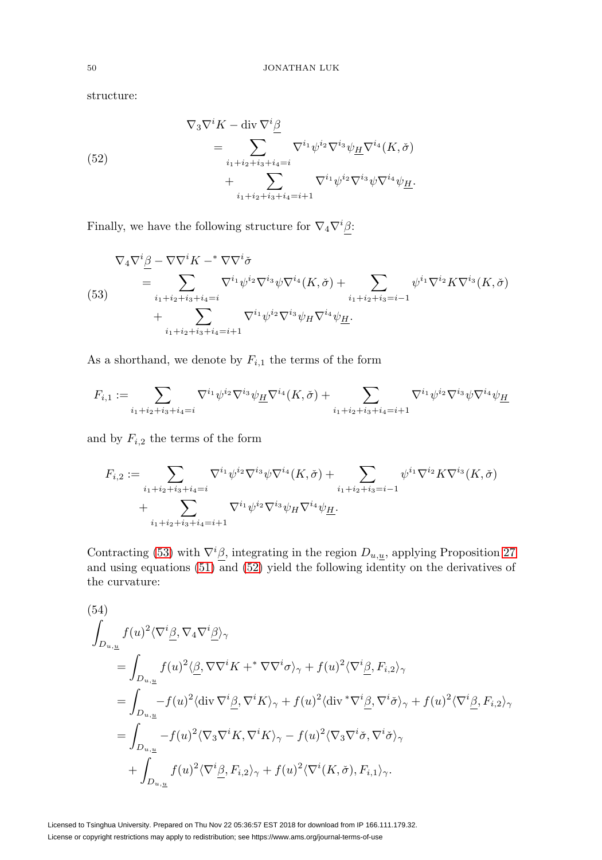structure:

<span id="page-49-1"></span>(52) 
$$
\nabla_3 \nabla^i K - \text{div } \nabla^i \underline{\beta}
$$

$$
= \sum_{i_1+i_2+i_3+i_4=i} \nabla^{i_1} \psi^{i_2} \nabla^{i_3} \psi_{\underline{H}} \nabla^{i_4}(K, \check{\sigma})
$$

$$
+ \sum_{i_1+i_2+i_3+i_4=i+1} \nabla^{i_1} \psi^{i_2} \nabla^{i_3} \psi \nabla^{i_4} \psi_{\underline{H}}.
$$

Finally, we have the following structure for  $\nabla_4 \nabla^i \beta$ :

<span id="page-49-0"></span>
$$
\nabla_{4} \nabla^{i} \underline{\beta} - \nabla \nabla^{i} K -^{*} \nabla \nabla^{i} \check{\sigma}
$$
\n
$$
= \sum_{i_{1}+i_{2}+i_{3}+i_{4}=i} \nabla^{i_{1}} \psi^{i_{2}} \nabla^{i_{3}} \psi \nabla^{i_{4}} (K, \check{\sigma}) + \sum_{i_{1}+i_{2}+i_{3}=i-1} \psi^{i_{1}} \nabla^{i_{2}} K \nabla^{i_{3}} (K, \check{\sigma})
$$
\n
$$
+ \sum_{i_{1}+i_{2}+i_{3}+i_{4}=i+1} \nabla^{i_{1}} \psi^{i_{2}} \nabla^{i_{3}} \psi_{H} \nabla^{i_{4}} \psi_{H}.
$$

As a shorthand, we denote by  $F_{i,1}$  the terms of the form

$$
F_{i,1} := \sum_{i_1+i_2+i_3+i_4=i} \nabla^{i_1} \psi^{i_2} \nabla^{i_3} \psi_{\underline{H}} \nabla^{i_4}(K, \check{\sigma}) + \sum_{i_1+i_2+i_3+i_4=i+1} \nabla^{i_1} \psi^{i_2} \nabla^{i_3} \psi \nabla^{i_4} \psi_{\underline{H}}
$$

and by  $F_{i,2}$  the terms of the form

$$
F_{i,2} := \sum_{i_1+i_2+i_3+i_4=i} \nabla^{i_1} \psi^{i_2} \nabla^{i_3} \psi \nabla^{i_4}(K, \check{\sigma}) + \sum_{i_1+i_2+i_3=i-1} \psi^{i_1} \nabla^{i_2} K \nabla^{i_3}(K, \check{\sigma}) + \sum_{i_1+i_2+i_3+i_4=i+1} \nabla^{i_1} \psi^{i_2} \nabla^{i_3} \psi_H \nabla^{i_4} \psi_H.
$$

Contracting [\(53\)](#page-49-0) with  $\nabla^i\beta$ , integrating in the region  $D_{u,\underline{u}}$ , applying Proposition [27](#page-47-2) and using equations  $(51)$  and  $(52)$  yield the following identity on the derivatives of the curvature:

<span id="page-49-2"></span>(54)  
\n
$$
\int_{D_{u,\underline{u}}} f(u)^2 \langle \nabla^i \underline{\beta}, \nabla_4 \nabla^i \underline{\beta} \rangle_{\gamma}
$$
\n
$$
= \int_{D_{u,\underline{u}}} f(u)^2 \langle \underline{\beta}, \nabla \nabla^i K +^* \nabla \nabla^i \sigma \rangle_{\gamma} + f(u)^2 \langle \nabla^i \underline{\beta}, F_{i,2} \rangle_{\gamma}
$$
\n
$$
= \int_{D_{u,\underline{u}}} -f(u)^2 \langle \operatorname{div} \nabla^i \underline{\beta}, \nabla^i K \rangle_{\gamma} + f(u)^2 \langle \operatorname{div}^* \nabla^i \underline{\beta}, \nabla^i \check{\sigma} \rangle_{\gamma} + f(u)^2 \langle \nabla^i \underline{\beta}, F_{i,2} \rangle_{\gamma}
$$
\n
$$
= \int_{D_{u,\underline{u}}} -f(u)^2 \langle \nabla_3 \nabla^i K, \nabla^i K \rangle_{\gamma} - f(u)^2 \langle \nabla_3 \nabla^i \check{\sigma}, \nabla^i \check{\sigma} \rangle_{\gamma}
$$
\n
$$
+ \int_{D_{u,\underline{u}}} f(u)^2 \langle \nabla^i \underline{\beta}, F_{i,2} \rangle_{\gamma} + f(u)^2 \langle \nabla^i (K, \check{\sigma}), F_{i,1} \rangle_{\gamma}.
$$

Licensed to Tsinghua University. Prepared on Thu Nov 22 05:36:57 EST 2018 for download from IP 166.111.179.32. License or copyright restrictions may apply to redistribution; see https://www.ams.org/journal-terms-of-use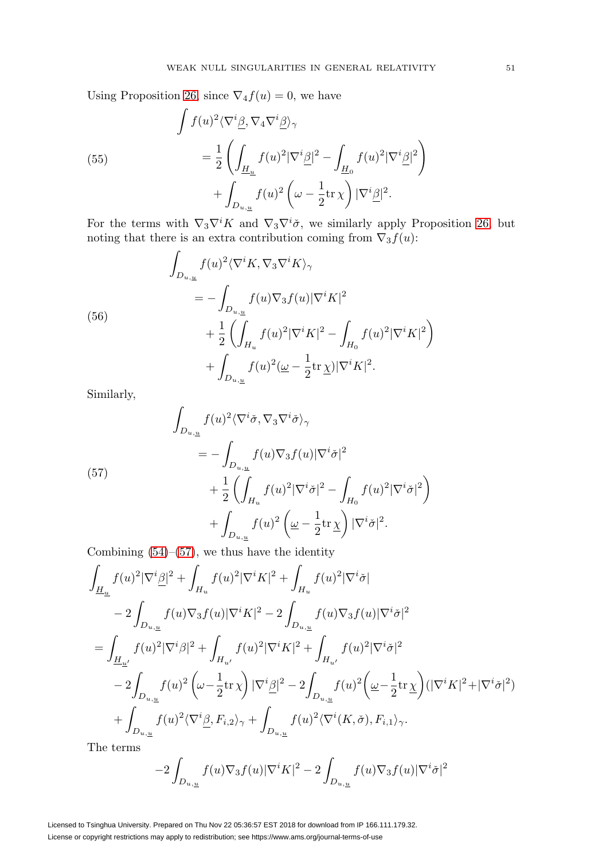Using Proposition [26,](#page-47-3) since  $\nabla_4 f(u) = 0$ , we have

(55)  
\n
$$
\int f(u)^2 \langle \nabla^i \underline{\beta}, \nabla_4 \nabla^i \underline{\beta} \rangle_{\gamma}
$$
\n
$$
= \frac{1}{2} \left( \int_{\underline{H}_{\underline{u}}} f(u)^2 |\nabla^i \underline{\beta}|^2 - \int_{\underline{H}_0} f(u)^2 |\nabla^i \underline{\beta}|^2 \right) + \int_{D_{u,\underline{u}}} f(u)^2 \left( \omega - \frac{1}{2} \text{tr} \chi \right) |\nabla^i \underline{\beta}|^2.
$$

For the terms with  $\nabla_3 \nabla^i K$  and  $\nabla_3 \nabla^i \check{\sigma}$ , we similarly apply Proposition [26,](#page-47-3) but noting that there is an extra contribution coming from  $\nabla_3 f(u)$ :

(56)  
\n
$$
\int_{D_{u,\underline{u}}} f(u)^2 \langle \nabla^i K, \nabla_3 \nabla^i K \rangle_{\gamma}
$$
\n
$$
= - \int_{D_{u,\underline{u}}} f(u) \nabla_3 f(u) |\nabla^i K|^2
$$
\n
$$
+ \frac{1}{2} \left( \int_{H_u} f(u)^2 |\nabla^i K|^2 - \int_{H_0} f(u)^2 |\nabla^i K|^2 \right)
$$
\n
$$
+ \int_{D_{u,\underline{u}}} f(u)^2 (\underline{\omega} - \frac{1}{2} \text{tr } \underline{\chi}) |\nabla^i K|^2.
$$

Similarly,

<span id="page-50-0"></span>(57)  
\n
$$
\int_{D_{u,\underline{u}}} f(u)^2 \langle \nabla^i \check{\sigma}, \nabla_3 \nabla^i \check{\sigma} \rangle_{\gamma}
$$
\n
$$
= - \int_{D_{u,\underline{u}}} f(u) \nabla_3 f(u) |\nabla^i \check{\sigma}|^2
$$
\n
$$
+ \frac{1}{2} \left( \int_{H_u} f(u)^2 |\nabla^i \check{\sigma}|^2 - \int_{H_0} f(u)^2 |\nabla^i \check{\sigma}|^2 \right)
$$
\n
$$
+ \int_{D_{u,\underline{u}}} f(u)^2 \left( \underline{\omega} - \frac{1}{2} \text{tr} \underline{\chi} \right) |\nabla^i \check{\sigma}|^2.
$$

Combining  $(54)$ – $(57)$ , we thus have the identity

$$
\begin{split} &\int_{\underline{H}_{\underline{u}}}f(u)^2|\nabla^i\underline{\beta}|^2+\int_{H_u}f(u)^2|\nabla^i K|^2+\int_{H_u}f(u)^2|\nabla^i\check{\sigma}|\\ &-2\int_{D_{u,\underline{u}}}f(u)\nabla_3f(u)|\nabla^i K|^2-2\int_{D_{u,\underline{u}}}f(u)\nabla_3f(u)|\nabla^i\check{\sigma}|^2\\ =&\int_{\underline{H}_{\underline{u}'}}f(u)^2|\nabla^i\beta|^2+\int_{H_{u'}}f(u)^2|\nabla^i K|^2+\int_{H_{u'}}f(u)^2|\nabla^i\check{\sigma}|^2\\ &-2\int_{D_{u,\underline{u}}}f(u)^2\left(\omega-\frac{1}{2}\text{tr}\,\chi\right)|\nabla^i\underline{\beta}|^2-2\int_{D_{u,\underline{u}}}f(u)^2\left(\underline{\omega}-\frac{1}{2}\text{tr}\,\chi\right)(|\nabla^i K|^2+|\nabla^i\check{\sigma}|^2)\\ &+\int_{D_{u,\underline{u}}}f(u)^2\langle\nabla^i\underline{\beta},F_{i,2}\rangle_\gamma+\int_{D_{u,\underline{u}}}f(u)^2\langle\nabla^i(K,\check{\sigma}),F_{i,1}\rangle_\gamma. \end{split}
$$

The terms

$$
-2\int_{D_{u,\underline{u}}}f(u)\nabla_3f(u)|\nabla^i K|^2 - 2\int_{D_{u,\underline{u}}}f(u)\nabla_3f(u)|\nabla^i\check{\sigma}|^2
$$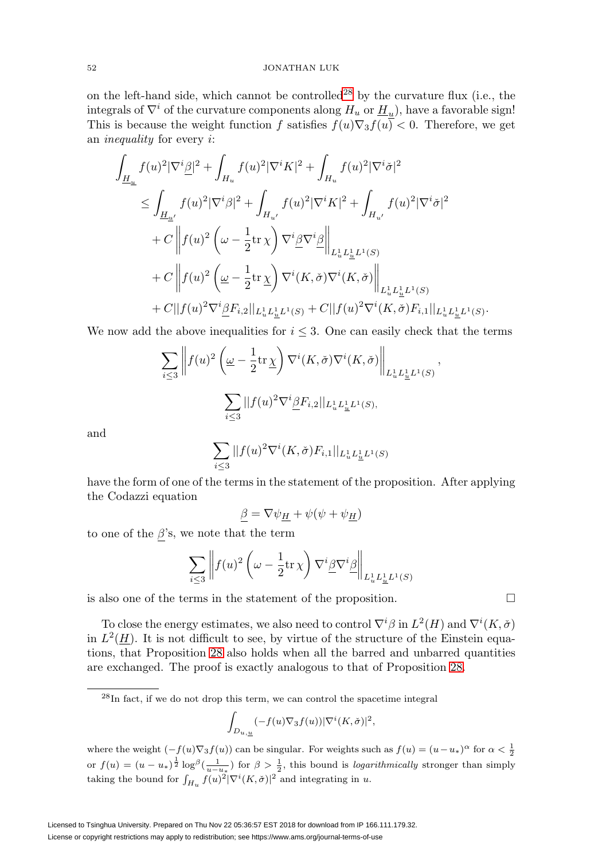#### 52 JONATHAN LUK

on the left-hand side, which cannot be controlled<sup>[28](#page-51-0)</sup> by the curvature flux (i.e., the integrals of  $\nabla^i$  of the curvature components along  $H_u$  or  $\underline{H}_u$ ), have a favorable sign! This is because the weight function f satisfies  $f(u)\nabla_3 f(u) < 0$ . Therefore, we get an inequality for every i:

$$
\begin{aligned} &\int_{\underline{H}_{\underline{u}}}f(u)^2|\nabla^i\underline{\beta}|^2+\int_{H_u}f(u)^2|\nabla^i K|^2+\int_{H_u}f(u)^2|\nabla^i\check{\sigma}|^2\\ &\leq \int_{\underline{H}_{\underline{u}'}}f(u)^2|\nabla^i\beta|^2+\int_{H_{u'}}f(u)^2|\nabla^i K|^2+\int_{H_{u'}}f(u)^2|\nabla^i\check{\sigma}|^2\\ &+C\left\|f(u)^2\left(\omega-\frac{1}{2}\text{tr}\,\chi\right)\nabla^i\underline{\beta}\nabla^i\underline{\beta}\right\|_{L_{u}^1L_{\underline{u}}^1L^1(S)}\\ &+C\left\|f(u)^2\left(\underline{\omega}-\frac{1}{2}\text{tr}\,\chi\right)\nabla^i(K,\check{\sigma})\nabla^i(K,\check{\sigma})\right\|_{L_{u}^1L_{\underline{u}}^1L^1(S)}\\ &+C||f(u)^2\nabla^i\underline{\beta}F_{i,2}||_{L_{u}^1L_{\underline{u}}^1L^1(S)}+C||f(u)^2\nabla^i(K,\check{\sigma})F_{i,1}||_{L_{u}^1L_{\underline{u}}^1L^1(S)}. \end{aligned}
$$

We now add the above inequalities for  $i \leq 3$ . One can easily check that the terms

$$
\sum_{i\leq 3} \left\| f(u)^2 \left( \underline{\omega} - \frac{1}{2} \text{tr} \underline{\chi} \right) \nabla^i(K, \check{\sigma}) \nabla^i(K, \check{\sigma}) \right\|_{L_u^1 L_{\underline{u}}^1 L^1(S)},
$$

$$
\sum_{i\leq 3} ||f(u)^2 \nabla^i \underline{\beta} F_{i,2} ||_{L_u^1 L_{\underline{u}}^1 L^1(S),}
$$

and

$$
\sum_{i\leq 3}||f(u)^2\nabla^i(K,\check{\sigma})F_{i,1}||_{L^1_uL^1_{\underline{u}}L^1(S)}
$$

have the form of one of the terms in the statement of the proposition. After applying the Codazzi equation

$$
\underline{\beta} = \nabla \psi_{\underline{H}} + \psi(\psi + \psi_{\underline{H}})
$$

to one of the  $\beta$ 's, we note that the term

$$
\sum_{i\leq 3}\left\|f(u)^2\left(\omega-\frac{1}{2}\text{tr}\,\chi\right)\nabla^i\underline{\beta}\nabla^i\underline{\beta}\right\|_{L^1_uL^1_{\underline{u}}L^1(S)}
$$

is also one of the terms in the statement of the proposition.  $\Box$ 

To close the energy estimates, we also need to control  $\nabla^i\beta$  in  $L^2(H)$  and  $\nabla^i(K,\check{\sigma})$ in  $L^2(\underline{H})$ . It is not difficult to see, by virtue of the structure of the Einstein equations, that Proposition [28](#page-48-1) also holds when all the barred and unbarred quantities are exchanged. The proof is exactly analogous to that of Proposition [28.](#page-48-1)

<span id="page-51-0"></span> $^{28}$ In fact, if we do not drop this term, we can control the spacetime integral

$$
\int_{D_{u,\underline{u}}} (-f(u)\nabla_3 f(u))|\nabla^i(K,\check{\sigma})|^2,
$$

where the weight  $(-f(u)\nabla_3 f(u))$  can be singular. For weights such as  $f(u)=(u-u_*)^{\alpha}$  for  $\alpha < \frac{1}{2}$ or  $f(u)=(u-u_*)^{\frac{1}{2}}\log^{\beta}(\frac{1}{u-u_*})$  for  $\beta>\frac{1}{2}$ , this bound is *logarithmically* stronger than simply taking the bound for  $\int_{H_u} f(u)^2 |\nabla^i(K,\check{\sigma})|^2$  and integrating in u.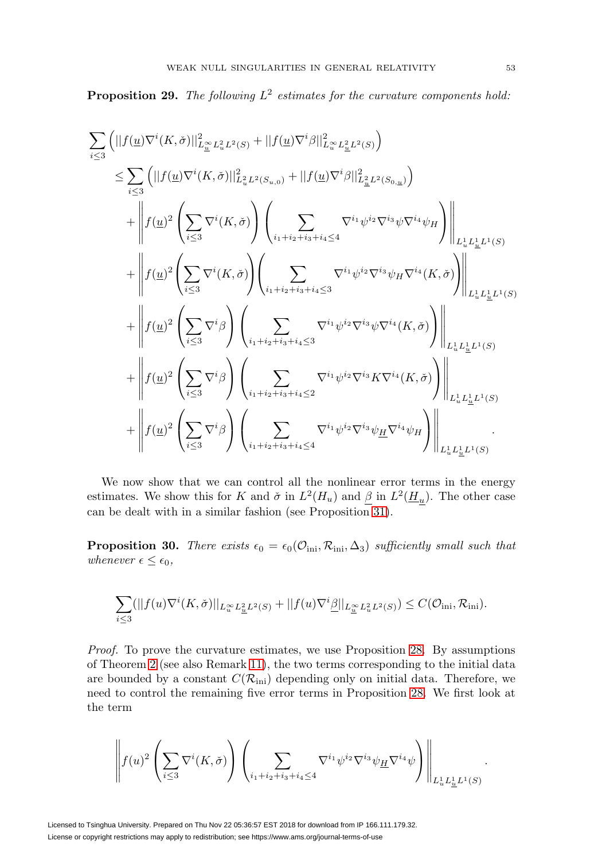**Proposition 29.** The following  $L^2$  estimates for the curvature components hold:

$$
\sum_{i\leq 3}\left(\|f(\underline{u})\nabla^{i}(K,\check{\sigma})\|_{L^{\infty}_{\underline{u}}L^{2}_{u}L^{2}(S)}^{2}+\|f(\underline{u})\nabla^{i}\beta\|_{L^{\infty}_{\underline{u}}L^{2}_{\underline{u}}L^{2}(S)}^{2}\right) \n\leq \sum_{i\leq 3}\left(\|f(\underline{u})\nabla^{i}(K,\check{\sigma})\|_{L^{2}_{u}L^{2}(S_{u,0})}^{2}+\|f(\underline{u})\nabla^{i}\beta\|_{L^{2}_{\underline{u}}L^{2}(S_{0,\underline{u}})}^{2}\right) \n+\left\|f(\underline{u})^{2}\left(\sum_{i\leq 3}\nabla^{i}(K,\check{\sigma})\right)\left(\sum_{i_{1}+i_{2}+i_{3}+i_{4}\leq 4}\nabla^{i_{1}}\psi^{i_{2}}\nabla^{i_{3}}\psi\nabla^{i_{4}}\psi_{H}\right)\right\|_{L^{1}_{u}L^{1}_{\underline{u}}L^{1}(S)} \n+\left\|f(\underline{u})^{2}\left(\sum_{i\leq 3}\nabla^{i}(K,\check{\sigma})\right)\left(\sum_{i_{1}+i_{2}+i_{3}+i_{4}\leq 3}\nabla^{i_{1}}\psi^{i_{2}}\nabla^{i_{3}}\psi_{H}\nabla^{i_{4}}(K,\check{\sigma})\right)\right\|_{L^{1}_{u}L^{1}_{\underline{u}}L^{1}(S)} \n+\left\|f(\underline{u})^{2}\left(\sum_{i\leq 3}\nabla^{i}\beta\right)\left(\sum_{i_{1}+i_{2}+i_{3}+i_{4}\leq 3}\nabla^{i_{1}}\psi^{i_{2}}\nabla^{i_{3}}\psi\nabla^{i_{4}}(K,\check{\sigma})\right)\right\|_{L^{1}_{u}L^{1}_{\underline{u}}L^{1}(S)} \n+\left\|f(\underline{u})^{2}\left(\sum_{i\leq 3}\nabla^{i}\beta\right)\left(\sum_{i_{1}+i_{2}+i_{3}+i_{4}\leq 2}\nabla^{i_{1}}\psi^{i_{2}}\nabla^{i_{3}}K\nabla^{i_{4}}(K,\check{\sigma})\right)\right\|_{L^{1}_{u}L^{1}_{\underline{
$$

We now show that we can control all the nonlinear error terms in the energy estimates. We show this for K and  $\check{\sigma}$  in  $L^2(H_u)$  and  $\beta$  in  $L^2(\underline{H}_u)$ . The other case can be dealt with in a similar fashion (see Proposition [31\)](#page-54-0).

<span id="page-52-0"></span>**Proposition 30.** There exists  $\epsilon_0 = \epsilon_0(\mathcal{O}_{\text{ini}}, \mathcal{R}_{\text{ini}}, \Delta_3)$  sufficiently small such that whenever  $\epsilon \leq \epsilon_0$ ,

$$
\sum_{i\leq 3} (||f(u)\nabla^i(K,\check{\sigma})||_{L^\infty_u L^2_{\underline{u}} L^2(S)} + ||f(u)\nabla^i \underline{\beta}||_{L^\infty_{\underline{u}} L^2_u L^2(S)}) \leq C(\mathcal{O}_{\text{ini}}, \mathcal{R}_{\text{ini}}).
$$

Proof. To prove the curvature estimates, we use Proposition [28.](#page-48-1) By assumptions of Theorem [2](#page-9-0) (see also Remark [11\)](#page-23-4), the two terms corresponding to the initial data are bounded by a constant  $C(\mathcal{R}_{\text{ini}})$  depending only on initial data. Therefore, we need to control the remaining five error terms in Proposition [28.](#page-48-1) We first look at the term

$$
\left\|f(u)^2\left(\sum_{i\leq 3}\nabla^i(K,\check{\sigma})\right)\left(\sum_{i_1+i_2+i_3+i_4\leq 4}\nabla^{i_1}\psi^{i_2}\nabla^{i_3}\psi_{\underline{H}}\nabla^{i_4}\psi\right)\right\|_{L^1_uL^1_{\underline{u}}L^1(S)}.
$$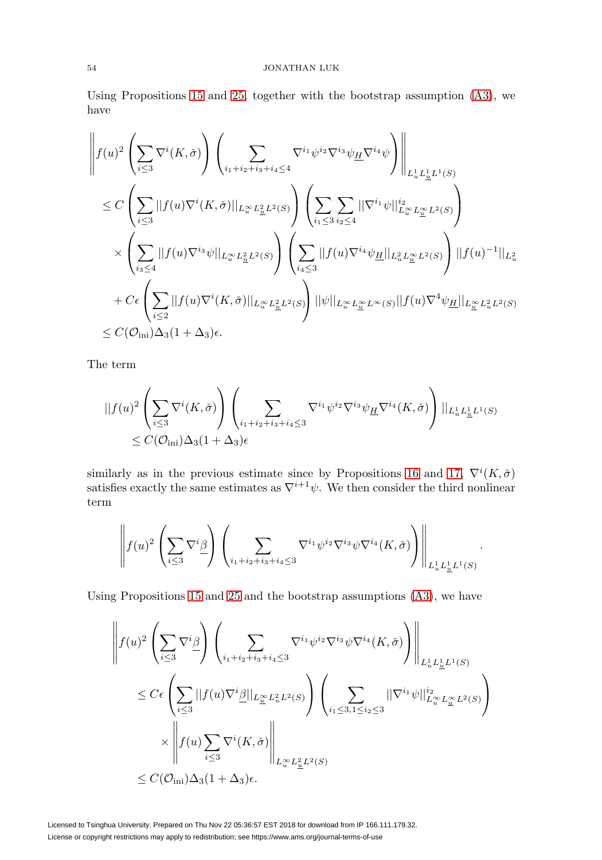Using Propositions [15](#page-38-1) and [25,](#page-47-1) together with the bootstrap assumption [\(A3\)](#page-47-4), we have

$$
\begin{split} &\left\|f(u)^2\left(\sum_{i\leq 3}\nabla^i(K,\check{\sigma})\right)\left(\sum_{i_1+i_2+i_3+i_4\leq 4}\nabla^{i_1}\psi^{i_2}\nabla^{i_3}\psi_{\underline{H}}\nabla^{i_4}\psi\right)\right\|_{L^1_uL^1_{\underline{u}}L^1(S)}\\ &\leq C\left(\sum_{i\leq 3}\|f(u)\nabla^i(K,\check{\sigma})\|_{L^\infty_uL^2_{\underline{u}}L^2(S)}\right)\left(\sum_{i_1\leq 3}\sum_{i_2\leq 4}\|\nabla^{i_1}\psi\|_{L^\infty_uL^\infty_{\underline{u}}L^2(S)}^{i_2}\\ &\times\left(\sum_{i_3\leq 4}\|f(u)\nabla^{i_3}\psi\|_{L^\infty_uL^2_{\underline{u}}L^2(S)}\right)\left(\sum_{i_4\leq 3}\|f(u)\nabla^{i_4}\psi_{\underline{H}}\|_{L^2_{u}L^\infty_{\underline{u}}L^2(S)}\right)\|f(u)^{-1}\|_{L^2_{u}}\\ &+C\epsilon\left(\sum_{i\leq 2}\|f(u)\nabla^i(K,\check{\sigma})\|_{L^\infty_uL^2_{\underline{u}}L^2(S)}\right)\|\psi\|_{L^\infty_uL^\infty_{\underline{u}}L^\infty(S)}\|f(u)\nabla^4\psi_{\underline{H}}\|_{L^\infty_{\underline{u}}L^2_{u}L^2(S)}\\ &\leq C(\mathcal{O}_{\rm ini})\Delta_3(1+\Delta_3)\epsilon. \end{split}
$$

The term

$$
\begin{aligned} ||f(u)^2\left(\sum_{i\leq 3}\nabla^i(K,\check{\sigma})\right)\left(\sum_{i_1+i_2+i_3+i_4\leq 3}\nabla^{i_1}\psi^{i_2}\nabla^{i_3}\psi_{\underline{H}}\nabla^{i_4}(K,\check{\sigma})\right)||_{L^1_uL^1_{\underline{u}}L^1(S)}\\ &\leq C(\mathcal{O}_{\rm ini})\Delta_3(1+\Delta_3)\epsilon \end{aligned}
$$

similarly as in the previous estimate since by Propositions [16](#page-39-0) and [17,](#page-40-0)  $\nabla^{i}(K,\check{\sigma})$ satisfies exactly the same estimates as  $\nabla^{i+1}\psi$ . We then consider the third nonlinear term

$$
\left\|f(u)^2\left(\sum_{i\leq 3}\nabla^i\underline{\beta}\right)\left(\sum_{i_1+i_2+i_3+i_4\leq 3}\nabla^{i_1}\psi^{i_2}\nabla^{i_3}\psi\nabla^{i_4}(K,\check{\sigma})\right)\right\|_{L^1_uL^1_{\underline{u}}L^1(S)}.
$$

Using Propositions [15](#page-38-1) and [25](#page-47-1) and the bootstrap assumptions [\(A3\)](#page-47-4), we have

$$
\left\|f(u)^2\left(\sum_{i\leq 3}\nabla^i\underline{\beta}\right)\left(\sum_{i_1+i_2+i_3+i_4\leq 3}\nabla^{i_1}\psi^{i_2}\nabla^{i_3}\psi\nabla^{i_4}(K,\check{\sigma})\right)\right\|_{L_u^1L_{\underline{u}}^1L^1(S)}\n\leq C\epsilon\left(\sum_{i\leq 3}||f(u)\nabla^i\underline{\beta}||_{L_{\underline{u}}^{\infty}L_{\underline{u}}^2L^2(S)}\right)\left(\sum_{i_1\leq 3,1\leq i_2\leq 3}||\nabla^{i_1}\psi||_{L_{\underline{u}}^{\infty}L_{\underline{u}}^{\infty}L^2(S)}^i\right)\n\times \left\|f(u)\sum_{i\leq 3}\nabla^i(K,\check{\sigma})\right\|_{L_{\underline{u}}^{\infty}L_{\underline{u}}^2L^2(S)}\n\leq C(\mathcal{O}_{\rm ini})\Delta_3(1+\Delta_3)\epsilon.
$$

Licensed to Tsinghua University. Prepared on Thu Nov 22 05:36:57 EST 2018 for download from IP 166.111.179.32. License or copyright restrictions may apply to redistribution; see https://www.ams.org/journal-terms-of-use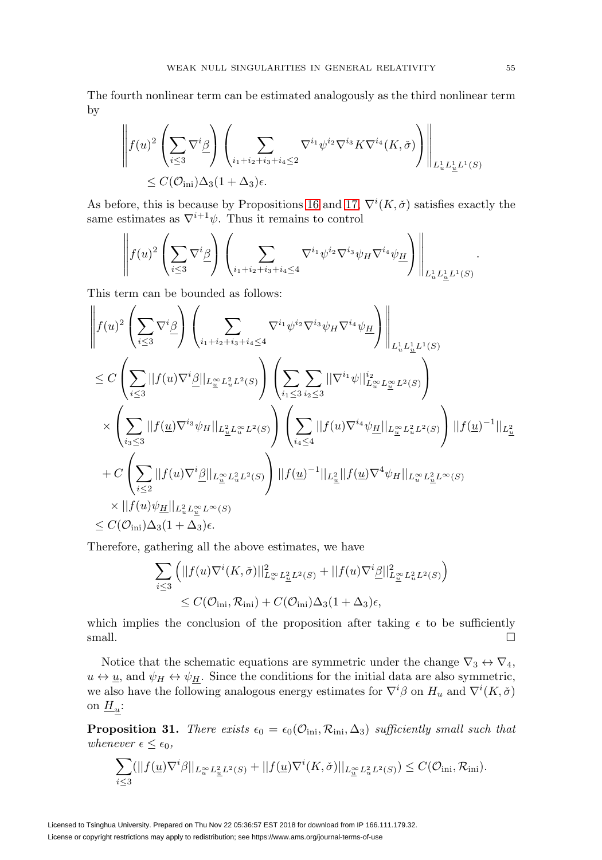The fourth nonlinear term can be estimated analogously as the third nonlinear term by

$$
\left\| f(u)^2 \left( \sum_{i \leq 3} \nabla^i \underline{\beta} \right) \left( \sum_{i_1 + i_2 + i_3 + i_4 \leq 2} \nabla^{i_1} \psi^{i_2} \nabla^{i_3} K \nabla^{i_4} (K, \check{\sigma}) \right) \right\|_{L^1_u L^1_{\underline{u}} L^1(S)} \leq C(\mathcal{O}_{\rm ini}) \Delta_3 (1 + \Delta_3) \epsilon.
$$

As before, this is because by Propositions [16](#page-39-0) and [17,](#page-40-0)  $\nabla^{i}(K,\check{\sigma})$  satisfies exactly the same estimates as  $\nabla^{i+1}\psi$ . Thus it remains to control

$$
\left\| f(u)^2 \left( \sum_{i \leq 3} \nabla^i \underline{\beta} \right) \left( \sum_{i_1+i_2+i_3+i_4 \leq 4} \nabla^{i_1} \psi^{i_2} \nabla^{i_3} \psi_H \nabla^{i_4} \psi_{\underline{H}} \right) \right\|_{L^1_u L^1_{\underline{u}} L^1(S)}.
$$

This term can be bounded as follows:

$$
\begin{split} &\left\|f(u)^2\left(\sum_{i\leq 3}\nabla^i\underline{\beta}\right)\left(\sum_{i_1+i_2+i_3+i_4\leq 4}\nabla^{i_1}\psi^{i_2}\nabla^{i_3}\psi_H\nabla^{i_4}\psi_{\underline{H}}\right)\right\|_{L^1_{u}L^1_{\underline{u}}L^1(S)}\\ &\leq C\left(\sum_{i\leq 3}\|f(u)\nabla^i\underline{\beta}\|_{L^\infty_{\underline{u}}L^2_uL^2(S)}\right)\left(\sum_{i_1\leq 3}\sum_{i_2\leq 3}\|\nabla^{i_1}\psi\|_{L^\infty_{\underline{u}}L^2(\underline{S})}^{i_2}\right)\\ &\times\left(\sum_{i_3\leq 3}\|f(\underline{u})\nabla^{i_3}\psi_H\|_{L^2_{\underline{u}}L^\infty_uL^2(S)}\right)\left(\sum_{i_4\leq 4}\|f(u)\nabla^{i_4}\psi_{\underline{H}}\|_{L^\infty_{\underline{u}}L^2_uL^2(S)}\right)\|f(\underline{u})^{-1}\|_{L^2_{\underline{u}}}\\ &+C\left(\sum_{i\leq 2}\|f(u)\nabla^i\underline{\beta}\|_{L^\infty_{\underline{u}}L^2_uL^2(S)}\right)\|f(\underline{u})^{-1}\|_{L^2_{\underline{u}}}\|f(\underline{u})\nabla^4\psi_H\|_{L^\infty_{u}}L^2_{\underline{u}}L^\infty(S)}\\ &\times\|f(u)\psi_{\underline{H}}\|_{L^2_{u}}L^\infty_{\underline{u}}L^\infty(S)}\\ &\leq C(\mathcal{O}_\mathrm{ini})\Delta_3(1+\Delta_3)\epsilon. \end{split}
$$

Therefore, gathering all the above estimates, we have

$$
\sum_{i\leq 3} \left( ||f(u)\nabla^i(K,\check{\sigma})||^2_{L^\infty_u L^2_{\underline{u}} L^2(S)} + ||f(u)\nabla^i \underline{\beta}||^2_{L^\infty_{\underline{u}} L^2_u L^2(S)} \right)
$$
  

$$
\leq C(\mathcal{O}_{\text{ini}}, \mathcal{R}_{\text{ini}}) + C(\mathcal{O}_{\text{ini}})\Delta_3(1+\Delta_3)\epsilon,
$$

which implies the conclusion of the proposition after taking  $\epsilon$  to be sufficiently small.

Notice that the schematic equations are symmetric under the change  $\nabla_3 \leftrightarrow \nabla_4$ ,  $u \leftrightarrow \underline{u}$ , and  $\psi_H \leftrightarrow \psi_H$ . Since the conditions for the initial data are also symmetric, we also have the following analogous energy estimates for  $\nabla^i \beta$  on  $H_u$  and  $\nabla^i (K, \check{\sigma})$ on  $H_u$ :

<span id="page-54-0"></span>**Proposition 31.** There exists  $\epsilon_0 = \epsilon_0(\mathcal{O}_{\text{ini}}, \mathcal{R}_{\text{ini}}, \Delta_3)$  sufficiently small such that whenever  $\epsilon \leq \epsilon_0$ ,

$$
\sum_{i\leq 3} (||f(\underline{u})\nabla^i\beta||_{L^\infty_u L^2_{\underline{u}}L^2(S)} + ||f(\underline{u})\nabla^i(K,\check{\sigma})||_{L^\infty_{\underline{u}}L^2_{\underline{u}}L^2(S)}) \leq C(\mathcal{O}_{\text{ini}},\mathcal{R}_{\text{ini}}).
$$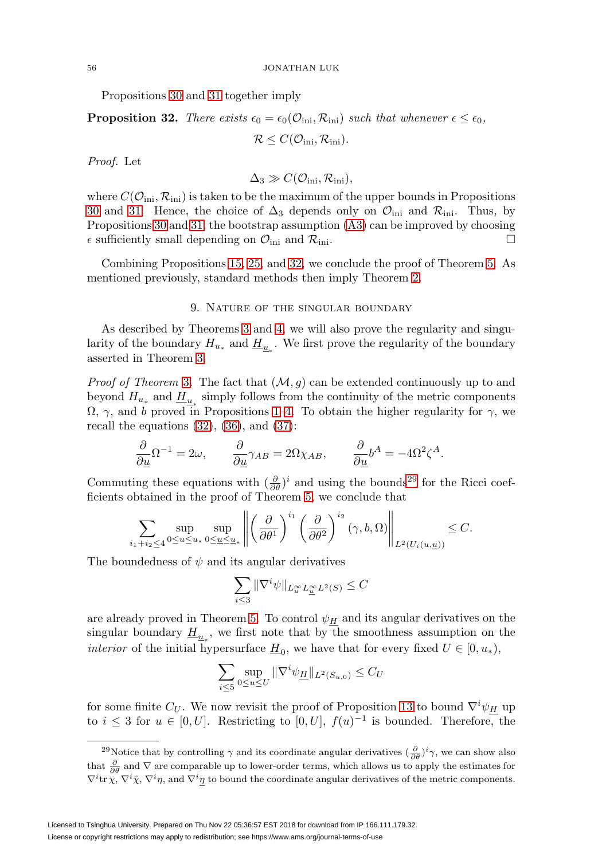Propositions [30](#page-52-0) and [31](#page-54-0) together imply

<span id="page-55-1"></span>**Proposition 32.** There exists  $\epsilon_0 = \epsilon_0(\mathcal{O}_{\text{ini}}, \mathcal{R}_{\text{ini}})$  such that whenever  $\epsilon \leq \epsilon_0$ ,

$$
\mathcal{R}\leq C(\mathcal{O}_{\text{ini}},\mathcal{R}_{\text{ini}}).
$$

Proof. Let

$$
\Delta_3 \gg C(\mathcal{O}_{\text{ini}}, \mathcal{R}_{\text{ini}}),
$$

where  $C(\mathcal{O}_{\text{ini}}, \mathcal{R}_{\text{ini}})$  is taken to be the maximum of the upper bounds in Propositions [30](#page-52-0) and [31.](#page-54-0) Hence, the choice of  $\Delta_3$  depends only on  $\mathcal{O}_{\text{ini}}$  and  $\mathcal{R}_{\text{ini}}$ . Thus, by Propositions [30](#page-52-0) and [31,](#page-54-0) the bootstrap assumption [\(A3\)](#page-47-4) can be improved by choosing  $\epsilon$  sufficiently small depending on  $\mathcal{O}_{\text{ini}}$  and  $\mathcal{R}_{\text{ini}}$ .

<span id="page-55-0"></span>Combining Propositions [15,](#page-38-1) [25,](#page-47-1) and [32,](#page-55-1) we conclude the proof of Theorem [5.](#page-23-0) As mentioned previously, standard methods then imply Theorem [2.](#page-9-0)

## 9. Nature of the singular boundary

As described by Theorems [3](#page-10-0) and [4,](#page-11-0) we will also prove the regularity and singularity of the boundary  $H_{u_*}$  and  $\underline{H}_{u_*}$ . We first prove the regularity of the boundary asserted in Theorem [3.](#page-10-0)

*Proof of Theorem [3](#page-10-0).* The fact that  $(M, g)$  can be extended continuously up to and beyond  $H_{u_*}$  and  $\underline{H}_u$  simply follows from the continuity of the metric components Ω, γ, and b proved in Propositions [1–](#page-27-3)[4.](#page-29-2) To obtain the higher regularity for γ, we recall the equations  $(32)$ ,  $(36)$ , and  $(37)$ :

$$
\frac{\partial}{\partial \underline{u}} \Omega^{-1} = 2\omega, \qquad \frac{\partial}{\partial \underline{u}} \gamma_{AB} = 2\Omega \chi_{AB}, \qquad \frac{\partial}{\partial \underline{u}} b^A = -4\Omega^2 \zeta^A.
$$

Commuting these equations with  $(\frac{\partial}{\partial \theta})^i$  and using the bounds<sup>[29](#page-55-2)</sup> for the Ricci coefficients obtained in the proof of Theorem [5,](#page-23-0) we conclude that

$$
\sum_{i_1+i_2\leq 4}\sup_{0\leq u\leq u_*}\sup_{0\leq \underline{u}\leq \underline{u}_*}\left\|\left(\frac{\partial}{\partial \theta^1}\right)^{i_1}\left(\frac{\partial}{\partial \theta^2}\right)^{i_2}(\gamma,b,\Omega)\right\|_{L^2(U_i(u,\underline{u}))}\leq C.
$$

The boundedness of  $\psi$  and its angular derivatives

$$
\sum_{i\leq 3} \|\nabla^i \psi\|_{L^\infty_u L^\infty_{\underline{u}} L^2(S)} \leq C
$$

are already proved in Theorem [5.](#page-23-0) To control  $\psi_H$  and its angular derivatives on the singular boundary  $\underline{H}_{\underline{u}_*}$ , we first note that by the smoothness assumption on the *interior* of the initial hypersurface  $\underline{H}_0$ , we have that for every fixed  $U \in [0, u_*),$ 

$$
\sum_{i \le 5} \sup_{0 \le u \le U} \|\nabla^i \psi_{\underline{H}}\|_{L^2(S_{u,0})} \le C_U
$$

for some finite  $C_U$ . We now revisit the proof of Proposition [13](#page-35-1) to bound  $\nabla^i \psi_{\underline{H}}$  up to  $i \leq 3$  for  $u \in [0, U]$ . Restricting to  $[0, U]$ ,  $f(u)^{-1}$  is bounded. Therefore, the

<span id="page-55-2"></span><sup>&</sup>lt;sup>29</sup>Notice that by controlling  $\gamma$  and its coordinate angular derivatives  $(\frac{\partial}{\partial \theta})^i \gamma$ , we can show also that  $\frac{\partial}{\partial \theta}$  and  $\nabla$  are comparable up to lower-order terms, which allows us to apply the estimates for  $\nabla^i$ tr  $\chi$ ,  $\nabla^i \hat{\chi}$ ,  $\nabla^i \eta$ , and  $\nabla^i \eta$  to bound the coordinate angular derivatives of the metric components.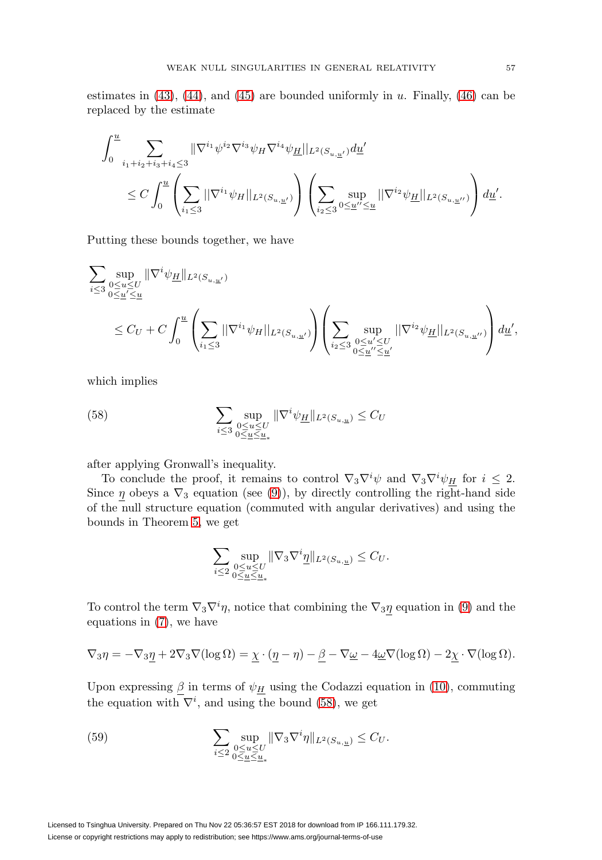estimates in  $(43)$ ,  $(44)$ , and  $(45)$  are bounded uniformly in u. Finally,  $(46)$  can be replaced by the estimate

$$
\begin{aligned} & \int_0^{\underline{u}} \sum_{i_1+i_2+i_3+i_4 \leq 3} \|\nabla^{i_1} \psi^{i_2} \nabla^{i_3} \psi_H \nabla^{i_4} \psi_{\underline{H}}\|_{L^2(S_{u,\underline{u}'})} d\underline{u}' \\ & \leq C \int_0^{\underline{u}} \left( \sum_{i_1 \leq 3} || \nabla^{i_1} \psi_H ||_{L^2(S_{u,\underline{u}'})} \right) \left( \sum_{i_2 \leq 3} \sup_{0 \leq \underline{u}'' \leq \underline{u}} || \nabla^{i_2} \psi_{\underline{H}} ||_{L^2(S_{u,\underline{u}'})} \right) d\underline{u}' . \end{aligned}
$$

Putting these bounds together, we have

$$
\sum_{i\leq 3}\sup_{0\leq u\leq U}\|\nabla^{i}\psi_{\underline{H}}\|_{L^{2}(S_{u,\underline{u}'})}\\\leq C_{U}+C\int_{0}^{\underline{u}}\left(\sum_{i_{1}\leq 3}\|\nabla^{i_{1}}\psi_{H}\|_{L^{2}(S_{u,\underline{u}'})}\right)\left(\sum_{i_{2}\leq 3}\sup_{0\leq \underline{u}^{\prime}\leq U\atop 0\leq \underline{u}^{\prime\prime}\leq \underline{u}^{\prime}}\|\nabla^{i_{2}}\psi_{\underline{H}}\|_{L^{2}(S_{u,\underline{u}^{\prime\prime}})}\right)d\underline{u}^{\prime},
$$

which implies

<span id="page-56-0"></span>(58) 
$$
\sum_{i \le 3} \sup_{\substack{0 \le u \le U \\ 0 \le u \le u_*}} \|\nabla^i \psi_{\underline{H}}\|_{L^2(S_{u,\underline{u}})} \le C_U
$$

after applying Gronwall's inequality.

To conclude the proof, it remains to control  $\nabla_3 \nabla^i \psi$  and  $\nabla_3 \nabla^i \psi_H$  for  $i \leq 2$ . Since  $\eta$  obeys a  $\nabla_3$  equation (see [\(9\)](#page-18-1)), by directly controlling the right-hand side of the null structure equation (commuted with angular derivatives) and using the bounds in Theorem [5,](#page-23-0) we get

$$
\sum_{i\leq 2}\sup_{\substack{0\leq u\leq U\\0\leq \underline{u}\leq \underline{u}_*}}\|\nabla_3\nabla^i \underline{\eta}\|_{L^2(S_{u,\underline{u}})}\leq C_U.
$$

To control the term  $\nabla_3 \nabla^i \eta$ , notice that combining the  $\nabla_3 \eta$  equation in [\(9\)](#page-18-1) and the equations in [\(7\)](#page-17-0), we have

$$
\nabla_3 \eta = -\nabla_3 \underline{\eta} + 2\nabla_3 \nabla (\log \Omega) = \underline{\chi} \cdot (\underline{\eta} - \eta) - \underline{\beta} - \nabla \underline{\omega} - 4 \underline{\omega} \nabla (\log \Omega) - 2 \underline{\chi} \cdot \nabla (\log \Omega).
$$

Upon expressing  $\beta$  in terms of  $\psi_{\underline{H}}$  using the Codazzi equation in [\(10\)](#page-18-0), commuting the equation with  $\nabla^i$ , and using the bound [\(58\)](#page-56-0), we get

<span id="page-56-1"></span>(59) 
$$
\sum_{i \leq 2} \sup_{\substack{0 \leq u \leq U \\ 0 \leq \underline{u} \leq \underline{u}_*}} \|\nabla_3 \nabla^i \eta\|_{L^2(S_{u,\underline{u}})} \leq C_U.
$$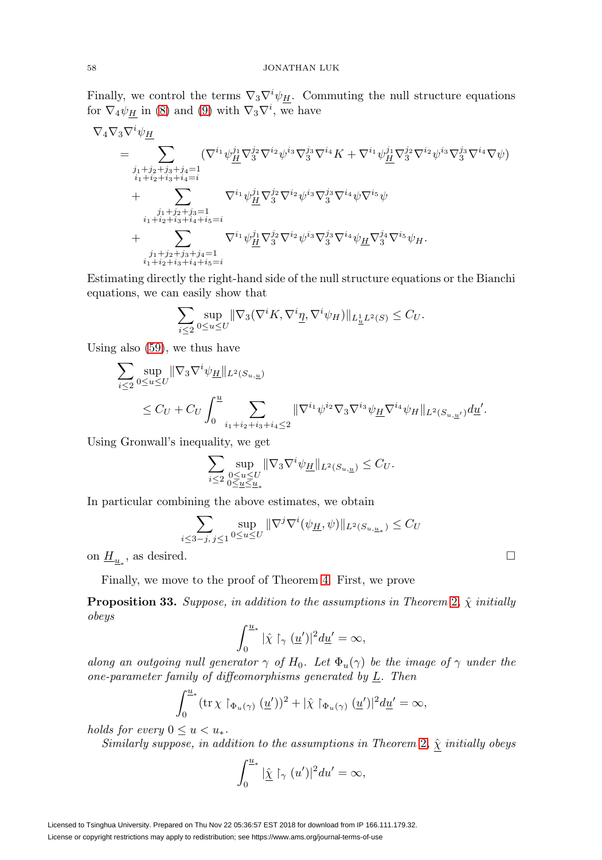Finally, we control the terms  $\nabla_3 \nabla^i \psi_{\underline{H}}$ . Commuting the null structure equations for  $\nabla_4 \psi_{\underline{H}}$  in [\(8\)](#page-18-2) and [\(9\)](#page-18-1) with  $\nabla_3 \nabla^i$ , we have

$$
\nabla_{4}\nabla_{3}\nabla^{i}\psi_{\underline{H}} \\
= \sum_{\substack{j_{1}+j_{2}+j_{3}+j_{4}=1\\i_{1}+i_{2}+i_{3}+i_{4}=i}} (\nabla^{i_{1}}\psi_{\underline{H}}^{j_{1}}\nabla_{3}^{j_{2}}\nabla^{i_{2}}\psi^{i_{3}}\nabla_{3}^{j_{3}}\nabla^{i_{4}}K + \nabla^{i_{1}}\psi_{\underline{H}}^{j_{1}}\nabla_{3}^{j_{2}}\nabla^{i_{2}}\psi^{i_{3}}\nabla_{3}^{j_{3}}\nabla^{i_{4}}\nabla\psi) \\
+ \sum_{\substack{j_{1}+j_{2}+j_{3}=1\\i_{1}+i_{2}+i_{3}+i_{4}+i_{5}=i}} \nabla^{i_{1}}\psi_{\underline{H}}^{j_{1}}\nabla_{3}^{j_{2}}\nabla^{i_{2}}\psi^{i_{3}}\nabla_{3}^{j_{3}}\nabla^{i_{4}}\psi\nabla^{i_{5}}\psi \\
+ \sum_{\substack{j_{1}+j_{2}+j_{3}+j_{4}=1\\i_{1}+i_{2}+i_{3}+i_{4}+i_{5}=i}} \nabla^{i_{1}}\psi_{\underline{H}}^{j_{1}}\nabla_{3}^{j_{2}}\nabla^{i_{2}}\psi^{i_{3}}\nabla_{3}^{j_{3}}\nabla^{i_{4}}\psi_{\underline{H}}\nabla_{3}^{j_{4}}\nabla^{i_{5}}\psi_{H}.
$$

Estimating directly the right-hand side of the null structure equations or the Bianchi equations, we can easily show that

$$
\sum_{i\leq 2}\sup_{0\leq u\leq U}\|\nabla_3(\nabla^i K,\nabla^i \underline{\eta},\nabla^i\psi_H)\|_{L^1_{\underline{u}}L^2(S)}\leq C_U.
$$

Using also [\(59\)](#page-56-1), we thus have

$$
\sum_{i\leq 2} \sup_{0\leq u\leq U} \|\nabla_3 \nabla^i \psi_{\underline{H}}\|_{L^2(S_{u,\underline{u}})}\n\n\leq C_U + C_U \int_0^{\underline{u}} \sum_{i_1+i_2+i_3+i_4\leq 2} \|\nabla^{i_1} \psi^{i_2} \nabla_3 \nabla^{i_3} \psi_{\underline{H}} \nabla^{i_4} \psi_H\|_{L^2(S_{u,\underline{u}'})} d\underline{u}'.
$$

Using Gronwall's inequality, we get

$$
\sum_{i\leq 2}\sup_{\substack{0\leq u\leq U\\0\leq \underline{u}\leq \underline{u}_*}}\|\nabla_3\nabla^i\psi_{\underline{H}}\|_{L^2(S_{u,\underline{u}})}\leq C_U.
$$

In particular combining the above estimates, we obtain

$$
\sum_{i \le 3 - j, j \le 1} \sup_{0 \le u \le U} \|\nabla^j \nabla^i (\psi_{\underline{H}}, \psi) \|_{L^2(S_{u,\underline{u}_*})} \le C_U
$$

on  $\underline{H}_{\underline{u}_*}$ , as desired.

Finally, we move to the proof of Theorem [4.](#page-11-0) First, we prove

<span id="page-57-0"></span>**Proposition 33.** Suppose, in addition to the assumptions in Theorem [2](#page-9-0),  $\hat{\chi}$  initially obeys

$$
\int_0^{\underline{u}_*} |\hat{\chi} \upharpoonright_{\gamma} (\underline{u}')|^2 d\underline{u}' = \infty,
$$

along an outgoing null generator  $\gamma$  of  $H_0$ . Let  $\Phi_u(\gamma)$  be the image of  $\gamma$  under the one-parameter family of diffeomorphisms generated by  $L$ . Then

$$
\int_0^{\underline{u}_*} (\operatorname{tr} \chi \upharpoonright_{\Phi_u(\gamma)} (\underline{u}'))^2 + |\hat{\chi} \upharpoonright_{\Phi_u(\gamma)} (\underline{u}')|^2 d\underline{u}' = \infty,
$$

holds for every  $0 \leq u \leq u_*$ .

Similarly suppose, in addition to the assumptions in Theorem [2](#page-9-0),  $\hat{\chi}$  initially obeys

$$
\int_0^{\underline{u}_*} |\hat{\underline{\chi}}| \, |\gamma(u')|^2 du' = \infty,
$$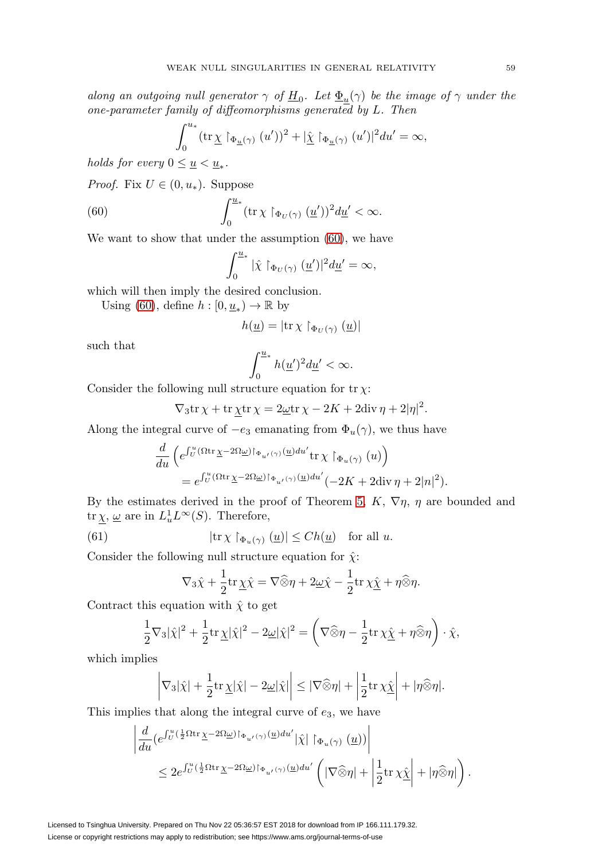along an outgoing null generator  $\gamma$  of  $\underline{H}_0$ . Let  $\underline{\Phi}_u(\gamma)$  be the image of  $\gamma$  under the one-parameter family of diffeomorphisms generated by L. Then

$$
\int_0^{u_*} (\operatorname{tr} \underline{\chi} \upharpoonright_{\Phi_{\underline{u}}(\gamma)} (u'))^2 + |\underline{\hat{\chi}} \upharpoonright_{\Phi_{\underline{u}}(\gamma)} (u')|^2 du' = \infty,
$$

holds for every  $0 \leq u \leq u_*$ .

*Proof.* Fix  $U \in (0, u_*)$ . Suppose

<span id="page-58-0"></span>(60) 
$$
\int_0^{\underline{u}_*} (\operatorname{tr} \chi \upharpoonright_{\Phi_U(\gamma)} (\underline{u}'))^2 d\underline{u}' < \infty.
$$

We want to show that under the assumption [\(60\)](#page-58-0), we have

$$
\int_0^{\underline{u}_*} |\hat{\chi}| \, \mathfrak{f}_{\Phi_U(\gamma)} ( \underline{u}') |^2 d\underline{u}' = \infty,
$$

which will then imply the desired conclusion.

Using [\(60\)](#page-58-0), define  $h : [0, \underline{u}_*) \to \mathbb{R}$  by

$$
h(\underline{u}) = |\text{tr}\,\chi\restriction_{\Phi_U(\gamma)} (\underline{u})|
$$

such that

$$
\int_0^{\underline{u}_*}h(\underline{u}')^2d\underline{u}'<\infty.
$$

Consider the following null structure equation for  $tr \chi$ :

$$
\nabla_3 \operatorname{tr} \chi + \operatorname{tr} \underline{\chi} \operatorname{tr} \chi = 2 \underline{\omega} \operatorname{tr} \chi - 2K + 2 \operatorname{div} \eta + 2 |\eta|^2.
$$

Along the integral curve of  $-e_3$  emanating from  $\Phi_u(\gamma)$ , we thus have

$$
\frac{d}{du} \left( e^{\int_U^u (\Omega \text{tr} \underline{\chi} - 2\Omega \underline{\omega}) \dagger_{\Phi_{u'}(\gamma)} (\underline{u}) du'} \text{tr} \chi \dagger_{\Phi_u(\gamma)} (u) \right)
$$
\n
$$
= e^{\int_U^u (\Omega \text{tr} \underline{\chi} - 2\Omega \underline{\omega}) \dagger_{\Phi_{u'}(\gamma)} (\underline{u}) du'} (-2K + 2 \text{div} \eta + 2|\eta|^2).
$$

By the estimates derived in the proof of Theorem [5,](#page-23-0)  $K$ ,  $\nabla \eta$ ,  $\eta$  are bounded and tr  $\underline{\chi}, \underline{\omega}$  are in  $L_u^1 L^\infty(S)$ . Therefore,

<span id="page-58-1"></span>(61) 
$$
|\text{tr}\,\chi\restriction_{\Phi_u(\gamma)} (\underline{u})| \le Ch(\underline{u}) \quad \text{for all } u.
$$

Consider the following null structure equation for  $\hat{\chi}$ :

$$
\nabla_3 \hat{\chi} + \frac{1}{2} \text{tr} \underline{\chi} \hat{\chi} = \nabla \widehat{\otimes} \eta + 2 \underline{\omega} \hat{\chi} - \frac{1}{2} \text{tr} \chi \hat{\underline{\chi}} + \eta \widehat{\otimes} \eta.
$$

Contract this equation with  $\hat{\chi}$  to get

$$
\frac{1}{2}\nabla_3|\hat{\chi}|^2 + \frac{1}{2}\text{tr}\,\underline{\chi}|\hat{\chi}|^2 - 2\underline{\omega}|\hat{\chi}|^2 = \left(\nabla\widehat{\otimes}\eta - \frac{1}{2}\text{tr}\,\chi\underline{\hat{\chi}} + \eta\widehat{\otimes}\eta\right)\cdot\hat{\chi},
$$

which implies

$$
\left|\nabla_3|\hat{\chi}| + \frac{1}{2}\mathrm{tr}\,\underline{\chi}|\hat{\chi}| - 2\underline{\omega}|\hat{\chi}|\right| \leq |\nabla\widehat{\otimes}\eta| + \left|\frac{1}{2}\mathrm{tr}\,\chi\hat{\underline{\chi}}\right| + |\eta\widehat{\otimes}\eta|.
$$

This implies that along the integral curve of  $e_3$ , we have

$$
\left| \frac{d}{du} \left( e^{\int_U^u \left( \frac{1}{2} \Omega \text{tr} \underline{\chi} - 2 \Omega \underline{\omega} \right) \dagger_{\Phi_{u'}(\gamma)} \left( \underline{u} \right) du'} \right| \hat{\chi} \right| \left|_{\Phi_u(\gamma)} \left( \underline{u} \right) \right| \right|
$$
  

$$
\leq 2e^{\int_U^u \left( \frac{1}{2} \Omega \text{tr} \underline{\chi} - 2 \Omega \underline{\omega} \right) \left|_{\Phi_{u'}(\gamma)} \left( \underline{u} \right) du'} \left( |\nabla \widehat{\otimes} \eta| + \left| \frac{1}{2} \text{tr} \chi \hat{\underline{\chi}} \right| + |\eta \widehat{\otimes} \eta| \right).
$$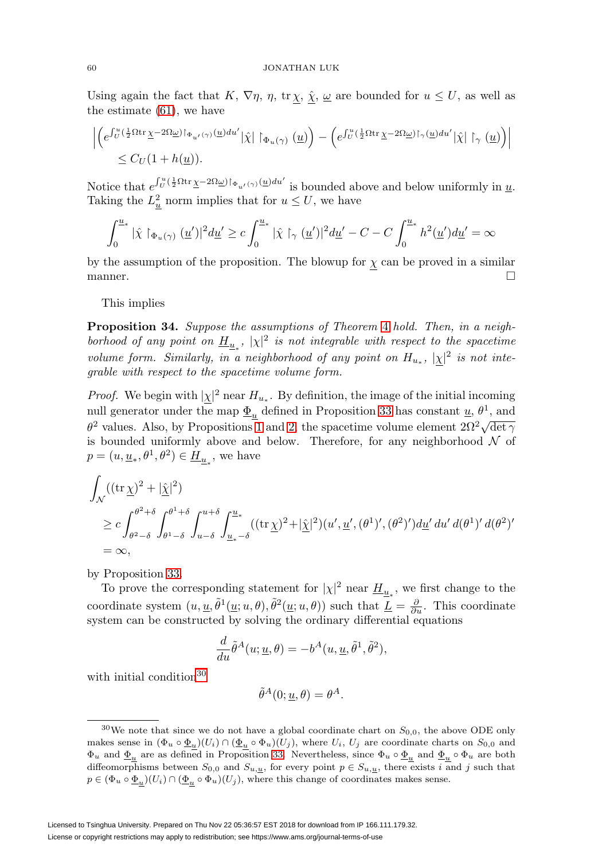Using again the fact that K,  $\nabla \eta$ ,  $\eta$ ,  $\mathrm{tr}\,\chi$ ,  $\hat{\chi}$ ,  $\underline{\omega}$  are bounded for  $u \leq U$ , as well as the estimate [\(61\)](#page-58-1), we have

$$
\left| \left( e^{\int_U^u (\frac{1}{2} \Omega \text{tr} \underline{\chi} - 2\Omega \underline{\omega}) \dagger_{\Phi_{u'}(\gamma)} (\underline{u}) du'} |\hat{\chi}| \left|_{\Phi_u(\gamma)} (\underline{u}) \right. \right) - \left( e^{\int_U^u (\frac{1}{2} \Omega \text{tr} \underline{\chi} - 2\Omega \underline{\omega}) \dagger_{\gamma} (\underline{u}) du'} |\hat{\chi}| \left|_{\gamma} (\underline{u}) \right) \right| \right|
$$
  
\$\leq C\_U (1 + h(\underline{u})).

Notice that  $e^{\int_{U}^{u}(\frac{1}{2}\Omega \text{tr}\underline{\chi}-2\Omega \underline{\omega})\dagger_{\Phi_{u'}(\gamma)}(\underline{u})du'}$  is bounded above and below uniformly in  $\underline{u}$ . Taking the  $L^2_{\underline{u}}$  norm implies that for  $u \leq U$ , we have

$$
\int_0^{\underline{u}_*} |\hat{\chi}| \, |\Phi_{u}(\gamma) ( \underline{u}')|^2 d\underline{u}' \geq c \int_0^{\underline{u}_*} |\hat{\chi}| \, |\gamma ( \underline{u}')|^2 d\underline{u}' - C - C \int_0^{\underline{u}_*} h^2(\underline{u}') d\underline{u}' = \infty
$$

by the assumption of the proposition. The blowup for  $\chi$  can be proved in a similar manner.  $\Box$ 

This implies

**Proposition 3[4](#page-11-0).** Suppose the assumptions of Theorem 4 hold. Then, in a neighborhood of any point on  $\underline{H}_{\underline{u}_*}$ ,  $|\chi|^2$  is not integrable with respect to the spacetime volume form. Similarly, in a neighborhood of any point on  $H_{u_*}$ ,  $|\underline{\chi}|^2$  is not integrable with respect to the spacetime volume form.

*Proof.* We begin with  $|\chi|^2$  near  $H_{u_*}$ . By definition, the image of the initial incoming null generator under the map  $\underline{\Phi}_u$  defined in Proposition [33](#page-57-0) has constant  $\underline{u}$ ,  $\theta^1$ , and  $\theta^2$  values. Also, by Propositions [1](#page-27-3) and [2,](#page-28-2) the spacetime volume element  $2\Omega^2\sqrt{\det\gamma}$ is bounded uniformly above and below. Therefore, for any neighborhood  $N$  of  $p = (u, \underline{u}_*, \theta^1, \theta^2) \in \underline{H}_{\underline{u}_*}$ , we have

$$
\int_{\mathcal{N}} ((\operatorname{tr} \underline{\chi})^2 + |\underline{\hat{\chi}}|^2)
$$
\n
$$
\geq c \int_{\theta^2 - \delta}^{\theta^2 + \delta} \int_{\theta^1 - \delta}^{\theta^1 + \delta} \int_{u - \delta}^{u + \delta} \int_{\underline{u}_* - \delta}^{\underline{u}_*} ((\operatorname{tr} \underline{\chi})^2 + |\underline{\hat{\chi}}|^2) (u', \underline{u}', (\theta^1)', (\theta^2)') d\underline{u}' du' d(\theta^1)' d(\theta^2)'
$$
\n
$$
= \infty,
$$

by Proposition [33.](#page-57-0)

To prove the corresponding statement for  $|\chi|^2$  near  $\underline{H}_{\underline{u}_*}$ , we first change to the coordinate system  $(u, \underline{u}, \tilde{\theta}^1(\underline{u}; u, \theta), \tilde{\theta}^2(\underline{u}; u, \theta))$  such that  $\underline{L} = \frac{\partial}{\partial u}$ . This coordinate system can be constructed by solving the ordinary differential equations

$$
\frac{d}{du}\tilde{\theta}^A(u; \underline{u}, \theta) = -b^A(u, \underline{u}, \tilde{\theta}^1, \tilde{\theta}^2),
$$

with initial condition<sup>[30](#page-59-0)</sup>

$$
\tilde{\theta}^A(0; \underline{u}, \theta) = \theta^A.
$$

<span id="page-59-0"></span><sup>&</sup>lt;sup>30</sup>We note that since we do not have a global coordinate chart on  $S_{0,0}$ , the above ODE only makes sense in  $(\Phi_u \circ \underline{\Phi}_u)(U_i) \cap (\underline{\Phi}_u \circ \Phi_u)(U_j)$ , where  $U_i$ ,  $U_j$  are coordinate charts on  $S_{0,0}$  and  $\Phi_u$  and  $\underline{\Phi}_u$  are as defined in Proposition [33.](#page-57-0) Nevertheless, since  $\Phi_u \circ \underline{\Phi}_u$  and  $\underline{\Phi}_u \circ \Phi_u$  are both diffeomorphisms between  $S_{0,0}$  and  $S_{u,\underline{u}}$ , for every point  $p \in S_{u,\underline{u}}$ , there exists i and j such that  $p \in (\Phi_u \circ \underline{\Phi}_u)(U_i) \cap (\underline{\Phi}_u \circ \Phi_u)(U_j)$ , where this change of coordinates makes sense.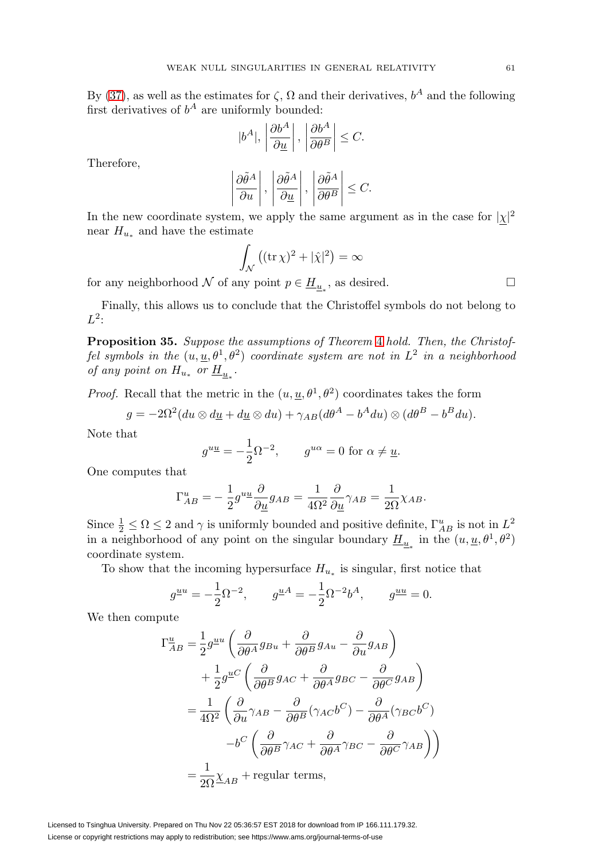By [\(37\)](#page-29-0), as well as the estimates for  $\zeta$ ,  $\Omega$  and their derivatives,  $b^A$  and the following first derivatives of  $b^A$  are uniformly bounded:

$$
|b^A|, \left|\frac{\partial b^A}{\partial \underline{u}}\right|, \left|\frac{\partial b^A}{\partial \theta^B}\right| \leq C.
$$

Therefore,

$$
\left|\frac{\partial \tilde{\theta}^A}{\partial u}\right|, \left|\frac{\partial \tilde{\theta}^A}{\partial \underline{u}}\right|, \left|\frac{\partial \tilde{\theta}^A}{\partial \theta^B}\right| \leq C.
$$

In the new coordinate system, we apply the same argument as in the case for  $|\chi|^2$ near  $H_{u_*}$  and have the estimate

$$
\int_{\mathcal{N}} \left( (\operatorname{tr} \chi)^2 + |\hat{\chi}|^2 \right) = \infty
$$

for any neighborhood  $\mathcal N$  of any point  $p \in \underline{H}_{\underline{u}_*}$ , as desired.

Finally, this allows us to conclude that the Christoffel symbols do not belong to  $L^2$ :

**Proposition 35.** Suppose the assumptions of Theorem [4](#page-11-0) hold. Then, the Christoffel symbols in the  $(u, \underline{u}, \theta^1, \theta^2)$  coordinate system are not in  $L^2$  in a neighborhood of any point on  $H_{u_*}$  or  $\underline{H}_{\underline{u}_*}$ .

*Proof.* Recall that the metric in the  $(u, \underline{u}, \theta^1, \theta^2)$  coordinates takes the form

$$
g = -2\Omega^2 (du \otimes d\underline{u} + d\underline{u} \otimes du) + \gamma_{AB} (d\theta^A - b^A du) \otimes (d\theta^B - b^B du).
$$

Note that

$$
g^{u\underline{u}} = -\frac{1}{2}\Omega^{-2}, \qquad g^{u\alpha} = 0 \text{ for } \alpha \neq \underline{u}.
$$

One computes that

$$
\Gamma_{AB}^u = -\frac{1}{2}g^{u\underline{u}}\frac{\partial}{\partial \underline{u}}g_{AB} = \frac{1}{4\Omega^2}\frac{\partial}{\partial \underline{u}}\gamma_{AB} = \frac{1}{2\Omega}\chi_{AB}.
$$

Since  $\frac{1}{2} \leq \Omega \leq 2$  and  $\gamma$  is uniformly bounded and positive definite,  $\Gamma_{AB}^u$  is not in  $L^2$ in a neighborhood of any point on the singular boundary  $\underline{H}_u$  in the  $(u, \underline{u}, \theta^1, \theta^2)$ coordinate system.

To show that the incoming hypersurface  $H_{u_*}$  is singular, first notice that

$$
g^{\underline{u}u} = -\frac{1}{2}\Omega^{-2}
$$
,  $g^{\underline{u}A} = -\frac{1}{2}\Omega^{-2}b^A$ ,  $g^{\underline{u}u} = 0$ .

We then compute

$$
\Gamma_{AB}^{u} = \frac{1}{2} g^{\mu u} \left( \frac{\partial}{\partial \theta^{A}} g_{Bu} + \frac{\partial}{\partial \theta^{B}} g_{Au} - \frac{\partial}{\partial u} g_{AB} \right)
$$
  
+ 
$$
\frac{1}{2} g^{\mu C} \left( \frac{\partial}{\partial \theta^{B}} g_{AC} + \frac{\partial}{\partial \theta^{A}} g_{BC} - \frac{\partial}{\partial \theta^{C}} g_{AB} \right)
$$
  
= 
$$
\frac{1}{4\Omega^{2}} \left( \frac{\partial}{\partial u} \gamma_{AB} - \frac{\partial}{\partial \theta^{B}} (\gamma_{AC} b^{C}) - \frac{\partial}{\partial \theta^{A}} (\gamma_{BC} b^{C}) \right)
$$
  
- 
$$
-b^{C} \left( \frac{\partial}{\partial \theta^{B}} \gamma_{AC} + \frac{\partial}{\partial \theta^{A}} \gamma_{BC} - \frac{\partial}{\partial \theta^{C}} \gamma_{AB} \right) \right)
$$
  
= 
$$
\frac{1}{2\Omega} \chi_{AB} + \text{regular terms},
$$

Licensed to Tsinghua University. Prepared on Thu Nov 22 05:36:57 EST 2018 for download from IP 166.111.179.32. License or copyright restrictions may apply to redistribution; see https://www.ams.org/journal-terms-of-use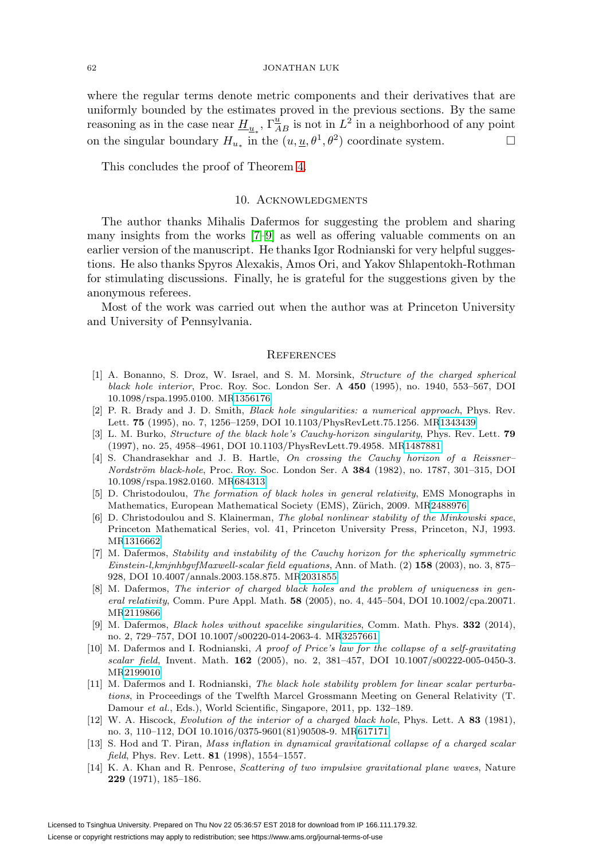#### 62 JONATHAN LUK

where the regular terms denote metric components and their derivatives that are uniformly bounded by the estimates proved in the previous sections. By the same reasoning as in the case near  $\underline{H}_{\underline{u}_*}$ ,  $\Gamma^{\underline{u}^-}_{AB}$  is not in  $L^2$  in a neighborhood of any point on the singular boundary  $H_{u_*}$  in the  $(u, \underline{u}, \theta^1, \theta^2)$  coordinate system.

This concludes the proof of Theorem [4.](#page-11-0)

#### 10. Acknowledgments

The author thanks Mihalis Dafermos for suggesting the problem and sharing many insights from the works [\[7–](#page-61-0)[9\]](#page-61-4) as well as offering valuable comments on an earlier version of the manuscript. He thanks Igor Rodnianski for very helpful suggestions. He also thanks Spyros Alexakis, Amos Ori, and Yakov Shlapentokh-Rothman for stimulating discussions. Finally, he is grateful for the suggestions given by the anonymous referees.

Most of the work was carried out when the author was at Princeton University and University of Pennsylvania.

#### **REFERENCES**

- <span id="page-61-9"></span>[1] A. Bonanno, S. Droz, W. Israel, and S. M. Morsink, Structure of the charged spherical black hole interior, Proc. Roy. Soc. London Ser. A **450** (1995), no. 1940, 553–567, DOI 10.1098/rspa.1995.0100. M[R1356176](http://www.ams.org/mathscinet-getitem?mr=1356176)
- [2] P. R. Brady and J. D. Smith, Black hole singularities: a numerical approach, Phys. Rev. Lett. **75** (1995), no. 7, 1256–1259, DOI 10.1103/PhysRevLett.75.1256. M[R1343439](http://www.ams.org/mathscinet-getitem?mr=1343439)
- <span id="page-61-10"></span>[3] L. M. Burko, Structure of the black hole's Cauchy-horizon singularity, Phys. Rev. Lett. **79** (1997), no. 25, 4958–4961, DOI 10.1103/PhysRevLett.79.4958. M[R1487881](http://www.ams.org/mathscinet-getitem?mr=1487881)
- <span id="page-61-5"></span>[4] S. Chandrasekhar and J. B. Hartle, On crossing the Cauchy horizon of a Reissner– Nordström black-hole, Proc. Roy. Soc. London Ser. A **384** (1982), no. 1787, 301–315, DOI 10.1098/rspa.1982.0160. M[R684313](http://www.ams.org/mathscinet-getitem?mr=684313)
- <span id="page-61-2"></span>[5] D. Christodoulou, The formation of black holes in general relativity, EMS Monographs in Mathematics, European Mathematical Society (EMS), Zürich, 2009. M[R2488976](http://www.ams.org/mathscinet-getitem?mr=2488976)
- <span id="page-61-12"></span>[6] D. Christodoulou and S. Klainerman, The global nonlinear stability of the Minkowski space, Princeton Mathematical Series, vol. 41, Princeton University Press, Princeton, NJ, 1993. M[R1316662](http://www.ams.org/mathscinet-getitem?mr=1316662)
- <span id="page-61-0"></span>[7] M. Dafermos, Stability and instability of the Cauchy horizon for the spherically symmetric Einstein-l,kmjnhbgvfMaxwell-scalar field equations, Ann. of Math. (2) **158** (2003), no. 3, 875– 928, DOI 10.4007/annals.2003.158.875. M[R2031855](http://www.ams.org/mathscinet-getitem?mr=2031855)
- <span id="page-61-1"></span>[8] M. Dafermos, The interior of charged black holes and the problem of uniqueness in general relativity, Comm. Pure Appl. Math. **58** (2005), no. 4, 445–504, DOI 10.1002/cpa.20071. M[R2119866](http://www.ams.org/mathscinet-getitem?mr=2119866)
- <span id="page-61-4"></span>[9] M. Dafermos, Black holes without spacelike singularities, Comm. Math. Phys. **332** (2014), no. 2, 729–757, DOI 10.1007/s00220-014-2063-4. M[R3257661](http://www.ams.org/mathscinet-getitem?mr=3257661)
- <span id="page-61-3"></span>[10] M. Dafermos and I. Rodnianski, A proof of Price's law for the collapse of a self-gravitating scalar field, Invent. Math. **162** (2005), no. 2, 381–457, DOI 10.1007/s00222-005-0450-3. M[R2199010](http://www.ams.org/mathscinet-getitem?mr=2199010)
- <span id="page-61-7"></span>[11] M. Dafermos and I. Rodnianski, The black hole stability problem for linear scalar perturbations, in Proceedings of the Twelfth Marcel Grossmann Meeting on General Relativity (T. Damour et al., Eds.), World Scientific, Singapore, 2011, pp. 132–189.
- <span id="page-61-8"></span>[12] W. A. Hiscock, Evolution of the interior of a charged black hole, Phys. Lett. A **83** (1981), no. 3, 110–112, DOI 10.1016/0375-9601(81)90508-9. M[R617171](http://www.ams.org/mathscinet-getitem?mr=617171)
- <span id="page-61-6"></span>[13] S. Hod and T. Piran, Mass inflation in dynamical gravitational collapse of a charged scalar field, Phys. Rev. Lett. **81** (1998), 1554–1557.
- <span id="page-61-11"></span>[14] K. A. Khan and R. Penrose, Scattering of two impulsive gravitational plane waves, Nature **229** (1971), 185–186.